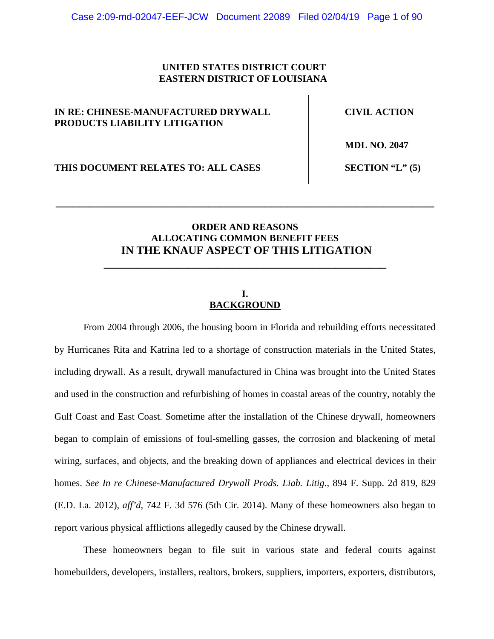## **UNITED STATES DISTRICT COURT EASTERN DISTRICT OF LOUISIANA**

## **IN RE: CHINESE-MANUFACTURED DRYWALL PRODUCTS LIABILITY LITIGATION**

**CIVIL ACTION**

**MDL NO. 2047**

#### **THIS DOCUMENT RELATES TO: ALL CASES SECTION "L" (5)**

## **ORDER AND REASONS ALLOCATING COMMON BENEFIT FEES IN THE KNAUF ASPECT OF THIS LITIGATION**

**\_\_\_\_\_\_\_\_\_\_\_\_\_\_\_\_\_\_\_\_\_\_\_\_\_\_\_\_\_\_\_\_\_\_\_\_\_\_\_\_\_\_\_\_\_\_\_\_\_\_**

**\_\_\_\_\_\_\_\_\_\_\_\_\_\_\_\_\_\_\_\_\_\_\_\_\_\_\_\_\_\_\_\_\_\_\_\_\_\_\_\_\_\_\_\_\_\_\_\_\_\_\_\_\_\_\_\_\_\_\_\_\_\_\_\_\_\_\_**

## **I. BACKGROUND**

From 2004 through 2006, the housing boom in Florida and rebuilding efforts necessitated by Hurricanes Rita and Katrina led to a shortage of construction materials in the United States, including drywall. As a result, drywall manufactured in China was brought into the United States and used in the construction and refurbishing of homes in coastal areas of the country, notably the Gulf Coast and East Coast. Sometime after the installation of the Chinese drywall, homeowners began to complain of emissions of foul-smelling gasses, the corrosion and blackening of metal wiring, surfaces, and objects, and the breaking down of appliances and electrical devices in their homes. *See In re Chinese-Manufactured Drywall Prods. Liab. Litig.*, 894 F. Supp. 2d 819, 829 (E.D. La. 2012), *aff'd*, 742 F. 3d 576 (5th Cir. 2014). Many of these homeowners also began to report various physical afflictions allegedly caused by the Chinese drywall.

These homeowners began to file suit in various state and federal courts against homebuilders, developers, installers, realtors, brokers, suppliers, importers, exporters, distributors,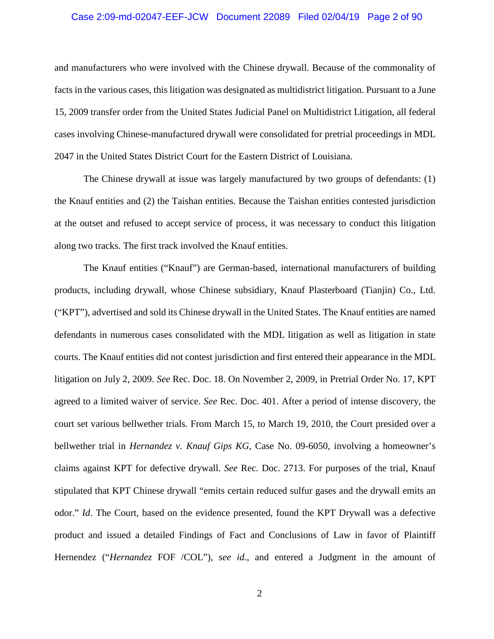#### Case 2:09-md-02047-EEF-JCW Document 22089 Filed 02/04/19 Page 2 of 90

and manufacturers who were involved with the Chinese drywall. Because of the commonality of facts in the various cases, this litigation was designated as multidistrict litigation. Pursuant to a June 15, 2009 transfer order from the United States Judicial Panel on Multidistrict Litigation, all federal cases involving Chinese-manufactured drywall were consolidated for pretrial proceedings in MDL 2047 in the United States District Court for the Eastern District of Louisiana.

The Chinese drywall at issue was largely manufactured by two groups of defendants: (1) the Knauf entities and (2) the Taishan entities. Because the Taishan entities contested jurisdiction at the outset and refused to accept service of process, it was necessary to conduct this litigation along two tracks. The first track involved the Knauf entities.

The Knauf entities ("Knauf") are German-based, international manufacturers of building products, including drywall, whose Chinese subsidiary, Knauf Plasterboard (Tianjin) Co., Ltd. ("KPT"), advertised and sold its Chinese drywall in the United States. The Knauf entities are named defendants in numerous cases consolidated with the MDL litigation as well as litigation in state courts. The Knauf entities did not contest jurisdiction and first entered their appearance in the MDL litigation on July 2, 2009. *See* Rec. Doc. 18. On November 2, 2009, in Pretrial Order No. 17, KPT agreed to a limited waiver of service. *See* Rec. Doc. 401. After a period of intense discovery, the court set various bellwether trials. From March 15, to March 19, 2010, the Court presided over a bellwether trial in *Hernandez v. Knauf Gips KG*, Case No. 09-6050, involving a homeowner's claims against KPT for defective drywall. *See* Rec. Doc. 2713. For purposes of the trial, Knauf stipulated that KPT Chinese drywall "emits certain reduced sulfur gases and the drywall emits an odor." *Id*. The Court, based on the evidence presented, found the KPT Drywall was a defective product and issued a detailed Findings of Fact and Conclusions of Law in favor of Plaintiff Hernendez ("*Hernandez* FOF /COL"), *see id.*, and entered a Judgment in the amount of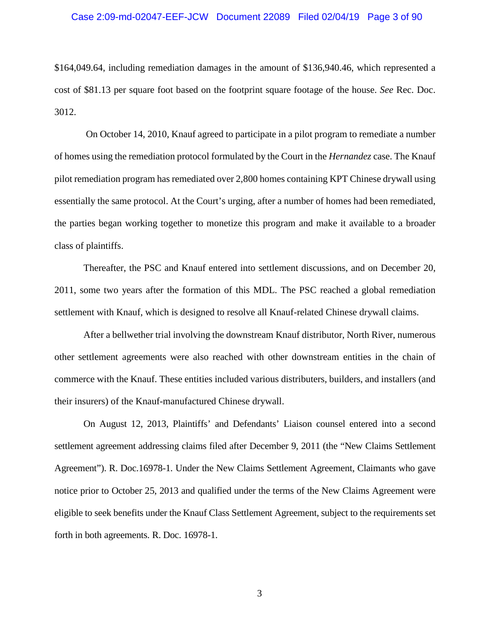#### Case 2:09-md-02047-EEF-JCW Document 22089 Filed 02/04/19 Page 3 of 90

\$164,049.64, including remediation damages in the amount of \$136,940.46, which represented a cost of \$81.13 per square foot based on the footprint square footage of the house. *See* Rec. Doc. 3012.

On October 14, 2010, Knauf agreed to participate in a pilot program to remediate a number of homes using the remediation protocol formulated by the Court in the *Hernandez* case. The Knauf pilot remediation program has remediated over 2,800 homes containing KPT Chinese drywall using essentially the same protocol. At the Court's urging, after a number of homes had been remediated, the parties began working together to monetize this program and make it available to a broader class of plaintiffs.

Thereafter, the PSC and Knauf entered into settlement discussions, and on December 20, 2011, some two years after the formation of this MDL. The PSC reached a global remediation settlement with Knauf, which is designed to resolve all Knauf-related Chinese drywall claims.

After a bellwether trial involving the downstream Knauf distributor, North River, numerous other settlement agreements were also reached with other downstream entities in the chain of commerce with the Knauf. These entities included various distributers, builders, and installers (and their insurers) of the Knauf-manufactured Chinese drywall.

On August 12, 2013, Plaintiffs' and Defendants' Liaison counsel entered into a second settlement agreement addressing claims filed after December 9, 2011 (the "New Claims Settlement Agreement"). R. Doc.16978-1. Under the New Claims Settlement Agreement, Claimants who gave notice prior to October 25, 2013 and qualified under the terms of the New Claims Agreement were eligible to seek benefits under the Knauf Class Settlement Agreement, subject to the requirements set forth in both agreements. R. Doc. 16978-1.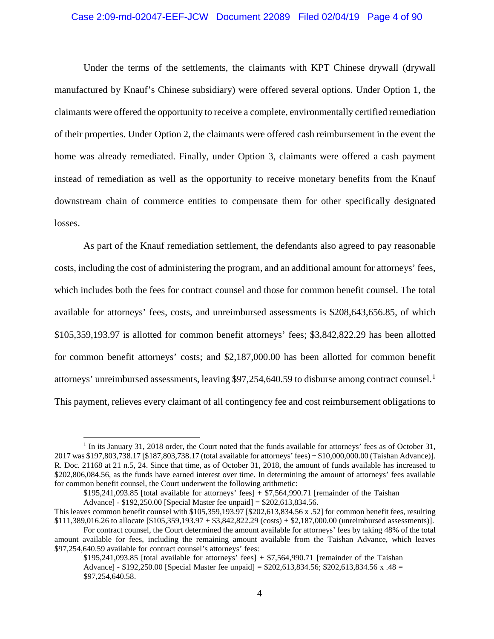#### Case 2:09-md-02047-EEF-JCW Document 22089 Filed 02/04/19 Page 4 of 90

Under the terms of the settlements, the claimants with KPT Chinese drywall (drywall manufactured by Knauf's Chinese subsidiary) were offered several options. Under Option 1, the claimants were offered the opportunity to receive a complete, environmentally certified remediation of their properties. Under Option 2, the claimants were offered cash reimbursement in the event the home was already remediated. Finally, under Option 3, claimants were offered a cash payment instead of remediation as well as the opportunity to receive monetary benefits from the Knauf downstream chain of commerce entities to compensate them for other specifically designated losses.

As part of the Knauf remediation settlement, the defendants also agreed to pay reasonable costs, including the cost of administering the program, and an additional amount for attorneys' fees, which includes both the fees for contract counsel and those for common benefit counsel. The total available for attorneys' fees, costs, and unreimbursed assessments is \$208,643,656.85, of which \$105,359,193.97 is allotted for common benefit attorneys' fees; \$3,842,822.29 has been allotted for common benefit attorneys' costs; and \$2,187,000.00 has been allotted for common benefit attorneys' unreimbursed assessments, leaving \$97,254,640.59 to disburse among contract counsel.<sup>1</sup> This payment, relieves every claimant of all contingency fee and cost reimbursement obligations to

 $\overline{a}$ 

 $1$  In its January 31, 2018 order, the Court noted that the funds available for attorneys' fees as of October 31, 2017 was \$197,803,738.17 [\$187,803,738.17 (total available for attorneys' fees) + \$10,000,000.00 (Taishan Advance)]. R. Doc. 21168 at 21 n.5, 24. Since that time, as of October 31, 2018, the amount of funds available has increased to \$202,806,084.56, as the funds have earned interest over time. In determining the amount of attorneys' fees available for common benefit counsel, the Court underwent the following arithmetic:

 $$195,241,093.85$  [total available for attorneys' fees] +  $$7,564,990.71$  [remainder of the Taishan Advance] - \$192,250.00 [Special Master fee unpaid] = \$202,613,834.56.

This leaves common benefit counsel with \$105,359,193.97 [\$202,613,834.56 x .52] for common benefit fees, resulting \$111,389,016.26 to allocate [\$105,359,193.97 + \$3,842,822.29 (costs) + \$2,187,000.00 (unreimbursed assessments)].

For contract counsel, the Court determined the amount available for attorneys' fees by taking 48% of the total amount available for fees, including the remaining amount available from the Taishan Advance, which leaves \$97,254,640.59 available for contract counsel's attorneys' fees:

 $$195,241,093.85$  [total available for attorneys' fees] +  $$7,564,990.71$  [remainder of the Taishan Advance] - \$192,250.00 [Special Master fee unpaid] = \$202,613,834.56; \$202,613,834.56 x .48 = \$97,254,640.58.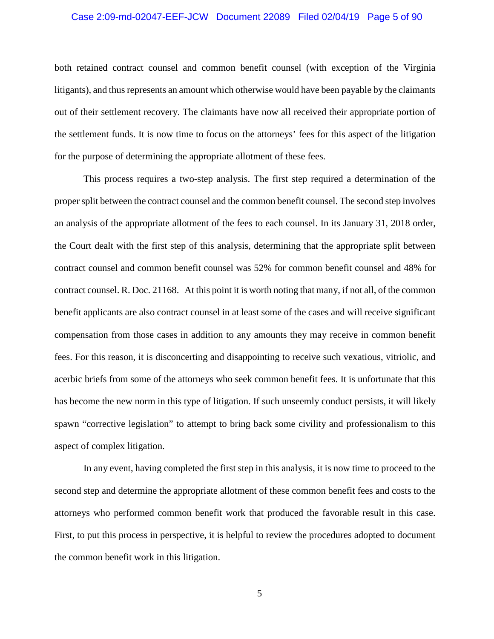#### Case 2:09-md-02047-EEF-JCW Document 22089 Filed 02/04/19 Page 5 of 90

both retained contract counsel and common benefit counsel (with exception of the Virginia litigants), and thus represents an amount which otherwise would have been payable by the claimants out of their settlement recovery. The claimants have now all received their appropriate portion of the settlement funds. It is now time to focus on the attorneys' fees for this aspect of the litigation for the purpose of determining the appropriate allotment of these fees.

This process requires a two-step analysis. The first step required a determination of the proper split between the contract counsel and the common benefit counsel. The second step involves an analysis of the appropriate allotment of the fees to each counsel. In its January 31, 2018 order, the Court dealt with the first step of this analysis, determining that the appropriate split between contract counsel and common benefit counsel was 52% for common benefit counsel and 48% for contract counsel. R. Doc. 21168. At this point it is worth noting that many, if not all, of the common benefit applicants are also contract counsel in at least some of the cases and will receive significant compensation from those cases in addition to any amounts they may receive in common benefit fees. For this reason, it is disconcerting and disappointing to receive such vexatious, vitriolic, and acerbic briefs from some of the attorneys who seek common benefit fees. It is unfortunate that this has become the new norm in this type of litigation. If such unseemly conduct persists, it will likely spawn "corrective legislation" to attempt to bring back some civility and professionalism to this aspect of complex litigation.

In any event, having completed the first step in this analysis, it is now time to proceed to the second step and determine the appropriate allotment of these common benefit fees and costs to the attorneys who performed common benefit work that produced the favorable result in this case. First, to put this process in perspective, it is helpful to review the procedures adopted to document the common benefit work in this litigation.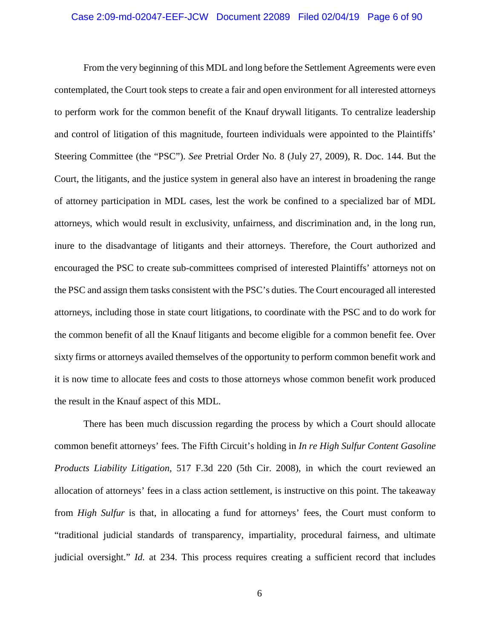#### Case 2:09-md-02047-EEF-JCW Document 22089 Filed 02/04/19 Page 6 of 90

From the very beginning of this MDL and long before the Settlement Agreements were even contemplated, the Court took steps to create a fair and open environment for all interested attorneys to perform work for the common benefit of the Knauf drywall litigants. To centralize leadership and control of litigation of this magnitude, fourteen individuals were appointed to the Plaintiffs' Steering Committee (the "PSC"). *See* Pretrial Order No. 8 (July 27, 2009), R. Doc. 144. But the Court, the litigants, and the justice system in general also have an interest in broadening the range of attorney participation in MDL cases, lest the work be confined to a specialized bar of MDL attorneys, which would result in exclusivity, unfairness, and discrimination and, in the long run, inure to the disadvantage of litigants and their attorneys. Therefore, the Court authorized and encouraged the PSC to create sub-committees comprised of interested Plaintiffs' attorneys not on the PSC and assign them tasks consistent with the PSC's duties. The Court encouraged all interested attorneys, including those in state court litigations, to coordinate with the PSC and to do work for the common benefit of all the Knauf litigants and become eligible for a common benefit fee. Over sixty firms or attorneys availed themselves of the opportunity to perform common benefit work and it is now time to allocate fees and costs to those attorneys whose common benefit work produced the result in the Knauf aspect of this MDL.

There has been much discussion regarding the process by which a Court should allocate common benefit attorneys' fees. The Fifth Circuit's holding in *In re High Sulfur Content Gasoline Products Liability Litigation*, 517 F.3d 220 (5th Cir. 2008), in which the court reviewed an allocation of attorneys' fees in a class action settlement, is instructive on this point. The takeaway from *High Sulfur* is that, in allocating a fund for attorneys' fees, the Court must conform to "traditional judicial standards of transparency, impartiality, procedural fairness, and ultimate judicial oversight." *Id.* at 234. This process requires creating a sufficient record that includes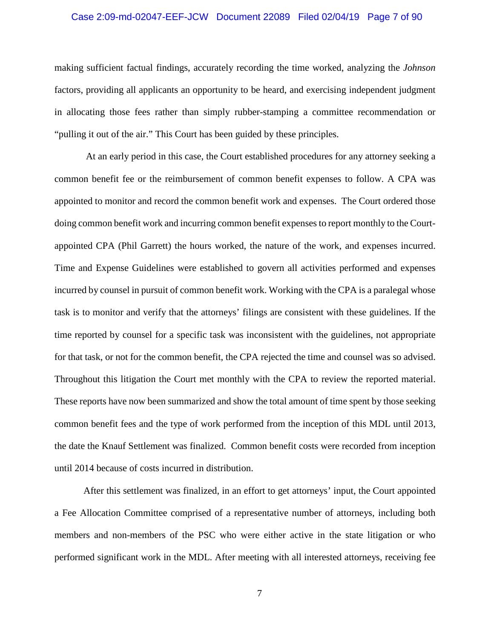#### Case 2:09-md-02047-EEF-JCW Document 22089 Filed 02/04/19 Page 7 of 90

making sufficient factual findings, accurately recording the time worked, analyzing the *Johnson* factors, providing all applicants an opportunity to be heard, and exercising independent judgment in allocating those fees rather than simply rubber-stamping a committee recommendation or "pulling it out of the air." This Court has been guided by these principles.

At an early period in this case, the Court established procedures for any attorney seeking a common benefit fee or the reimbursement of common benefit expenses to follow. A CPA was appointed to monitor and record the common benefit work and expenses. The Court ordered those doing common benefit work and incurring common benefit expenses to report monthly to the Courtappointed CPA (Phil Garrett) the hours worked, the nature of the work, and expenses incurred. Time and Expense Guidelines were established to govern all activities performed and expenses incurred by counsel in pursuit of common benefit work. Working with the CPA is a paralegal whose task is to monitor and verify that the attorneys' filings are consistent with these guidelines. If the time reported by counsel for a specific task was inconsistent with the guidelines, not appropriate for that task, or not for the common benefit, the CPA rejected the time and counsel was so advised. Throughout this litigation the Court met monthly with the CPA to review the reported material. These reports have now been summarized and show the total amount of time spent by those seeking common benefit fees and the type of work performed from the inception of this MDL until 2013, the date the Knauf Settlement was finalized. Common benefit costs were recorded from inception until 2014 because of costs incurred in distribution.

After this settlement was finalized, in an effort to get attorneys' input, the Court appointed a Fee Allocation Committee comprised of a representative number of attorneys, including both members and non-members of the PSC who were either active in the state litigation or who performed significant work in the MDL. After meeting with all interested attorneys, receiving fee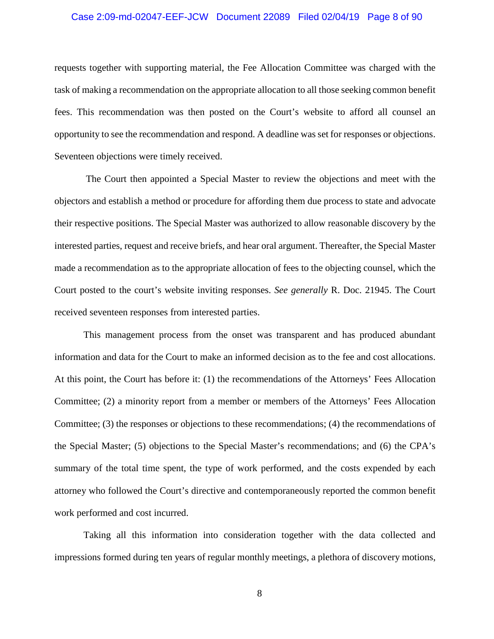#### Case 2:09-md-02047-EEF-JCW Document 22089 Filed 02/04/19 Page 8 of 90

requests together with supporting material, the Fee Allocation Committee was charged with the task of making a recommendation on the appropriate allocation to all those seeking common benefit fees. This recommendation was then posted on the Court's website to afford all counsel an opportunity to see the recommendation and respond. A deadline was set for responses or objections. Seventeen objections were timely received.

The Court then appointed a Special Master to review the objections and meet with the objectors and establish a method or procedure for affording them due process to state and advocate their respective positions. The Special Master was authorized to allow reasonable discovery by the interested parties, request and receive briefs, and hear oral argument. Thereafter, the Special Master made a recommendation as to the appropriate allocation of fees to the objecting counsel, which the Court posted to the court's website inviting responses. *See generally* R. Doc. 21945. The Court received seventeen responses from interested parties.

This management process from the onset was transparent and has produced abundant information and data for the Court to make an informed decision as to the fee and cost allocations. At this point, the Court has before it: (1) the recommendations of the Attorneys' Fees Allocation Committee; (2) a minority report from a member or members of the Attorneys' Fees Allocation Committee; (3) the responses or objections to these recommendations; (4) the recommendations of the Special Master; (5) objections to the Special Master's recommendations; and (6) the CPA's summary of the total time spent, the type of work performed, and the costs expended by each attorney who followed the Court's directive and contemporaneously reported the common benefit work performed and cost incurred.

Taking all this information into consideration together with the data collected and impressions formed during ten years of regular monthly meetings, a plethora of discovery motions,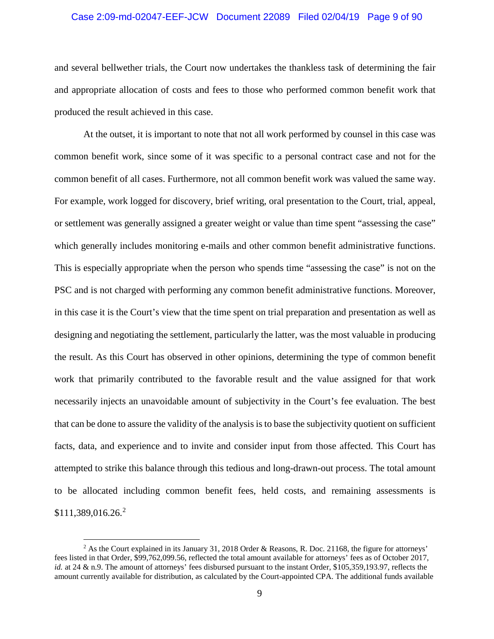#### Case 2:09-md-02047-EEF-JCW Document 22089 Filed 02/04/19 Page 9 of 90

and several bellwether trials, the Court now undertakes the thankless task of determining the fair and appropriate allocation of costs and fees to those who performed common benefit work that produced the result achieved in this case.

At the outset, it is important to note that not all work performed by counsel in this case was common benefit work, since some of it was specific to a personal contract case and not for the common benefit of all cases. Furthermore, not all common benefit work was valued the same way. For example, work logged for discovery, brief writing, oral presentation to the Court, trial, appeal, or settlement was generally assigned a greater weight or value than time spent "assessing the case" which generally includes monitoring e-mails and other common benefit administrative functions. This is especially appropriate when the person who spends time "assessing the case" is not on the PSC and is not charged with performing any common benefit administrative functions. Moreover, in this case it is the Court's view that the time spent on trial preparation and presentation as well as designing and negotiating the settlement, particularly the latter, was the most valuable in producing the result. As this Court has observed in other opinions, determining the type of common benefit work that primarily contributed to the favorable result and the value assigned for that work necessarily injects an unavoidable amount of subjectivity in the Court's fee evaluation. The best that can be done to assure the validity of the analysis is to base the subjectivity quotient on sufficient facts, data, and experience and to invite and consider input from those affected. This Court has attempted to strike this balance through this tedious and long-drawn-out process. The total amount to be allocated including common benefit fees, held costs, and remaining assessments is  $$111,389,016.26<sup>2</sup>$ 

 $\overline{a}$ 

<sup>&</sup>lt;sup>2</sup> As the Court explained in its January 31, 2018 Order & Reasons, R. Doc. 21168, the figure for attorneys' fees listed in that Order, \$99,762,099.56, reflected the total amount available for attorneys' fees as of October 2017, *id.* at 24 & n.9. The amount of attorneys' fees disbursed pursuant to the instant Order, \$105,359,193.97, reflects the amount currently available for distribution, as calculated by the Court-appointed CPA. The additional funds available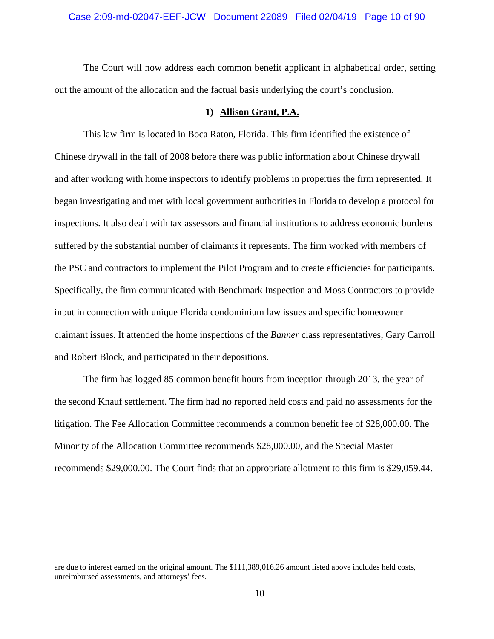#### Case 2:09-md-02047-EEF-JCW Document 22089 Filed 02/04/19 Page 10 of 90

The Court will now address each common benefit applicant in alphabetical order, setting out the amount of the allocation and the factual basis underlying the court's conclusion.

#### **1) Allison Grant, P.A.**

This law firm is located in Boca Raton, Florida. This firm identified the existence of Chinese drywall in the fall of 2008 before there was public information about Chinese drywall and after working with home inspectors to identify problems in properties the firm represented. It began investigating and met with local government authorities in Florida to develop a protocol for inspections. It also dealt with tax assessors and financial institutions to address economic burdens suffered by the substantial number of claimants it represents. The firm worked with members of the PSC and contractors to implement the Pilot Program and to create efficiencies for participants. Specifically, the firm communicated with Benchmark Inspection and Moss Contractors to provide input in connection with unique Florida condominium law issues and specific homeowner claimant issues. It attended the home inspections of the *Banner* class representatives, Gary Carroll and Robert Block, and participated in their depositions.

The firm has logged 85 common benefit hours from inception through 2013, the year of the second Knauf settlement. The firm had no reported held costs and paid no assessments for the litigation. The Fee Allocation Committee recommends a common benefit fee of \$28,000.00. The Minority of the Allocation Committee recommends \$28,000.00, and the Special Master recommends \$29,000.00. The Court finds that an appropriate allotment to this firm is \$29,059.44.

 $\overline{a}$ 

are due to interest earned on the original amount. The \$111,389,016.26 amount listed above includes held costs, unreimbursed assessments, and attorneys' fees.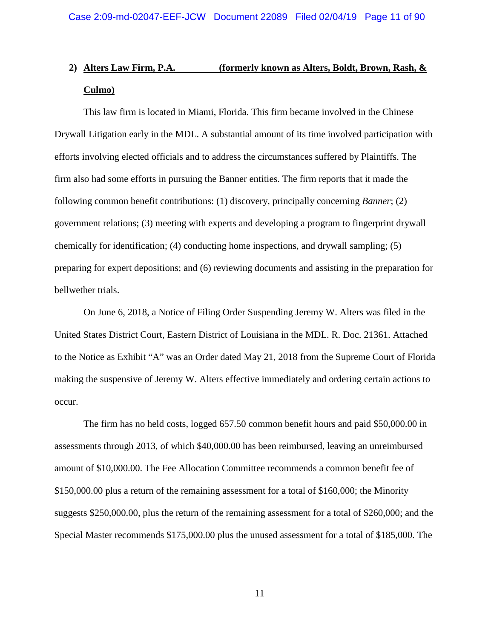# **2) Alters Law Firm, P.A. (formerly known as Alters, Boldt, Brown, Rash, & Culmo)**

This law firm is located in Miami, Florida. This firm became involved in the Chinese Drywall Litigation early in the MDL. A substantial amount of its time involved participation with efforts involving elected officials and to address the circumstances suffered by Plaintiffs. The firm also had some efforts in pursuing the Banner entities. The firm reports that it made the following common benefit contributions: (1) discovery, principally concerning *Banner*; (2) government relations; (3) meeting with experts and developing a program to fingerprint drywall chemically for identification; (4) conducting home inspections, and drywall sampling; (5) preparing for expert depositions; and (6) reviewing documents and assisting in the preparation for bellwether trials.

On June 6, 2018, a Notice of Filing Order Suspending Jeremy W. Alters was filed in the United States District Court, Eastern District of Louisiana in the MDL. R. Doc. 21361. Attached to the Notice as Exhibit "A" was an Order dated May 21, 2018 from the Supreme Court of Florida making the suspensive of Jeremy W. Alters effective immediately and ordering certain actions to occur.

The firm has no held costs, logged 657.50 common benefit hours and paid \$50,000.00 in assessments through 2013, of which \$40,000.00 has been reimbursed, leaving an unreimbursed amount of \$10,000.00. The Fee Allocation Committee recommends a common benefit fee of \$150,000.00 plus a return of the remaining assessment for a total of \$160,000; the Minority suggests \$250,000.00, plus the return of the remaining assessment for a total of \$260,000; and the Special Master recommends \$175,000.00 plus the unused assessment for a total of \$185,000. The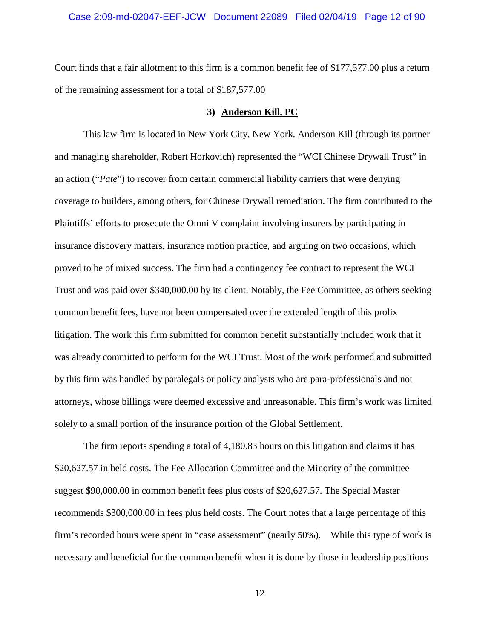Court finds that a fair allotment to this firm is a common benefit fee of \$177,577.00 plus a return of the remaining assessment for a total of \$187,577.00

#### **3) Anderson Kill, PC**

This law firm is located in New York City, New York. Anderson Kill (through its partner and managing shareholder, Robert Horkovich) represented the "WCI Chinese Drywall Trust" in an action ("*Pate*") to recover from certain commercial liability carriers that were denying coverage to builders, among others, for Chinese Drywall remediation. The firm contributed to the Plaintiffs' efforts to prosecute the Omni V complaint involving insurers by participating in insurance discovery matters, insurance motion practice, and arguing on two occasions, which proved to be of mixed success. The firm had a contingency fee contract to represent the WCI Trust and was paid over \$340,000.00 by its client. Notably, the Fee Committee, as others seeking common benefit fees, have not been compensated over the extended length of this prolix litigation. The work this firm submitted for common benefit substantially included work that it was already committed to perform for the WCI Trust. Most of the work performed and submitted by this firm was handled by paralegals or policy analysts who are para-professionals and not attorneys, whose billings were deemed excessive and unreasonable. This firm's work was limited solely to a small portion of the insurance portion of the Global Settlement.

The firm reports spending a total of 4,180.83 hours on this litigation and claims it has \$20,627.57 in held costs. The Fee Allocation Committee and the Minority of the committee suggest \$90,000.00 in common benefit fees plus costs of \$20,627.57. The Special Master recommends \$300,000.00 in fees plus held costs. The Court notes that a large percentage of this firm's recorded hours were spent in "case assessment" (nearly 50%). While this type of work is necessary and beneficial for the common benefit when it is done by those in leadership positions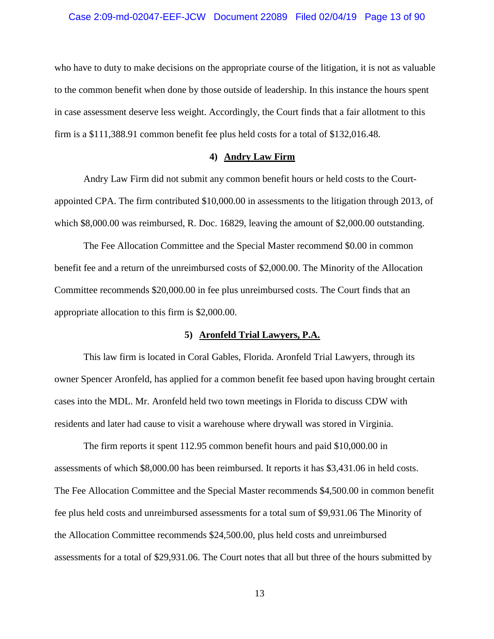who have to duty to make decisions on the appropriate course of the litigation, it is not as valuable to the common benefit when done by those outside of leadership. In this instance the hours spent in case assessment deserve less weight. Accordingly, the Court finds that a fair allotment to this firm is a \$111,388.91 common benefit fee plus held costs for a total of \$132,016.48.

#### **4) Andry Law Firm**

Andry Law Firm did not submit any common benefit hours or held costs to the Courtappointed CPA. The firm contributed \$10,000.00 in assessments to the litigation through 2013, of which \$8,000.00 was reimbursed, R. Doc. 16829, leaving the amount of \$2,000.00 outstanding.

The Fee Allocation Committee and the Special Master recommend \$0.00 in common benefit fee and a return of the unreimbursed costs of \$2,000.00. The Minority of the Allocation Committee recommends \$20,000.00 in fee plus unreimbursed costs. The Court finds that an appropriate allocation to this firm is \$2,000.00.

## **5) Aronfeld Trial Lawyers, P.A.**

This law firm is located in Coral Gables, Florida. Aronfeld Trial Lawyers, through its owner Spencer Aronfeld, has applied for a common benefit fee based upon having brought certain cases into the MDL. Mr. Aronfeld held two town meetings in Florida to discuss CDW with residents and later had cause to visit a warehouse where drywall was stored in Virginia.

The firm reports it spent 112.95 common benefit hours and paid \$10,000.00 in assessments of which \$8,000.00 has been reimbursed. It reports it has \$3,431.06 in held costs. The Fee Allocation Committee and the Special Master recommends \$4,500.00 in common benefit fee plus held costs and unreimbursed assessments for a total sum of \$9,931.06 The Minority of the Allocation Committee recommends \$24,500.00, plus held costs and unreimbursed assessments for a total of \$29,931.06. The Court notes that all but three of the hours submitted by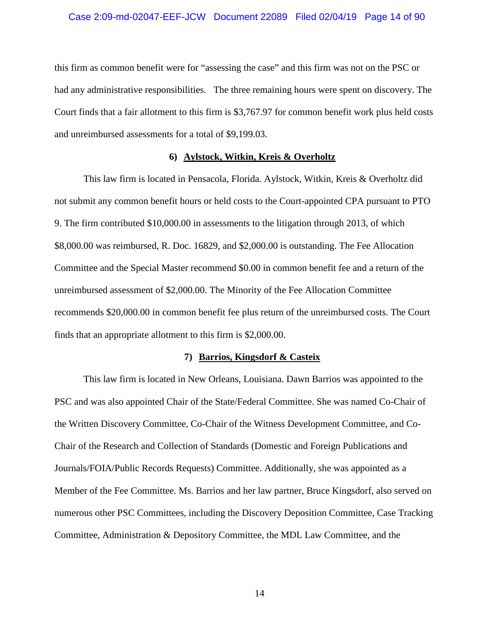#### Case 2:09-md-02047-EEF-JCW Document 22089 Filed 02/04/19 Page 14 of 90

this firm as common benefit were for "assessing the case" and this firm was not on the PSC or had any administrative responsibilities. The three remaining hours were spent on discovery. The Court finds that a fair allotment to this firm is \$3,767.97 for common benefit work plus held costs and unreimbursed assessments for a total of \$9,199.03.

#### **6) Aylstock, Witkin, Kreis & Overholtz**

This law firm is located in Pensacola, Florida. Aylstock, Witkin, Kreis & Overholtz did not submit any common benefit hours or held costs to the Court-appointed CPA pursuant to PTO 9. The firm contributed \$10,000.00 in assessments to the litigation through 2013, of which \$8,000.00 was reimbursed, R. Doc. 16829, and \$2,000.00 is outstanding. The Fee Allocation Committee and the Special Master recommend \$0.00 in common benefit fee and a return of the unreimbursed assessment of \$2,000.00. The Minority of the Fee Allocation Committee recommends \$20,000.00 in common benefit fee plus return of the unreimbursed costs. The Court finds that an appropriate allotment to this firm is \$2,000.00.

### **7) Barrios, Kingsdorf & Casteix**

This law firm is located in New Orleans, Louisiana. Dawn Barrios was appointed to the PSC and was also appointed Chair of the State/Federal Committee. She was named Co-Chair of the Written Discovery Committee, Co-Chair of the Witness Development Committee, and Co-Chair of the Research and Collection of Standards (Domestic and Foreign Publications and Journals/FOIA/Public Records Requests) Committee. Additionally, she was appointed as a Member of the Fee Committee. Ms. Barrios and her law partner, Bruce Kingsdorf, also served on numerous other PSC Committees, including the Discovery Deposition Committee, Case Tracking Committee, Administration & Depository Committee, the MDL Law Committee, and the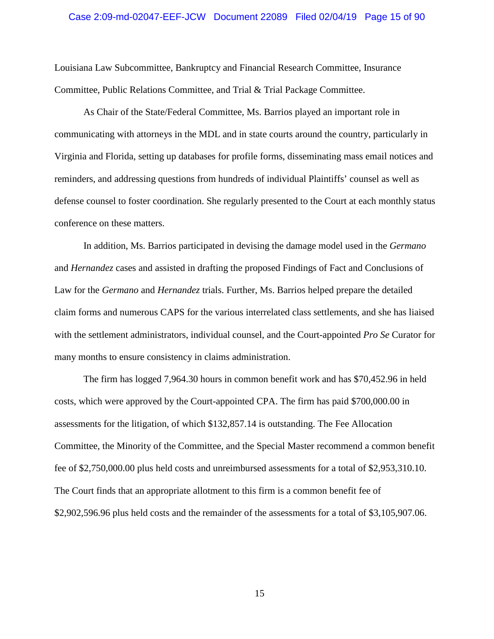#### Case 2:09-md-02047-EEF-JCW Document 22089 Filed 02/04/19 Page 15 of 90

Louisiana Law Subcommittee, Bankruptcy and Financial Research Committee, Insurance Committee, Public Relations Committee, and Trial & Trial Package Committee.

As Chair of the State/Federal Committee, Ms. Barrios played an important role in communicating with attorneys in the MDL and in state courts around the country, particularly in Virginia and Florida, setting up databases for profile forms, disseminating mass email notices and reminders, and addressing questions from hundreds of individual Plaintiffs' counsel as well as defense counsel to foster coordination. She regularly presented to the Court at each monthly status conference on these matters.

In addition, Ms. Barrios participated in devising the damage model used in the *Germano* and *Hernandez* cases and assisted in drafting the proposed Findings of Fact and Conclusions of Law for the *Germano* and *Hernandez* trials. Further, Ms. Barrios helped prepare the detailed claim forms and numerous CAPS for the various interrelated class settlements, and she has liaised with the settlement administrators, individual counsel, and the Court-appointed *Pro Se* Curator for many months to ensure consistency in claims administration.

The firm has logged 7,964.30 hours in common benefit work and has \$70,452.96 in held costs, which were approved by the Court-appointed CPA. The firm has paid \$700,000.00 in assessments for the litigation, of which \$132,857.14 is outstanding. The Fee Allocation Committee, the Minority of the Committee, and the Special Master recommend a common benefit fee of \$2,750,000.00 plus held costs and unreimbursed assessments for a total of \$2,953,310.10. The Court finds that an appropriate allotment to this firm is a common benefit fee of \$2,902,596.96 plus held costs and the remainder of the assessments for a total of \$3,105,907.06.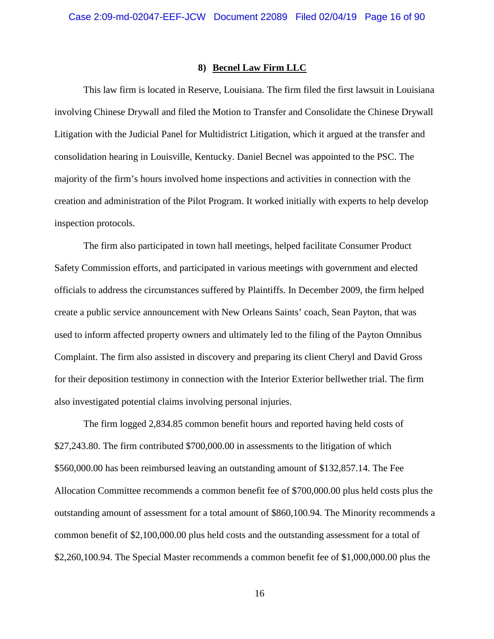#### **8) Becnel Law Firm LLC**

This law firm is located in Reserve, Louisiana. The firm filed the first lawsuit in Louisiana involving Chinese Drywall and filed the Motion to Transfer and Consolidate the Chinese Drywall Litigation with the Judicial Panel for Multidistrict Litigation, which it argued at the transfer and consolidation hearing in Louisville, Kentucky. Daniel Becnel was appointed to the PSC. The majority of the firm's hours involved home inspections and activities in connection with the creation and administration of the Pilot Program. It worked initially with experts to help develop inspection protocols.

The firm also participated in town hall meetings, helped facilitate Consumer Product Safety Commission efforts, and participated in various meetings with government and elected officials to address the circumstances suffered by Plaintiffs. In December 2009, the firm helped create a public service announcement with New Orleans Saints' coach, Sean Payton, that was used to inform affected property owners and ultimately led to the filing of the Payton Omnibus Complaint. The firm also assisted in discovery and preparing its client Cheryl and David Gross for their deposition testimony in connection with the Interior Exterior bellwether trial. The firm also investigated potential claims involving personal injuries.

The firm logged 2,834.85 common benefit hours and reported having held costs of \$27,243.80. The firm contributed \$700,000.00 in assessments to the litigation of which \$560,000.00 has been reimbursed leaving an outstanding amount of \$132,857.14. The Fee Allocation Committee recommends a common benefit fee of \$700,000.00 plus held costs plus the outstanding amount of assessment for a total amount of \$860,100.94. The Minority recommends a common benefit of \$2,100,000.00 plus held costs and the outstanding assessment for a total of \$2,260,100.94. The Special Master recommends a common benefit fee of \$1,000,000.00 plus the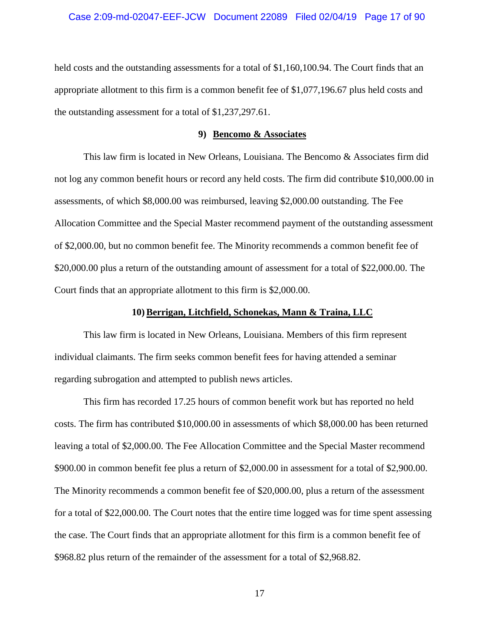held costs and the outstanding assessments for a total of \$1,160,100.94. The Court finds that an appropriate allotment to this firm is a common benefit fee of \$1,077,196.67 plus held costs and the outstanding assessment for a total of \$1,237,297.61.

#### **9) Bencomo & Associates**

This law firm is located in New Orleans, Louisiana. The Bencomo & Associates firm did not log any common benefit hours or record any held costs. The firm did contribute \$10,000.00 in assessments, of which \$8,000.00 was reimbursed, leaving \$2,000.00 outstanding. The Fee Allocation Committee and the Special Master recommend payment of the outstanding assessment of \$2,000.00, but no common benefit fee. The Minority recommends a common benefit fee of \$20,000.00 plus a return of the outstanding amount of assessment for a total of \$22,000.00. The Court finds that an appropriate allotment to this firm is \$2,000.00.

## **10) Berrigan, Litchfield, Schonekas, Mann & Traina, LLC**

This law firm is located in New Orleans, Louisiana. Members of this firm represent individual claimants. The firm seeks common benefit fees for having attended a seminar regarding subrogation and attempted to publish news articles.

This firm has recorded 17.25 hours of common benefit work but has reported no held costs. The firm has contributed \$10,000.00 in assessments of which \$8,000.00 has been returned leaving a total of \$2,000.00. The Fee Allocation Committee and the Special Master recommend \$900.00 in common benefit fee plus a return of \$2,000.00 in assessment for a total of \$2,900.00. The Minority recommends a common benefit fee of \$20,000.00, plus a return of the assessment for a total of \$22,000.00. The Court notes that the entire time logged was for time spent assessing the case. The Court finds that an appropriate allotment for this firm is a common benefit fee of \$968.82 plus return of the remainder of the assessment for a total of \$2,968.82.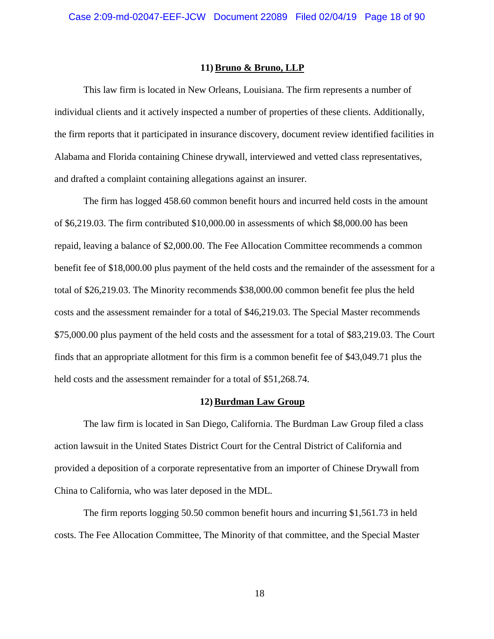#### **11) Bruno & Bruno, LLP**

This law firm is located in New Orleans, Louisiana. The firm represents a number of individual clients and it actively inspected a number of properties of these clients. Additionally, the firm reports that it participated in insurance discovery, document review identified facilities in Alabama and Florida containing Chinese drywall, interviewed and vetted class representatives, and drafted a complaint containing allegations against an insurer.

The firm has logged 458.60 common benefit hours and incurred held costs in the amount of \$6,219.03. The firm contributed \$10,000.00 in assessments of which \$8,000.00 has been repaid, leaving a balance of \$2,000.00. The Fee Allocation Committee recommends a common benefit fee of \$18,000.00 plus payment of the held costs and the remainder of the assessment for a total of \$26,219.03. The Minority recommends \$38,000.00 common benefit fee plus the held costs and the assessment remainder for a total of \$46,219.03. The Special Master recommends \$75,000.00 plus payment of the held costs and the assessment for a total of \$83,219.03. The Court finds that an appropriate allotment for this firm is a common benefit fee of \$43,049.71 plus the held costs and the assessment remainder for a total of \$51,268.74.

#### **12) Burdman Law Group**

The law firm is located in San Diego, California. The Burdman Law Group filed a class action lawsuit in the United States District Court for the Central District of California and provided a deposition of a corporate representative from an importer of Chinese Drywall from China to California, who was later deposed in the MDL.

The firm reports logging 50.50 common benefit hours and incurring \$1,561.73 in held costs. The Fee Allocation Committee, The Minority of that committee, and the Special Master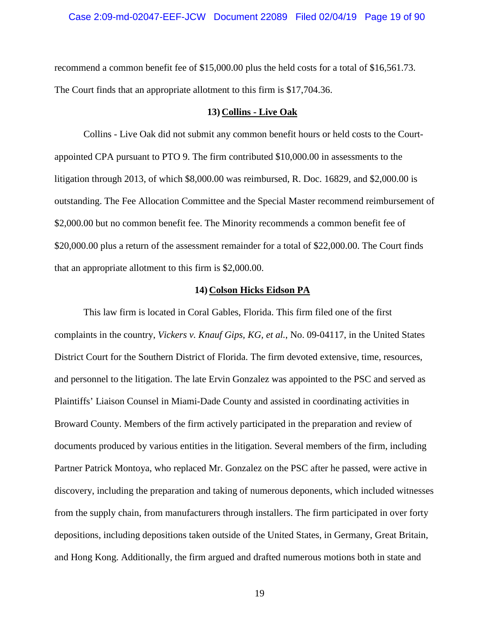recommend a common benefit fee of \$15,000.00 plus the held costs for a total of \$16,561.73. The Court finds that an appropriate allotment to this firm is \$17,704.36.

#### **13) Collins - Live Oak**

Collins - Live Oak did not submit any common benefit hours or held costs to the Courtappointed CPA pursuant to PTO 9. The firm contributed \$10,000.00 in assessments to the litigation through 2013, of which \$8,000.00 was reimbursed, R. Doc. 16829, and \$2,000.00 is outstanding. The Fee Allocation Committee and the Special Master recommend reimbursement of \$2,000.00 but no common benefit fee. The Minority recommends a common benefit fee of \$20,000.00 plus a return of the assessment remainder for a total of \$22,000.00. The Court finds that an appropriate allotment to this firm is \$2,000.00.

#### **14) Colson Hicks Eidson PA**

This law firm is located in Coral Gables, Florida. This firm filed one of the first complaints in the country, *Vickers v. Knauf Gips, KG, et al.*, No. 09-04117, in the United States District Court for the Southern District of Florida. The firm devoted extensive, time, resources, and personnel to the litigation. The late Ervin Gonzalez was appointed to the PSC and served as Plaintiffs' Liaison Counsel in Miami-Dade County and assisted in coordinating activities in Broward County. Members of the firm actively participated in the preparation and review of documents produced by various entities in the litigation. Several members of the firm, including Partner Patrick Montoya, who replaced Mr. Gonzalez on the PSC after he passed, were active in discovery, including the preparation and taking of numerous deponents, which included witnesses from the supply chain, from manufacturers through installers. The firm participated in over forty depositions, including depositions taken outside of the United States, in Germany, Great Britain, and Hong Kong. Additionally, the firm argued and drafted numerous motions both in state and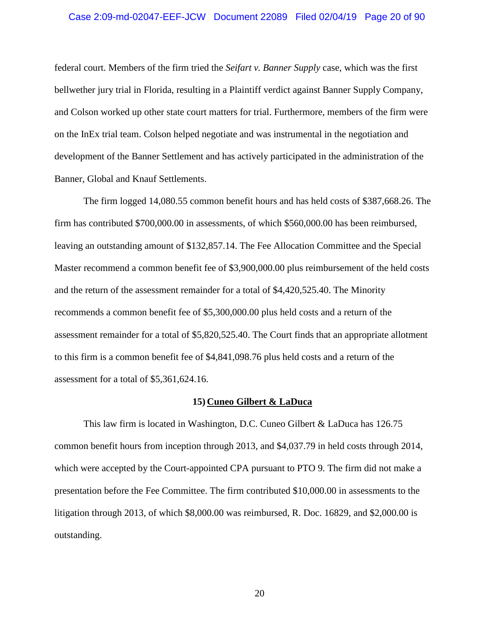#### Case 2:09-md-02047-EEF-JCW Document 22089 Filed 02/04/19 Page 20 of 90

federal court. Members of the firm tried the *Seifart v. Banner Supply* case, which was the first bellwether jury trial in Florida, resulting in a Plaintiff verdict against Banner Supply Company, and Colson worked up other state court matters for trial. Furthermore, members of the firm were on the InEx trial team. Colson helped negotiate and was instrumental in the negotiation and development of the Banner Settlement and has actively participated in the administration of the Banner, Global and Knauf Settlements.

The firm logged 14,080.55 common benefit hours and has held costs of \$387,668.26. The firm has contributed \$700,000.00 in assessments, of which \$560,000.00 has been reimbursed, leaving an outstanding amount of \$132,857.14. The Fee Allocation Committee and the Special Master recommend a common benefit fee of \$3,900,000.00 plus reimbursement of the held costs and the return of the assessment remainder for a total of \$4,420,525.40. The Minority recommends a common benefit fee of \$5,300,000.00 plus held costs and a return of the assessment remainder for a total of \$5,820,525.40. The Court finds that an appropriate allotment to this firm is a common benefit fee of \$4,841,098.76 plus held costs and a return of the assessment for a total of \$5,361,624.16.

#### **15) Cuneo Gilbert & LaDuca**

This law firm is located in Washington, D.C. Cuneo Gilbert & LaDuca has 126.75 common benefit hours from inception through 2013, and \$4,037.79 in held costs through 2014, which were accepted by the Court-appointed CPA pursuant to PTO 9. The firm did not make a presentation before the Fee Committee. The firm contributed \$10,000.00 in assessments to the litigation through 2013, of which \$8,000.00 was reimbursed, R. Doc. 16829, and \$2,000.00 is outstanding.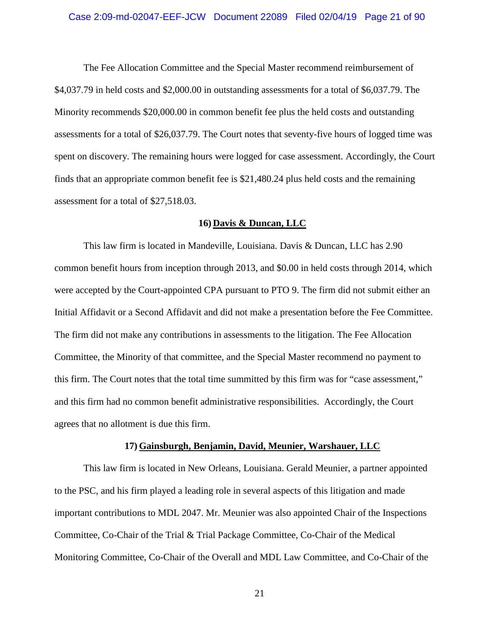#### Case 2:09-md-02047-EEF-JCW Document 22089 Filed 02/04/19 Page 21 of 90

The Fee Allocation Committee and the Special Master recommend reimbursement of \$4,037.79 in held costs and \$2,000.00 in outstanding assessments for a total of \$6,037.79. The Minority recommends \$20,000.00 in common benefit fee plus the held costs and outstanding assessments for a total of \$26,037.79. The Court notes that seventy-five hours of logged time was spent on discovery. The remaining hours were logged for case assessment. Accordingly, the Court finds that an appropriate common benefit fee is \$21,480.24 plus held costs and the remaining assessment for a total of \$27,518.03.

#### **16) Davis & Duncan, LLC**

This law firm is located in Mandeville, Louisiana. Davis & Duncan, LLC has 2.90 common benefit hours from inception through 2013, and \$0.00 in held costs through 2014, which were accepted by the Court-appointed CPA pursuant to PTO 9. The firm did not submit either an Initial Affidavit or a Second Affidavit and did not make a presentation before the Fee Committee. The firm did not make any contributions in assessments to the litigation. The Fee Allocation Committee, the Minority of that committee, and the Special Master recommend no payment to this firm. The Court notes that the total time summitted by this firm was for "case assessment," and this firm had no common benefit administrative responsibilities. Accordingly, the Court agrees that no allotment is due this firm.

#### **17) Gainsburgh, Benjamin, David, Meunier, Warshauer, LLC**

This law firm is located in New Orleans, Louisiana. Gerald Meunier, a partner appointed to the PSC, and his firm played a leading role in several aspects of this litigation and made important contributions to MDL 2047. Mr. Meunier was also appointed Chair of the Inspections Committee, Co-Chair of the Trial & Trial Package Committee, Co-Chair of the Medical Monitoring Committee, Co-Chair of the Overall and MDL Law Committee, and Co-Chair of the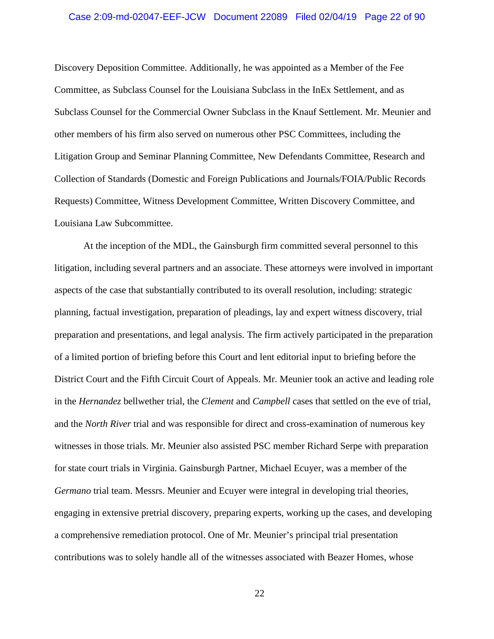#### Case 2:09-md-02047-EEF-JCW Document 22089 Filed 02/04/19 Page 22 of 90

Discovery Deposition Committee. Additionally, he was appointed as a Member of the Fee Committee, as Subclass Counsel for the Louisiana Subclass in the InEx Settlement, and as Subclass Counsel for the Commercial Owner Subclass in the Knauf Settlement. Mr. Meunier and other members of his firm also served on numerous other PSC Committees, including the Litigation Group and Seminar Planning Committee, New Defendants Committee, Research and Collection of Standards (Domestic and Foreign Publications and Journals/FOIA/Public Records Requests) Committee, Witness Development Committee, Written Discovery Committee, and Louisiana Law Subcommittee.

At the inception of the MDL, the Gainsburgh firm committed several personnel to this litigation, including several partners and an associate. These attorneys were involved in important aspects of the case that substantially contributed to its overall resolution, including: strategic planning, factual investigation, preparation of pleadings, lay and expert witness discovery, trial preparation and presentations, and legal analysis. The firm actively participated in the preparation of a limited portion of briefing before this Court and lent editorial input to briefing before the District Court and the Fifth Circuit Court of Appeals. Mr. Meunier took an active and leading role in the *Hernandez* bellwether trial, the *Clement* and *Campbell* cases that settled on the eve of trial, and the *North River* trial and was responsible for direct and cross-examination of numerous key witnesses in those trials. Mr. Meunier also assisted PSC member Richard Serpe with preparation for state court trials in Virginia. Gainsburgh Partner, Michael Ecuyer, was a member of the *Germano* trial team. Messrs. Meunier and Ecuyer were integral in developing trial theories, engaging in extensive pretrial discovery, preparing experts, working up the cases, and developing a comprehensive remediation protocol. One of Mr. Meunier's principal trial presentation contributions was to solely handle all of the witnesses associated with Beazer Homes, whose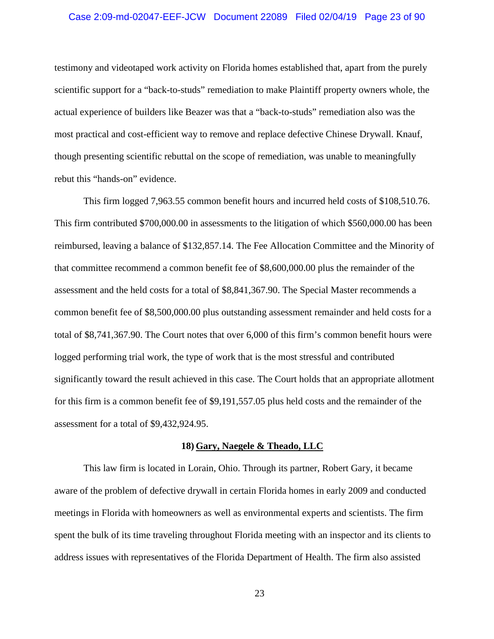#### Case 2:09-md-02047-EEF-JCW Document 22089 Filed 02/04/19 Page 23 of 90

testimony and videotaped work activity on Florida homes established that, apart from the purely scientific support for a "back-to-studs" remediation to make Plaintiff property owners whole, the actual experience of builders like Beazer was that a "back-to-studs" remediation also was the most practical and cost-efficient way to remove and replace defective Chinese Drywall. Knauf, though presenting scientific rebuttal on the scope of remediation, was unable to meaningfully rebut this "hands-on" evidence.

This firm logged 7,963.55 common benefit hours and incurred held costs of \$108,510.76. This firm contributed \$700,000.00 in assessments to the litigation of which \$560,000.00 has been reimbursed, leaving a balance of \$132,857.14. The Fee Allocation Committee and the Minority of that committee recommend a common benefit fee of \$8,600,000.00 plus the remainder of the assessment and the held costs for a total of \$8,841,367.90. The Special Master recommends a common benefit fee of \$8,500,000.00 plus outstanding assessment remainder and held costs for a total of \$8,741,367.90. The Court notes that over 6,000 of this firm's common benefit hours were logged performing trial work, the type of work that is the most stressful and contributed significantly toward the result achieved in this case. The Court holds that an appropriate allotment for this firm is a common benefit fee of \$9,191,557.05 plus held costs and the remainder of the assessment for a total of \$9,432,924.95.

#### **18) Gary, Naegele & Theado, LLC**

This law firm is located in Lorain, Ohio. Through its partner, Robert Gary, it became aware of the problem of defective drywall in certain Florida homes in early 2009 and conducted meetings in Florida with homeowners as well as environmental experts and scientists. The firm spent the bulk of its time traveling throughout Florida meeting with an inspector and its clients to address issues with representatives of the Florida Department of Health. The firm also assisted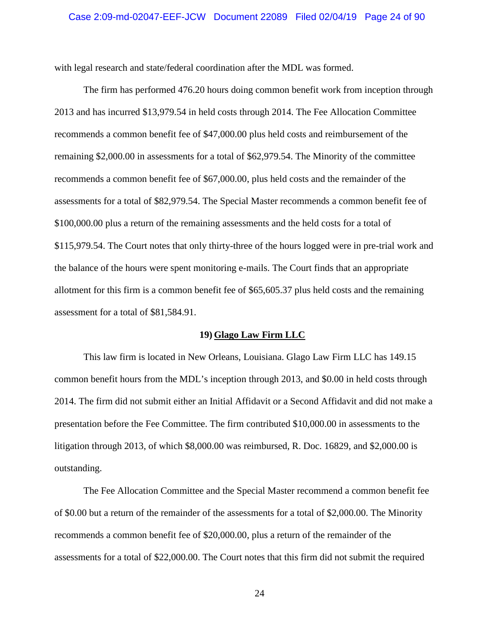with legal research and state/federal coordination after the MDL was formed.

The firm has performed 476.20 hours doing common benefit work from inception through 2013 and has incurred \$13,979.54 in held costs through 2014. The Fee Allocation Committee recommends a common benefit fee of \$47,000.00 plus held costs and reimbursement of the remaining \$2,000.00 in assessments for a total of \$62,979.54. The Minority of the committee recommends a common benefit fee of \$67,000.00, plus held costs and the remainder of the assessments for a total of \$82,979.54. The Special Master recommends a common benefit fee of \$100,000.00 plus a return of the remaining assessments and the held costs for a total of \$115,979.54. The Court notes that only thirty-three of the hours logged were in pre-trial work and the balance of the hours were spent monitoring e-mails. The Court finds that an appropriate allotment for this firm is a common benefit fee of \$65,605.37 plus held costs and the remaining assessment for a total of \$81,584.91.

### **19) Glago Law Firm LLC**

This law firm is located in New Orleans, Louisiana. Glago Law Firm LLC has 149.15 common benefit hours from the MDL's inception through 2013, and \$0.00 in held costs through 2014. The firm did not submit either an Initial Affidavit or a Second Affidavit and did not make a presentation before the Fee Committee. The firm contributed \$10,000.00 in assessments to the litigation through 2013, of which \$8,000.00 was reimbursed, R. Doc. 16829, and \$2,000.00 is outstanding.

The Fee Allocation Committee and the Special Master recommend a common benefit fee of \$0.00 but a return of the remainder of the assessments for a total of \$2,000.00. The Minority recommends a common benefit fee of \$20,000.00, plus a return of the remainder of the assessments for a total of \$22,000.00. The Court notes that this firm did not submit the required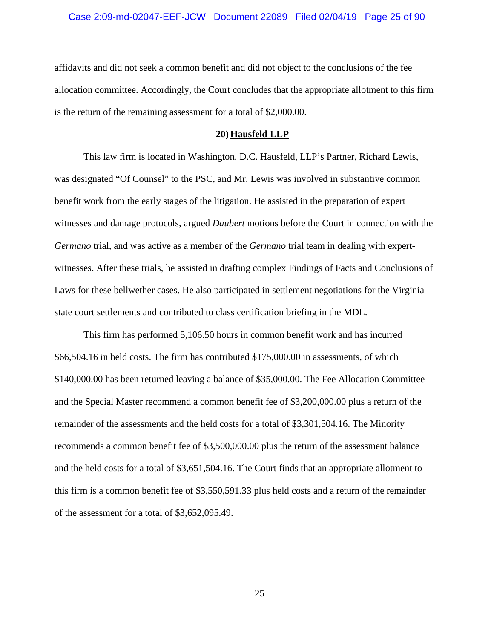affidavits and did not seek a common benefit and did not object to the conclusions of the fee allocation committee. Accordingly, the Court concludes that the appropriate allotment to this firm is the return of the remaining assessment for a total of \$2,000.00.

#### **20) Hausfeld LLP**

This law firm is located in Washington, D.C. Hausfeld, LLP's Partner, Richard Lewis, was designated "Of Counsel" to the PSC, and Mr. Lewis was involved in substantive common benefit work from the early stages of the litigation. He assisted in the preparation of expert witnesses and damage protocols, argued *Daubert* motions before the Court in connection with the *Germano* trial, and was active as a member of the *Germano* trial team in dealing with expertwitnesses. After these trials, he assisted in drafting complex Findings of Facts and Conclusions of Laws for these bellwether cases. He also participated in settlement negotiations for the Virginia state court settlements and contributed to class certification briefing in the MDL.

This firm has performed 5,106.50 hours in common benefit work and has incurred \$66,504.16 in held costs. The firm has contributed \$175,000.00 in assessments, of which \$140,000.00 has been returned leaving a balance of \$35,000.00. The Fee Allocation Committee and the Special Master recommend a common benefit fee of \$3,200,000.00 plus a return of the remainder of the assessments and the held costs for a total of \$3,301,504.16. The Minority recommends a common benefit fee of \$3,500,000.00 plus the return of the assessment balance and the held costs for a total of \$3,651,504.16. The Court finds that an appropriate allotment to this firm is a common benefit fee of \$3,550,591.33 plus held costs and a return of the remainder of the assessment for a total of \$3,652,095.49.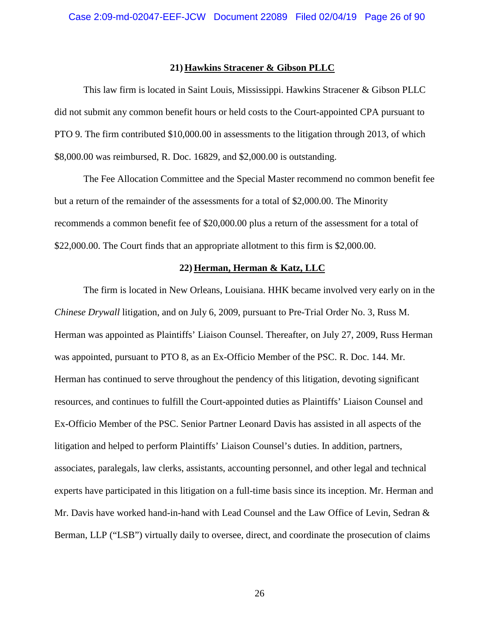#### **21) Hawkins Stracener & Gibson PLLC**

This law firm is located in Saint Louis, Mississippi. Hawkins Stracener & Gibson PLLC did not submit any common benefit hours or held costs to the Court-appointed CPA pursuant to PTO 9. The firm contributed \$10,000.00 in assessments to the litigation through 2013, of which \$8,000.00 was reimbursed, R. Doc. 16829, and \$2,000.00 is outstanding.

The Fee Allocation Committee and the Special Master recommend no common benefit fee but a return of the remainder of the assessments for a total of \$2,000.00. The Minority recommends a common benefit fee of \$20,000.00 plus a return of the assessment for a total of \$22,000.00. The Court finds that an appropriate allotment to this firm is \$2,000.00.

#### **22) Herman, Herman & Katz, LLC**

The firm is located in New Orleans, Louisiana. HHK became involved very early on in the *Chinese Drywall* litigation, and on July 6, 2009, pursuant to Pre-Trial Order No. 3, Russ M. Herman was appointed as Plaintiffs' Liaison Counsel. Thereafter, on July 27, 2009, Russ Herman was appointed, pursuant to PTO 8, as an Ex-Officio Member of the PSC. R. Doc. 144. Mr. Herman has continued to serve throughout the pendency of this litigation, devoting significant resources, and continues to fulfill the Court-appointed duties as Plaintiffs' Liaison Counsel and Ex-Officio Member of the PSC. Senior Partner Leonard Davis has assisted in all aspects of the litigation and helped to perform Plaintiffs' Liaison Counsel's duties. In addition, partners, associates, paralegals, law clerks, assistants, accounting personnel, and other legal and technical experts have participated in this litigation on a full-time basis since its inception. Mr. Herman and Mr. Davis have worked hand-in-hand with Lead Counsel and the Law Office of Levin, Sedran  $\&$ Berman, LLP ("LSB") virtually daily to oversee, direct, and coordinate the prosecution of claims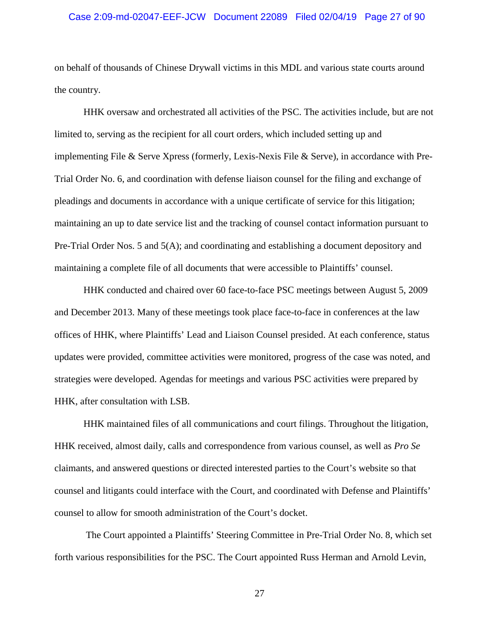#### Case 2:09-md-02047-EEF-JCW Document 22089 Filed 02/04/19 Page 27 of 90

on behalf of thousands of Chinese Drywall victims in this MDL and various state courts around the country.

HHK oversaw and orchestrated all activities of the PSC. The activities include, but are not limited to, serving as the recipient for all court orders, which included setting up and implementing File & Serve Xpress (formerly, Lexis-Nexis File & Serve), in accordance with Pre-Trial Order No. 6, and coordination with defense liaison counsel for the filing and exchange of pleadings and documents in accordance with a unique certificate of service for this litigation; maintaining an up to date service list and the tracking of counsel contact information pursuant to Pre-Trial Order Nos. 5 and 5(A); and coordinating and establishing a document depository and maintaining a complete file of all documents that were accessible to Plaintiffs' counsel.

HHK conducted and chaired over 60 face-to-face PSC meetings between August 5, 2009 and December 2013. Many of these meetings took place face-to-face in conferences at the law offices of HHK, where Plaintiffs' Lead and Liaison Counsel presided. At each conference, status updates were provided, committee activities were monitored, progress of the case was noted, and strategies were developed. Agendas for meetings and various PSC activities were prepared by HHK, after consultation with LSB.

HHK maintained files of all communications and court filings. Throughout the litigation, HHK received, almost daily, calls and correspondence from various counsel, as well as *Pro Se* claimants, and answered questions or directed interested parties to the Court's website so that counsel and litigants could interface with the Court, and coordinated with Defense and Plaintiffs' counsel to allow for smooth administration of the Court's docket.

The Court appointed a Plaintiffs' Steering Committee in Pre-Trial Order No. 8, which set forth various responsibilities for the PSC. The Court appointed Russ Herman and Arnold Levin,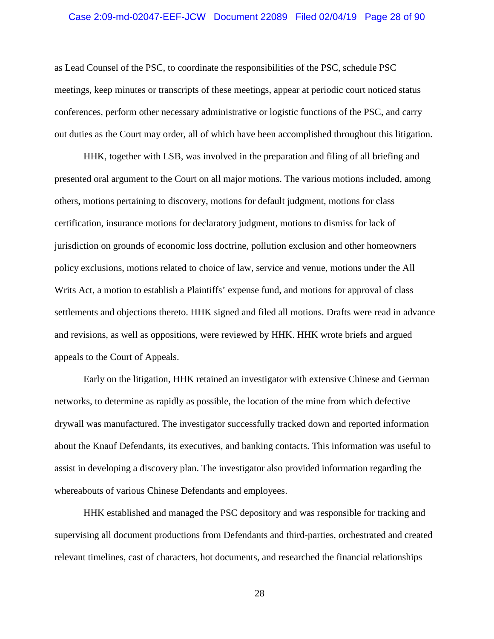#### Case 2:09-md-02047-EEF-JCW Document 22089 Filed 02/04/19 Page 28 of 90

as Lead Counsel of the PSC, to coordinate the responsibilities of the PSC, schedule PSC meetings, keep minutes or transcripts of these meetings, appear at periodic court noticed status conferences, perform other necessary administrative or logistic functions of the PSC, and carry out duties as the Court may order, all of which have been accomplished throughout this litigation.

HHK, together with LSB, was involved in the preparation and filing of all briefing and presented oral argument to the Court on all major motions. The various motions included, among others, motions pertaining to discovery, motions for default judgment, motions for class certification, insurance motions for declaratory judgment, motions to dismiss for lack of jurisdiction on grounds of economic loss doctrine, pollution exclusion and other homeowners policy exclusions, motions related to choice of law, service and venue, motions under the All Writs Act, a motion to establish a Plaintiffs' expense fund, and motions for approval of class settlements and objections thereto. HHK signed and filed all motions. Drafts were read in advance and revisions, as well as oppositions, were reviewed by HHK. HHK wrote briefs and argued appeals to the Court of Appeals.

Early on the litigation, HHK retained an investigator with extensive Chinese and German networks, to determine as rapidly as possible, the location of the mine from which defective drywall was manufactured. The investigator successfully tracked down and reported information about the Knauf Defendants, its executives, and banking contacts. This information was useful to assist in developing a discovery plan. The investigator also provided information regarding the whereabouts of various Chinese Defendants and employees.

HHK established and managed the PSC depository and was responsible for tracking and supervising all document productions from Defendants and third-parties, orchestrated and created relevant timelines, cast of characters, hot documents, and researched the financial relationships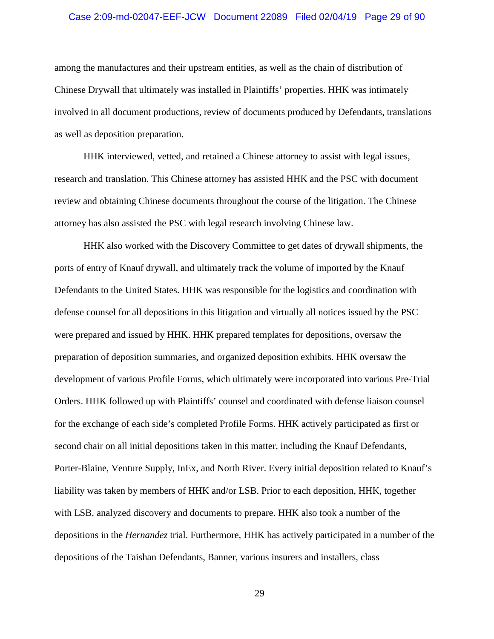#### Case 2:09-md-02047-EEF-JCW Document 22089 Filed 02/04/19 Page 29 of 90

among the manufactures and their upstream entities, as well as the chain of distribution of Chinese Drywall that ultimately was installed in Plaintiffs' properties. HHK was intimately involved in all document productions, review of documents produced by Defendants, translations as well as deposition preparation.

HHK interviewed, vetted, and retained a Chinese attorney to assist with legal issues, research and translation. This Chinese attorney has assisted HHK and the PSC with document review and obtaining Chinese documents throughout the course of the litigation. The Chinese attorney has also assisted the PSC with legal research involving Chinese law.

HHK also worked with the Discovery Committee to get dates of drywall shipments, the ports of entry of Knauf drywall, and ultimately track the volume of imported by the Knauf Defendants to the United States. HHK was responsible for the logistics and coordination with defense counsel for all depositions in this litigation and virtually all notices issued by the PSC were prepared and issued by HHK. HHK prepared templates for depositions, oversaw the preparation of deposition summaries, and organized deposition exhibits. HHK oversaw the development of various Profile Forms, which ultimately were incorporated into various Pre-Trial Orders. HHK followed up with Plaintiffs' counsel and coordinated with defense liaison counsel for the exchange of each side's completed Profile Forms. HHK actively participated as first or second chair on all initial depositions taken in this matter, including the Knauf Defendants, Porter-Blaine, Venture Supply, InEx, and North River. Every initial deposition related to Knauf's liability was taken by members of HHK and/or LSB. Prior to each deposition, HHK, together with LSB, analyzed discovery and documents to prepare. HHK also took a number of the depositions in the *Hernandez* trial. Furthermore, HHK has actively participated in a number of the depositions of the Taishan Defendants, Banner, various insurers and installers, class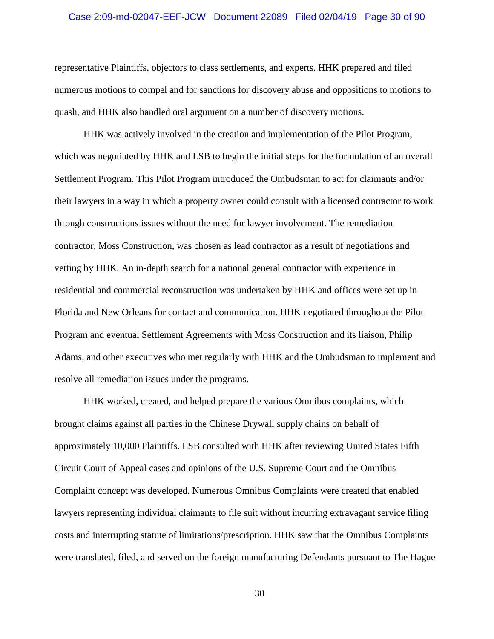#### Case 2:09-md-02047-EEF-JCW Document 22089 Filed 02/04/19 Page 30 of 90

representative Plaintiffs, objectors to class settlements, and experts. HHK prepared and filed numerous motions to compel and for sanctions for discovery abuse and oppositions to motions to quash, and HHK also handled oral argument on a number of discovery motions.

HHK was actively involved in the creation and implementation of the Pilot Program, which was negotiated by HHK and LSB to begin the initial steps for the formulation of an overall Settlement Program. This Pilot Program introduced the Ombudsman to act for claimants and/or their lawyers in a way in which a property owner could consult with a licensed contractor to work through constructions issues without the need for lawyer involvement. The remediation contractor, Moss Construction, was chosen as lead contractor as a result of negotiations and vetting by HHK. An in-depth search for a national general contractor with experience in residential and commercial reconstruction was undertaken by HHK and offices were set up in Florida and New Orleans for contact and communication. HHK negotiated throughout the Pilot Program and eventual Settlement Agreements with Moss Construction and its liaison, Philip Adams, and other executives who met regularly with HHK and the Ombudsman to implement and resolve all remediation issues under the programs.

HHK worked, created, and helped prepare the various Omnibus complaints, which brought claims against all parties in the Chinese Drywall supply chains on behalf of approximately 10,000 Plaintiffs. LSB consulted with HHK after reviewing United States Fifth Circuit Court of Appeal cases and opinions of the U.S. Supreme Court and the Omnibus Complaint concept was developed. Numerous Omnibus Complaints were created that enabled lawyers representing individual claimants to file suit without incurring extravagant service filing costs and interrupting statute of limitations/prescription. HHK saw that the Omnibus Complaints were translated, filed, and served on the foreign manufacturing Defendants pursuant to The Hague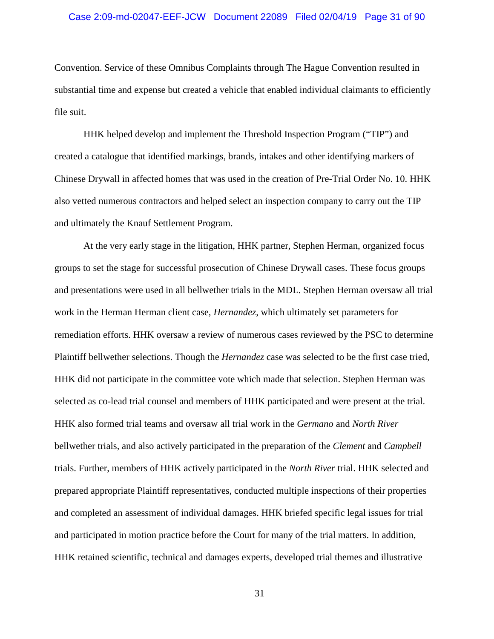#### Case 2:09-md-02047-EEF-JCW Document 22089 Filed 02/04/19 Page 31 of 90

Convention. Service of these Omnibus Complaints through The Hague Convention resulted in substantial time and expense but created a vehicle that enabled individual claimants to efficiently file suit.

HHK helped develop and implement the Threshold Inspection Program ("TIP") and created a catalogue that identified markings, brands, intakes and other identifying markers of Chinese Drywall in affected homes that was used in the creation of Pre-Trial Order No. 10. HHK also vetted numerous contractors and helped select an inspection company to carry out the TIP and ultimately the Knauf Settlement Program.

At the very early stage in the litigation, HHK partner, Stephen Herman, organized focus groups to set the stage for successful prosecution of Chinese Drywall cases. These focus groups and presentations were used in all bellwether trials in the MDL. Stephen Herman oversaw all trial work in the Herman Herman client case, *Hernandez*, which ultimately set parameters for remediation efforts. HHK oversaw a review of numerous cases reviewed by the PSC to determine Plaintiff bellwether selections. Though the *Hernandez* case was selected to be the first case tried, HHK did not participate in the committee vote which made that selection. Stephen Herman was selected as co-lead trial counsel and members of HHK participated and were present at the trial. HHK also formed trial teams and oversaw all trial work in the *Germano* and *North River* bellwether trials, and also actively participated in the preparation of the *Clement* and *Campbell* trials. Further, members of HHK actively participated in the *North River* trial. HHK selected and prepared appropriate Plaintiff representatives, conducted multiple inspections of their properties and completed an assessment of individual damages. HHK briefed specific legal issues for trial and participated in motion practice before the Court for many of the trial matters. In addition, HHK retained scientific, technical and damages experts, developed trial themes and illustrative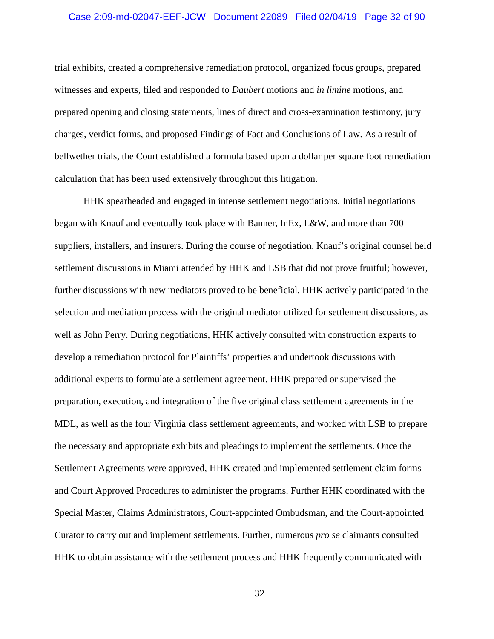#### Case 2:09-md-02047-EEF-JCW Document 22089 Filed 02/04/19 Page 32 of 90

trial exhibits, created a comprehensive remediation protocol, organized focus groups, prepared witnesses and experts, filed and responded to *Daubert* motions and *in limine* motions, and prepared opening and closing statements, lines of direct and cross-examination testimony, jury charges, verdict forms, and proposed Findings of Fact and Conclusions of Law. As a result of bellwether trials, the Court established a formula based upon a dollar per square foot remediation calculation that has been used extensively throughout this litigation.

HHK spearheaded and engaged in intense settlement negotiations. Initial negotiations began with Knauf and eventually took place with Banner, InEx, L&W, and more than 700 suppliers, installers, and insurers. During the course of negotiation, Knauf's original counsel held settlement discussions in Miami attended by HHK and LSB that did not prove fruitful; however, further discussions with new mediators proved to be beneficial. HHK actively participated in the selection and mediation process with the original mediator utilized for settlement discussions, as well as John Perry. During negotiations, HHK actively consulted with construction experts to develop a remediation protocol for Plaintiffs' properties and undertook discussions with additional experts to formulate a settlement agreement. HHK prepared or supervised the preparation, execution, and integration of the five original class settlement agreements in the MDL, as well as the four Virginia class settlement agreements, and worked with LSB to prepare the necessary and appropriate exhibits and pleadings to implement the settlements. Once the Settlement Agreements were approved, HHK created and implemented settlement claim forms and Court Approved Procedures to administer the programs. Further HHK coordinated with the Special Master, Claims Administrators, Court-appointed Ombudsman, and the Court-appointed Curator to carry out and implement settlements. Further, numerous *pro se* claimants consulted HHK to obtain assistance with the settlement process and HHK frequently communicated with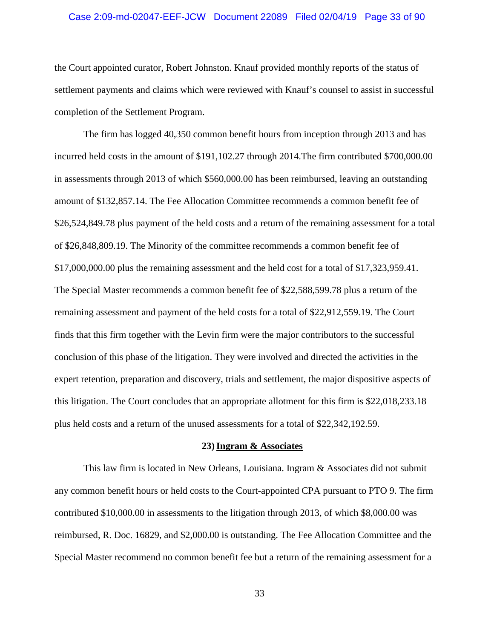#### Case 2:09-md-02047-EEF-JCW Document 22089 Filed 02/04/19 Page 33 of 90

the Court appointed curator, Robert Johnston. Knauf provided monthly reports of the status of settlement payments and claims which were reviewed with Knauf's counsel to assist in successful completion of the Settlement Program.

The firm has logged 40,350 common benefit hours from inception through 2013 and has incurred held costs in the amount of \$191,102.27 through 2014.The firm contributed \$700,000.00 in assessments through 2013 of which \$560,000.00 has been reimbursed, leaving an outstanding amount of \$132,857.14. The Fee Allocation Committee recommends a common benefit fee of \$26,524,849.78 plus payment of the held costs and a return of the remaining assessment for a total of \$26,848,809.19. The Minority of the committee recommends a common benefit fee of \$17,000,000.00 plus the remaining assessment and the held cost for a total of \$17,323,959.41. The Special Master recommends a common benefit fee of \$22,588,599.78 plus a return of the remaining assessment and payment of the held costs for a total of \$22,912,559.19. The Court finds that this firm together with the Levin firm were the major contributors to the successful conclusion of this phase of the litigation. They were involved and directed the activities in the expert retention, preparation and discovery, trials and settlement, the major dispositive aspects of this litigation. The Court concludes that an appropriate allotment for this firm is \$22,018,233.18 plus held costs and a return of the unused assessments for a total of \$22,342,192.59.

#### **23)Ingram & Associates**

This law firm is located in New Orleans, Louisiana. Ingram & Associates did not submit any common benefit hours or held costs to the Court-appointed CPA pursuant to PTO 9. The firm contributed \$10,000.00 in assessments to the litigation through 2013, of which \$8,000.00 was reimbursed, R. Doc. 16829, and \$2,000.00 is outstanding. The Fee Allocation Committee and the Special Master recommend no common benefit fee but a return of the remaining assessment for a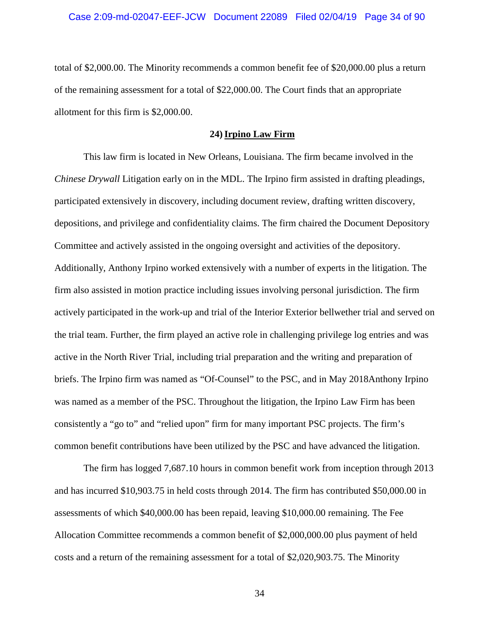total of \$2,000.00. The Minority recommends a common benefit fee of \$20,000.00 plus a return of the remaining assessment for a total of \$22,000.00. The Court finds that an appropriate allotment for this firm is \$2,000.00.

#### **24)Irpino Law Firm**

This law firm is located in New Orleans, Louisiana. The firm became involved in the *Chinese Drywall* Litigation early on in the MDL. The Irpino firm assisted in drafting pleadings, participated extensively in discovery, including document review, drafting written discovery, depositions, and privilege and confidentiality claims. The firm chaired the Document Depository Committee and actively assisted in the ongoing oversight and activities of the depository. Additionally, Anthony Irpino worked extensively with a number of experts in the litigation. The firm also assisted in motion practice including issues involving personal jurisdiction. The firm actively participated in the work-up and trial of the Interior Exterior bellwether trial and served on the trial team. Further, the firm played an active role in challenging privilege log entries and was active in the North River Trial, including trial preparation and the writing and preparation of briefs. The Irpino firm was named as "Of-Counsel" to the PSC, and in May 2018Anthony Irpino was named as a member of the PSC. Throughout the litigation, the Irpino Law Firm has been consistently a "go to" and "relied upon" firm for many important PSC projects. The firm's common benefit contributions have been utilized by the PSC and have advanced the litigation.

The firm has logged 7,687.10 hours in common benefit work from inception through 2013 and has incurred \$10,903.75 in held costs through 2014. The firm has contributed \$50,000.00 in assessments of which \$40,000.00 has been repaid, leaving \$10,000.00 remaining. The Fee Allocation Committee recommends a common benefit of \$2,000,000.00 plus payment of held costs and a return of the remaining assessment for a total of \$2,020,903.75. The Minority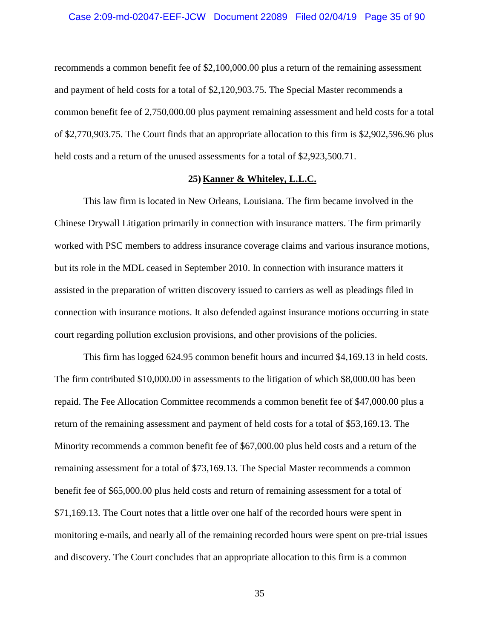recommends a common benefit fee of \$2,100,000.00 plus a return of the remaining assessment and payment of held costs for a total of \$2,120,903.75. The Special Master recommends a common benefit fee of 2,750,000.00 plus payment remaining assessment and held costs for a total of \$2,770,903.75. The Court finds that an appropriate allocation to this firm is \$2,902,596.96 plus held costs and a return of the unused assessments for a total of \$2,923,500.71.

### **25) Kanner & Whiteley, L.L.C.**

This law firm is located in New Orleans, Louisiana. The firm became involved in the Chinese Drywall Litigation primarily in connection with insurance matters. The firm primarily worked with PSC members to address insurance coverage claims and various insurance motions, but its role in the MDL ceased in September 2010. In connection with insurance matters it assisted in the preparation of written discovery issued to carriers as well as pleadings filed in connection with insurance motions. It also defended against insurance motions occurring in state court regarding pollution exclusion provisions, and other provisions of the policies.

This firm has logged 624.95 common benefit hours and incurred \$4,169.13 in held costs. The firm contributed \$10,000.00 in assessments to the litigation of which \$8,000.00 has been repaid. The Fee Allocation Committee recommends a common benefit fee of \$47,000.00 plus a return of the remaining assessment and payment of held costs for a total of \$53,169.13. The Minority recommends a common benefit fee of \$67,000.00 plus held costs and a return of the remaining assessment for a total of \$73,169.13. The Special Master recommends a common benefit fee of \$65,000.00 plus held costs and return of remaining assessment for a total of \$71,169.13. The Court notes that a little over one half of the recorded hours were spent in monitoring e-mails, and nearly all of the remaining recorded hours were spent on pre-trial issues and discovery. The Court concludes that an appropriate allocation to this firm is a common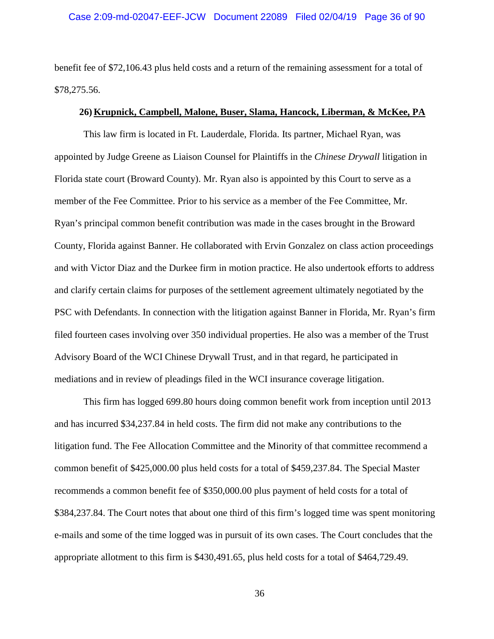benefit fee of \$72,106.43 plus held costs and a return of the remaining assessment for a total of \$78,275.56.

#### **26) Krupnick, Campbell, Malone, Buser, Slama, Hancock, Liberman, & McKee, PA**

This law firm is located in Ft. Lauderdale, Florida. Its partner, Michael Ryan, was appointed by Judge Greene as Liaison Counsel for Plaintiffs in the *Chinese Drywall* litigation in Florida state court (Broward County). Mr. Ryan also is appointed by this Court to serve as a member of the Fee Committee. Prior to his service as a member of the Fee Committee, Mr. Ryan's principal common benefit contribution was made in the cases brought in the Broward County, Florida against Banner. He collaborated with Ervin Gonzalez on class action proceedings and with Victor Diaz and the Durkee firm in motion practice. He also undertook efforts to address and clarify certain claims for purposes of the settlement agreement ultimately negotiated by the PSC with Defendants. In connection with the litigation against Banner in Florida, Mr. Ryan's firm filed fourteen cases involving over 350 individual properties. He also was a member of the Trust Advisory Board of the WCI Chinese Drywall Trust, and in that regard, he participated in mediations and in review of pleadings filed in the WCI insurance coverage litigation.

This firm has logged 699.80 hours doing common benefit work from inception until 2013 and has incurred \$34,237.84 in held costs. The firm did not make any contributions to the litigation fund. The Fee Allocation Committee and the Minority of that committee recommend a common benefit of \$425,000.00 plus held costs for a total of \$459,237.84. The Special Master recommends a common benefit fee of \$350,000.00 plus payment of held costs for a total of \$384,237.84. The Court notes that about one third of this firm's logged time was spent monitoring e-mails and some of the time logged was in pursuit of its own cases. The Court concludes that the appropriate allotment to this firm is \$430,491.65, plus held costs for a total of \$464,729.49.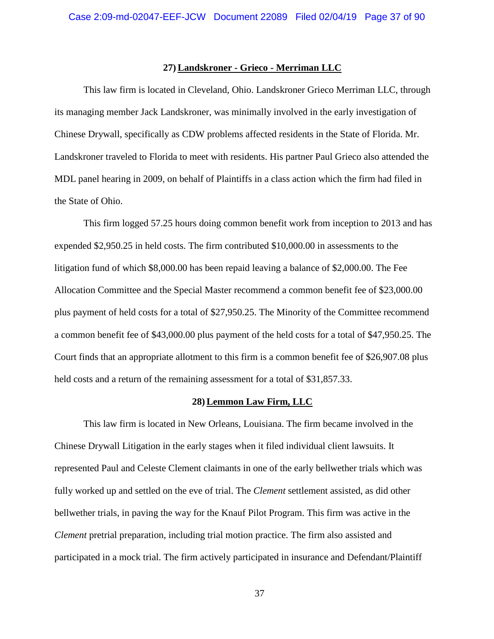#### **27) Landskroner - Grieco - Merriman LLC**

This law firm is located in Cleveland, Ohio. Landskroner Grieco Merriman LLC, through its managing member Jack Landskroner, was minimally involved in the early investigation of Chinese Drywall, specifically as CDW problems affected residents in the State of Florida. Mr. Landskroner traveled to Florida to meet with residents. His partner Paul Grieco also attended the MDL panel hearing in 2009, on behalf of Plaintiffs in a class action which the firm had filed in the State of Ohio.

This firm logged 57.25 hours doing common benefit work from inception to 2013 and has expended \$2,950.25 in held costs. The firm contributed \$10,000.00 in assessments to the litigation fund of which \$8,000.00 has been repaid leaving a balance of \$2,000.00. The Fee Allocation Committee and the Special Master recommend a common benefit fee of \$23,000.00 plus payment of held costs for a total of \$27,950.25. The Minority of the Committee recommend a common benefit fee of \$43,000.00 plus payment of the held costs for a total of \$47,950.25. The Court finds that an appropriate allotment to this firm is a common benefit fee of \$26,907.08 plus held costs and a return of the remaining assessment for a total of \$31,857.33.

#### **28) Lemmon Law Firm, LLC**

This law firm is located in New Orleans, Louisiana. The firm became involved in the Chinese Drywall Litigation in the early stages when it filed individual client lawsuits. It represented Paul and Celeste Clement claimants in one of the early bellwether trials which was fully worked up and settled on the eve of trial. The *Clement* settlement assisted, as did other bellwether trials, in paving the way for the Knauf Pilot Program. This firm was active in the *Clement* pretrial preparation, including trial motion practice. The firm also assisted and participated in a mock trial. The firm actively participated in insurance and Defendant/Plaintiff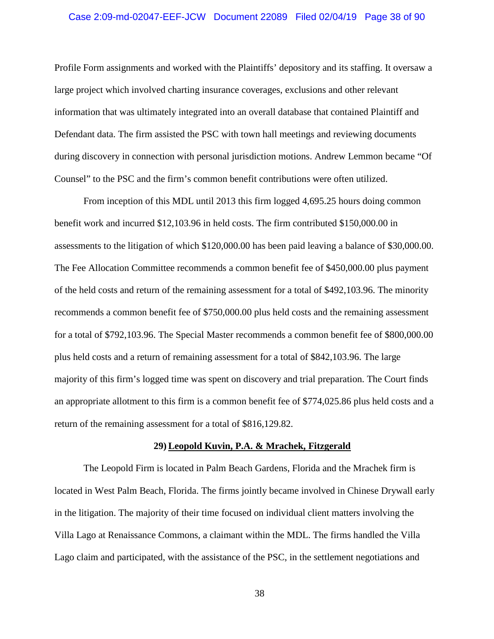### Case 2:09-md-02047-EEF-JCW Document 22089 Filed 02/04/19 Page 38 of 90

Profile Form assignments and worked with the Plaintiffs' depository and its staffing. It oversaw a large project which involved charting insurance coverages, exclusions and other relevant information that was ultimately integrated into an overall database that contained Plaintiff and Defendant data. The firm assisted the PSC with town hall meetings and reviewing documents during discovery in connection with personal jurisdiction motions. Andrew Lemmon became "Of Counsel" to the PSC and the firm's common benefit contributions were often utilized.

From inception of this MDL until 2013 this firm logged 4,695.25 hours doing common benefit work and incurred \$12,103.96 in held costs. The firm contributed \$150,000.00 in assessments to the litigation of which \$120,000.00 has been paid leaving a balance of \$30,000.00. The Fee Allocation Committee recommends a common benefit fee of \$450,000.00 plus payment of the held costs and return of the remaining assessment for a total of \$492,103.96. The minority recommends a common benefit fee of \$750,000.00 plus held costs and the remaining assessment for a total of \$792,103.96. The Special Master recommends a common benefit fee of \$800,000.00 plus held costs and a return of remaining assessment for a total of \$842,103.96. The large majority of this firm's logged time was spent on discovery and trial preparation. The Court finds an appropriate allotment to this firm is a common benefit fee of \$774,025.86 plus held costs and a return of the remaining assessment for a total of \$816,129.82.

## **29) Leopold Kuvin, P.A. & Mrachek, Fitzgerald**

The Leopold Firm is located in Palm Beach Gardens, Florida and the Mrachek firm is located in West Palm Beach, Florida. The firms jointly became involved in Chinese Drywall early in the litigation. The majority of their time focused on individual client matters involving the Villa Lago at Renaissance Commons, a claimant within the MDL. The firms handled the Villa Lago claim and participated, with the assistance of the PSC, in the settlement negotiations and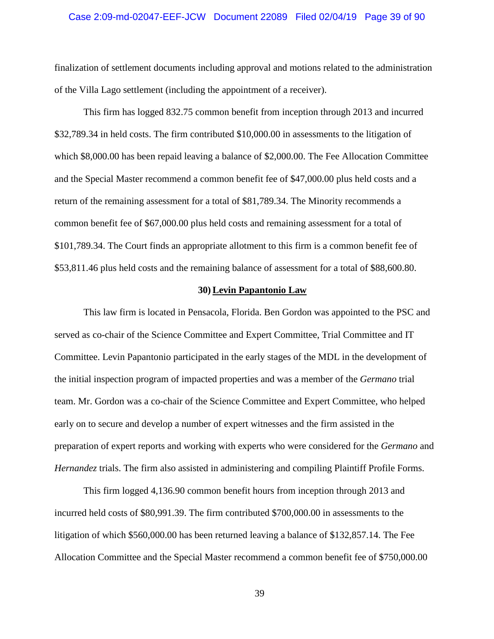### Case 2:09-md-02047-EEF-JCW Document 22089 Filed 02/04/19 Page 39 of 90

finalization of settlement documents including approval and motions related to the administration of the Villa Lago settlement (including the appointment of a receiver).

This firm has logged 832.75 common benefit from inception through 2013 and incurred \$32,789.34 in held costs. The firm contributed \$10,000.00 in assessments to the litigation of which \$8,000.00 has been repaid leaving a balance of \$2,000.00. The Fee Allocation Committee and the Special Master recommend a common benefit fee of \$47,000.00 plus held costs and a return of the remaining assessment for a total of \$81,789.34. The Minority recommends a common benefit fee of \$67,000.00 plus held costs and remaining assessment for a total of \$101,789.34. The Court finds an appropriate allotment to this firm is a common benefit fee of \$53,811.46 plus held costs and the remaining balance of assessment for a total of \$88,600.80.

## **30) Levin Papantonio Law**

This law firm is located in Pensacola, Florida. Ben Gordon was appointed to the PSC and served as co-chair of the Science Committee and Expert Committee, Trial Committee and IT Committee. Levin Papantonio participated in the early stages of the MDL in the development of the initial inspection program of impacted properties and was a member of the *Germano* trial team. Mr. Gordon was a co-chair of the Science Committee and Expert Committee, who helped early on to secure and develop a number of expert witnesses and the firm assisted in the preparation of expert reports and working with experts who were considered for the *Germano* and *Hernandez* trials. The firm also assisted in administering and compiling Plaintiff Profile Forms.

This firm logged 4,136.90 common benefit hours from inception through 2013 and incurred held costs of \$80,991.39. The firm contributed \$700,000.00 in assessments to the litigation of which \$560,000.00 has been returned leaving a balance of \$132,857.14. The Fee Allocation Committee and the Special Master recommend a common benefit fee of \$750,000.00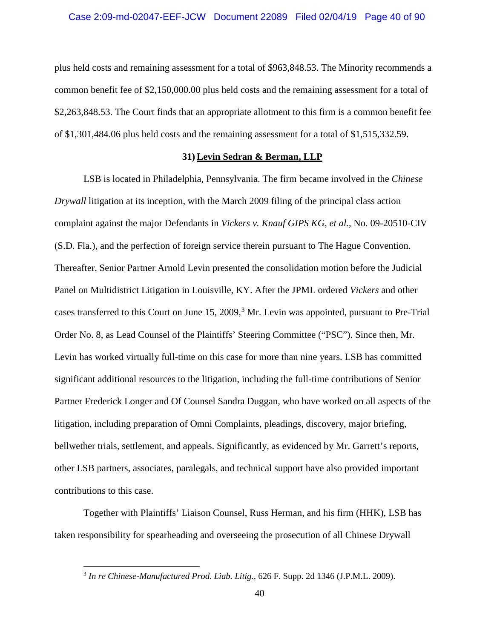plus held costs and remaining assessment for a total of \$963,848.53. The Minority recommends a common benefit fee of \$2,150,000.00 plus held costs and the remaining assessment for a total of \$2,263,848.53. The Court finds that an appropriate allotment to this firm is a common benefit fee of \$1,301,484.06 plus held costs and the remaining assessment for a total of \$1,515,332.59.

## **31) Levin Sedran & Berman, LLP**

LSB is located in Philadelphia, Pennsylvania. The firm became involved in the *Chinese Drywall* litigation at its inception, with the March 2009 filing of the principal class action complaint against the major Defendants in *Vickers v. Knauf GIPS KG, et al.*, No. 09-20510-CIV (S.D. Fla.), and the perfection of foreign service therein pursuant to The Hague Convention. Thereafter, Senior Partner Arnold Levin presented the consolidation motion before the Judicial Panel on Multidistrict Litigation in Louisville, KY. After the JPML ordered *Vickers* and other cases transferred to this Court on June 15, 2009,<sup>3</sup> Mr. Levin was appointed, pursuant to Pre-Trial Order No. 8, as Lead Counsel of the Plaintiffs' Steering Committee ("PSC"). Since then, Mr. Levin has worked virtually full-time on this case for more than nine years. LSB has committed significant additional resources to the litigation, including the full-time contributions of Senior Partner Frederick Longer and Of Counsel Sandra Duggan, who have worked on all aspects of the litigation, including preparation of Omni Complaints, pleadings, discovery, major briefing, bellwether trials, settlement, and appeals. Significantly, as evidenced by Mr. Garrett's reports, other LSB partners, associates, paralegals, and technical support have also provided important contributions to this case.

Together with Plaintiffs' Liaison Counsel, Russ Herman, and his firm (HHK), LSB has taken responsibility for spearheading and overseeing the prosecution of all Chinese Drywall

 $\overline{a}$ 

<sup>3</sup> *In re Chinese-Manufactured Prod. Liab. Litig.*, 626 F. Supp. 2d 1346 (J.P.M.L. 2009).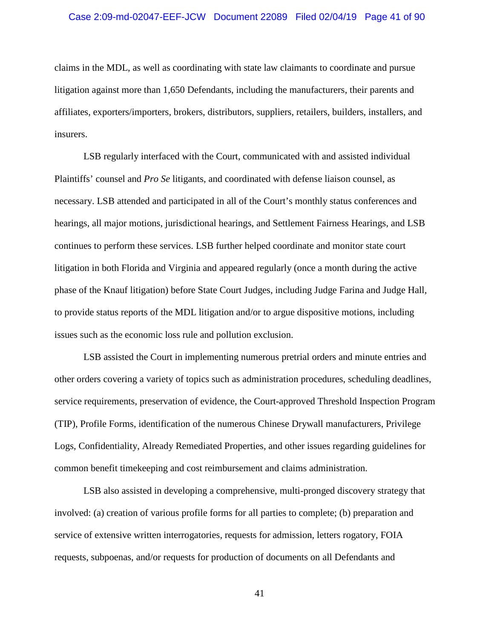### Case 2:09-md-02047-EEF-JCW Document 22089 Filed 02/04/19 Page 41 of 90

claims in the MDL, as well as coordinating with state law claimants to coordinate and pursue litigation against more than 1,650 Defendants, including the manufacturers, their parents and affiliates, exporters/importers, brokers, distributors, suppliers, retailers, builders, installers, and insurers.

LSB regularly interfaced with the Court, communicated with and assisted individual Plaintiffs' counsel and *Pro Se* litigants, and coordinated with defense liaison counsel, as necessary. LSB attended and participated in all of the Court's monthly status conferences and hearings, all major motions, jurisdictional hearings, and Settlement Fairness Hearings, and LSB continues to perform these services. LSB further helped coordinate and monitor state court litigation in both Florida and Virginia and appeared regularly (once a month during the active phase of the Knauf litigation) before State Court Judges, including Judge Farina and Judge Hall, to provide status reports of the MDL litigation and/or to argue dispositive motions, including issues such as the economic loss rule and pollution exclusion.

LSB assisted the Court in implementing numerous pretrial orders and minute entries and other orders covering a variety of topics such as administration procedures, scheduling deadlines, service requirements, preservation of evidence, the Court-approved Threshold Inspection Program (TIP), Profile Forms, identification of the numerous Chinese Drywall manufacturers, Privilege Logs, Confidentiality, Already Remediated Properties, and other issues regarding guidelines for common benefit timekeeping and cost reimbursement and claims administration.

LSB also assisted in developing a comprehensive, multi-pronged discovery strategy that involved: (a) creation of various profile forms for all parties to complete; (b) preparation and service of extensive written interrogatories, requests for admission, letters rogatory, FOIA requests, subpoenas, and/or requests for production of documents on all Defendants and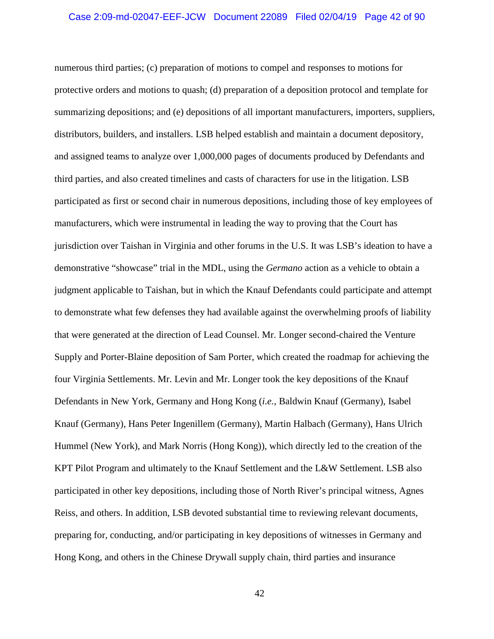numerous third parties; (c) preparation of motions to compel and responses to motions for protective orders and motions to quash; (d) preparation of a deposition protocol and template for summarizing depositions; and (e) depositions of all important manufacturers, importers, suppliers, distributors, builders, and installers. LSB helped establish and maintain a document depository, and assigned teams to analyze over 1,000,000 pages of documents produced by Defendants and third parties, and also created timelines and casts of characters for use in the litigation. LSB participated as first or second chair in numerous depositions, including those of key employees of manufacturers, which were instrumental in leading the way to proving that the Court has jurisdiction over Taishan in Virginia and other forums in the U.S. It was LSB's ideation to have a demonstrative "showcase" trial in the MDL, using the *Germano* action as a vehicle to obtain a judgment applicable to Taishan, but in which the Knauf Defendants could participate and attempt to demonstrate what few defenses they had available against the overwhelming proofs of liability that were generated at the direction of Lead Counsel. Mr. Longer second-chaired the Venture Supply and Porter-Blaine deposition of Sam Porter, which created the roadmap for achieving the four Virginia Settlements. Mr. Levin and Mr. Longer took the key depositions of the Knauf Defendants in New York, Germany and Hong Kong (*i.e.*, Baldwin Knauf (Germany), Isabel Knauf (Germany), Hans Peter Ingenillem (Germany), Martin Halbach (Germany), Hans Ulrich Hummel (New York), and Mark Norris (Hong Kong)), which directly led to the creation of the KPT Pilot Program and ultimately to the Knauf Settlement and the L&W Settlement. LSB also participated in other key depositions, including those of North River's principal witness, Agnes Reiss, and others. In addition, LSB devoted substantial time to reviewing relevant documents, preparing for, conducting, and/or participating in key depositions of witnesses in Germany and Hong Kong, and others in the Chinese Drywall supply chain, third parties and insurance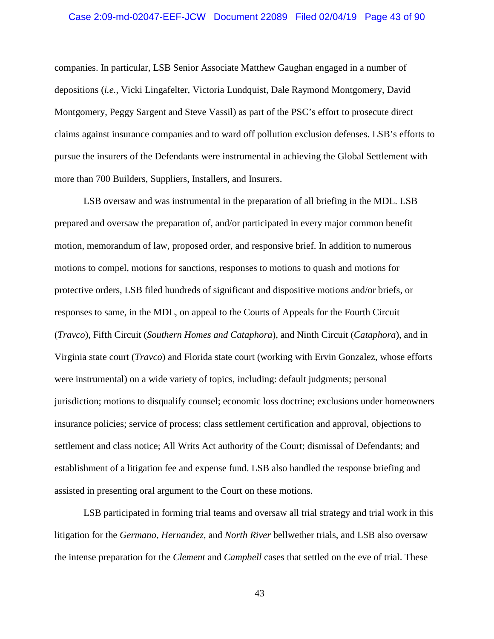### Case 2:09-md-02047-EEF-JCW Document 22089 Filed 02/04/19 Page 43 of 90

companies. In particular, LSB Senior Associate Matthew Gaughan engaged in a number of depositions (*i.e.*, Vicki Lingafelter, Victoria Lundquist, Dale Raymond Montgomery, David Montgomery, Peggy Sargent and Steve Vassil) as part of the PSC's effort to prosecute direct claims against insurance companies and to ward off pollution exclusion defenses. LSB's efforts to pursue the insurers of the Defendants were instrumental in achieving the Global Settlement with more than 700 Builders, Suppliers, Installers, and Insurers.

LSB oversaw and was instrumental in the preparation of all briefing in the MDL. LSB prepared and oversaw the preparation of, and/or participated in every major common benefit motion, memorandum of law, proposed order, and responsive brief. In addition to numerous motions to compel, motions for sanctions, responses to motions to quash and motions for protective orders, LSB filed hundreds of significant and dispositive motions and/or briefs, or responses to same, in the MDL, on appeal to the Courts of Appeals for the Fourth Circuit (*Travco*), Fifth Circuit (*Southern Homes and Cataphora*), and Ninth Circuit (*Cataphora*), and in Virginia state court (*Travco*) and Florida state court (working with Ervin Gonzalez, whose efforts were instrumental) on a wide variety of topics, including: default judgments; personal jurisdiction; motions to disqualify counsel; economic loss doctrine; exclusions under homeowners insurance policies; service of process; class settlement certification and approval, objections to settlement and class notice; All Writs Act authority of the Court; dismissal of Defendants; and establishment of a litigation fee and expense fund. LSB also handled the response briefing and assisted in presenting oral argument to the Court on these motions.

LSB participated in forming trial teams and oversaw all trial strategy and trial work in this litigation for the *Germano*, *Hernandez*, and *North River* bellwether trials, and LSB also oversaw the intense preparation for the *Clement* and *Campbell* cases that settled on the eve of trial. These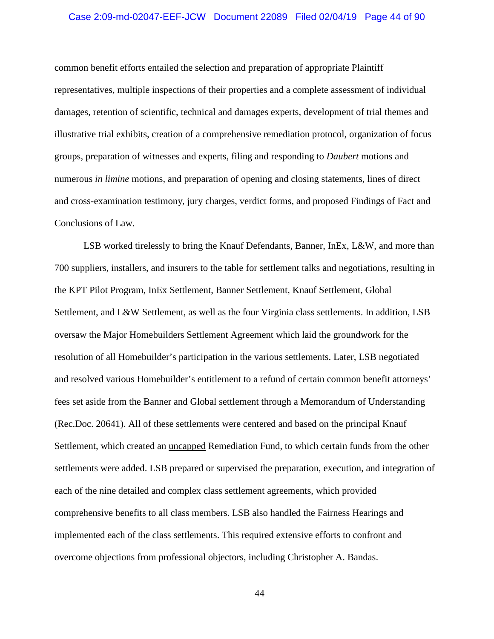#### Case 2:09-md-02047-EEF-JCW Document 22089 Filed 02/04/19 Page 44 of 90

common benefit efforts entailed the selection and preparation of appropriate Plaintiff representatives, multiple inspections of their properties and a complete assessment of individual damages, retention of scientific, technical and damages experts, development of trial themes and illustrative trial exhibits, creation of a comprehensive remediation protocol, organization of focus groups, preparation of witnesses and experts, filing and responding to *Daubert* motions and numerous *in limine* motions, and preparation of opening and closing statements, lines of direct and cross-examination testimony, jury charges, verdict forms, and proposed Findings of Fact and Conclusions of Law.

LSB worked tirelessly to bring the Knauf Defendants, Banner, InEx, L&W, and more than 700 suppliers, installers, and insurers to the table for settlement talks and negotiations, resulting in the KPT Pilot Program, InEx Settlement, Banner Settlement, Knauf Settlement, Global Settlement, and L&W Settlement, as well as the four Virginia class settlements. In addition, LSB oversaw the Major Homebuilders Settlement Agreement which laid the groundwork for the resolution of all Homebuilder's participation in the various settlements. Later, LSB negotiated and resolved various Homebuilder's entitlement to a refund of certain common benefit attorneys' fees set aside from the Banner and Global settlement through a Memorandum of Understanding (Rec.Doc. 20641). All of these settlements were centered and based on the principal Knauf Settlement, which created an uncapped Remediation Fund, to which certain funds from the other settlements were added. LSB prepared or supervised the preparation, execution, and integration of each of the nine detailed and complex class settlement agreements, which provided comprehensive benefits to all class members. LSB also handled the Fairness Hearings and implemented each of the class settlements. This required extensive efforts to confront and overcome objections from professional objectors, including Christopher A. Bandas.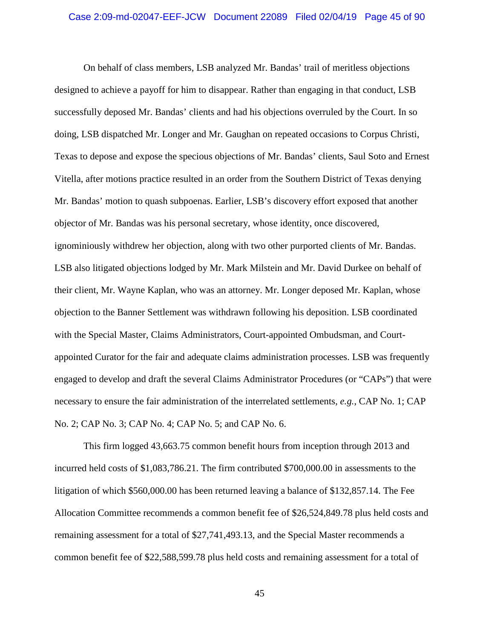On behalf of class members, LSB analyzed Mr. Bandas' trail of meritless objections designed to achieve a payoff for him to disappear. Rather than engaging in that conduct, LSB successfully deposed Mr. Bandas' clients and had his objections overruled by the Court. In so doing, LSB dispatched Mr. Longer and Mr. Gaughan on repeated occasions to Corpus Christi, Texas to depose and expose the specious objections of Mr. Bandas' clients, Saul Soto and Ernest Vitella, after motions practice resulted in an order from the Southern District of Texas denying Mr. Bandas' motion to quash subpoenas. Earlier, LSB's discovery effort exposed that another objector of Mr. Bandas was his personal secretary, whose identity, once discovered, ignominiously withdrew her objection, along with two other purported clients of Mr. Bandas. LSB also litigated objections lodged by Mr. Mark Milstein and Mr. David Durkee on behalf of their client, Mr. Wayne Kaplan, who was an attorney. Mr. Longer deposed Mr. Kaplan, whose objection to the Banner Settlement was withdrawn following his deposition. LSB coordinated with the Special Master, Claims Administrators, Court-appointed Ombudsman, and Courtappointed Curator for the fair and adequate claims administration processes. LSB was frequently engaged to develop and draft the several Claims Administrator Procedures (or "CAPs") that were necessary to ensure the fair administration of the interrelated settlements, *e.g.*, CAP No. 1; CAP No. 2; CAP No. 3; CAP No. 4; CAP No. 5; and CAP No. 6.

This firm logged 43,663.75 common benefit hours from inception through 2013 and incurred held costs of \$1,083,786.21. The firm contributed \$700,000.00 in assessments to the litigation of which \$560,000.00 has been returned leaving a balance of \$132,857.14. The Fee Allocation Committee recommends a common benefit fee of \$26,524,849.78 plus held costs and remaining assessment for a total of \$27,741,493.13, and the Special Master recommends a common benefit fee of \$22,588,599.78 plus held costs and remaining assessment for a total of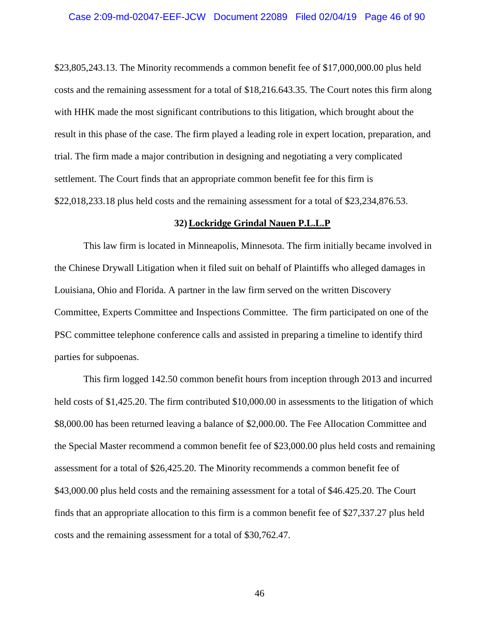\$23,805,243.13. The Minority recommends a common benefit fee of \$17,000,000.00 plus held costs and the remaining assessment for a total of \$18,216.643.35. The Court notes this firm along with HHK made the most significant contributions to this litigation, which brought about the result in this phase of the case. The firm played a leading role in expert location, preparation, and trial. The firm made a major contribution in designing and negotiating a very complicated settlement. The Court finds that an appropriate common benefit fee for this firm is \$22,018,233.18 plus held costs and the remaining assessment for a total of \$23,234,876.53.

## **32) Lockridge Grindal Nauen P.L.L.P**

This law firm is located in Minneapolis, Minnesota. The firm initially became involved in the Chinese Drywall Litigation when it filed suit on behalf of Plaintiffs who alleged damages in Louisiana, Ohio and Florida. A partner in the law firm served on the written Discovery Committee, Experts Committee and Inspections Committee. The firm participated on one of the PSC committee telephone conference calls and assisted in preparing a timeline to identify third parties for subpoenas.

This firm logged 142.50 common benefit hours from inception through 2013 and incurred held costs of \$1,425.20. The firm contributed \$10,000.00 in assessments to the litigation of which \$8,000.00 has been returned leaving a balance of \$2,000.00. The Fee Allocation Committee and the Special Master recommend a common benefit fee of \$23,000.00 plus held costs and remaining assessment for a total of \$26,425.20. The Minority recommends a common benefit fee of \$43,000.00 plus held costs and the remaining assessment for a total of \$46.425.20. The Court finds that an appropriate allocation to this firm is a common benefit fee of \$27,337.27 plus held costs and the remaining assessment for a total of \$30,762.47.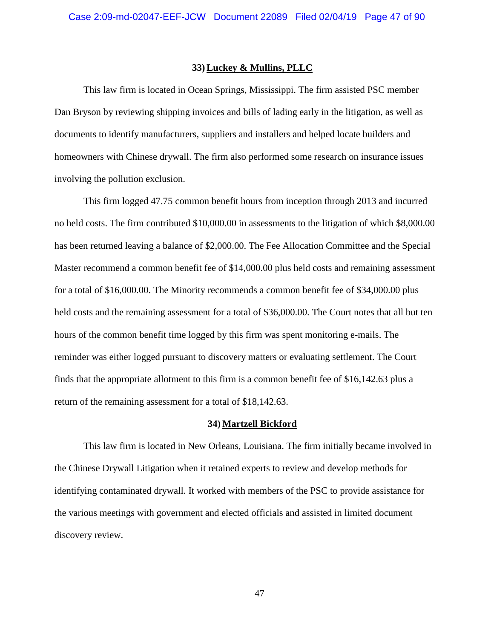#### **33) Luckey & Mullins, PLLC**

This law firm is located in Ocean Springs, Mississippi. The firm assisted PSC member Dan Bryson by reviewing shipping invoices and bills of lading early in the litigation, as well as documents to identify manufacturers, suppliers and installers and helped locate builders and homeowners with Chinese drywall. The firm also performed some research on insurance issues involving the pollution exclusion.

This firm logged 47.75 common benefit hours from inception through 2013 and incurred no held costs. The firm contributed \$10,000.00 in assessments to the litigation of which \$8,000.00 has been returned leaving a balance of \$2,000.00. The Fee Allocation Committee and the Special Master recommend a common benefit fee of \$14,000.00 plus held costs and remaining assessment for a total of \$16,000.00. The Minority recommends a common benefit fee of \$34,000.00 plus held costs and the remaining assessment for a total of \$36,000.00. The Court notes that all but ten hours of the common benefit time logged by this firm was spent monitoring e-mails. The reminder was either logged pursuant to discovery matters or evaluating settlement. The Court finds that the appropriate allotment to this firm is a common benefit fee of \$16,142.63 plus a return of the remaining assessment for a total of \$18,142.63.

### **34) Martzell Bickford**

This law firm is located in New Orleans, Louisiana. The firm initially became involved in the Chinese Drywall Litigation when it retained experts to review and develop methods for identifying contaminated drywall. It worked with members of the PSC to provide assistance for the various meetings with government and elected officials and assisted in limited document discovery review.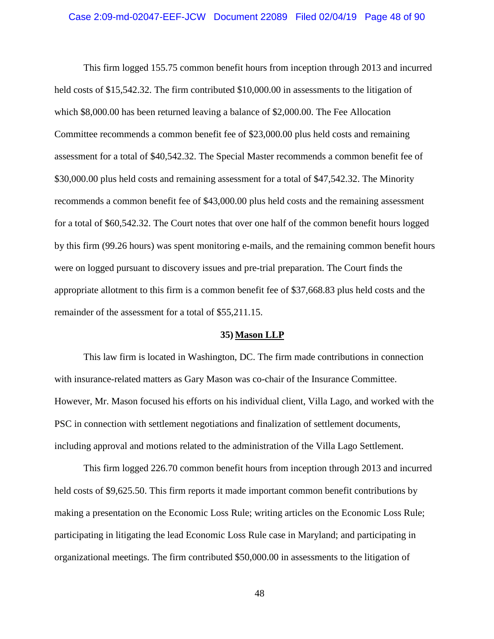### Case 2:09-md-02047-EEF-JCW Document 22089 Filed 02/04/19 Page 48 of 90

This firm logged 155.75 common benefit hours from inception through 2013 and incurred held costs of \$15,542.32. The firm contributed \$10,000.00 in assessments to the litigation of which \$8,000.00 has been returned leaving a balance of \$2,000.00. The Fee Allocation Committee recommends a common benefit fee of \$23,000.00 plus held costs and remaining assessment for a total of \$40,542.32. The Special Master recommends a common benefit fee of \$30,000.00 plus held costs and remaining assessment for a total of \$47,542.32. The Minority recommends a common benefit fee of \$43,000.00 plus held costs and the remaining assessment for a total of \$60,542.32. The Court notes that over one half of the common benefit hours logged by this firm (99.26 hours) was spent monitoring e-mails, and the remaining common benefit hours were on logged pursuant to discovery issues and pre-trial preparation. The Court finds the appropriate allotment to this firm is a common benefit fee of \$37,668.83 plus held costs and the remainder of the assessment for a total of \$55,211.15.

#### **35) Mason LLP**

This law firm is located in Washington, DC. The firm made contributions in connection with insurance-related matters as Gary Mason was co-chair of the Insurance Committee. However, Mr. Mason focused his efforts on his individual client, Villa Lago, and worked with the PSC in connection with settlement negotiations and finalization of settlement documents, including approval and motions related to the administration of the Villa Lago Settlement.

This firm logged 226.70 common benefit hours from inception through 2013 and incurred held costs of \$9,625.50. This firm reports it made important common benefit contributions by making a presentation on the Economic Loss Rule; writing articles on the Economic Loss Rule; participating in litigating the lead Economic Loss Rule case in Maryland; and participating in organizational meetings. The firm contributed \$50,000.00 in assessments to the litigation of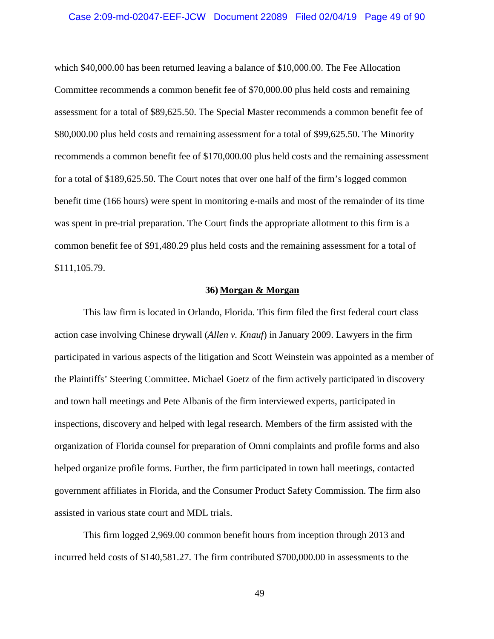### Case 2:09-md-02047-EEF-JCW Document 22089 Filed 02/04/19 Page 49 of 90

which \$40,000.00 has been returned leaving a balance of \$10,000.00. The Fee Allocation Committee recommends a common benefit fee of \$70,000.00 plus held costs and remaining assessment for a total of \$89,625.50. The Special Master recommends a common benefit fee of \$80,000.00 plus held costs and remaining assessment for a total of \$99,625.50. The Minority recommends a common benefit fee of \$170,000.00 plus held costs and the remaining assessment for a total of \$189,625.50. The Court notes that over one half of the firm's logged common benefit time (166 hours) were spent in monitoring e-mails and most of the remainder of its time was spent in pre-trial preparation. The Court finds the appropriate allotment to this firm is a common benefit fee of \$91,480.29 plus held costs and the remaining assessment for a total of \$111,105.79.

## **36) Morgan & Morgan**

This law firm is located in Orlando, Florida. This firm filed the first federal court class action case involving Chinese drywall (*Allen v. Knauf*) in January 2009. Lawyers in the firm participated in various aspects of the litigation and Scott Weinstein was appointed as a member of the Plaintiffs' Steering Committee. Michael Goetz of the firm actively participated in discovery and town hall meetings and Pete Albanis of the firm interviewed experts, participated in inspections, discovery and helped with legal research. Members of the firm assisted with the organization of Florida counsel for preparation of Omni complaints and profile forms and also helped organize profile forms. Further, the firm participated in town hall meetings, contacted government affiliates in Florida, and the Consumer Product Safety Commission. The firm also assisted in various state court and MDL trials.

This firm logged 2,969.00 common benefit hours from inception through 2013 and incurred held costs of \$140,581.27. The firm contributed \$700,000.00 in assessments to the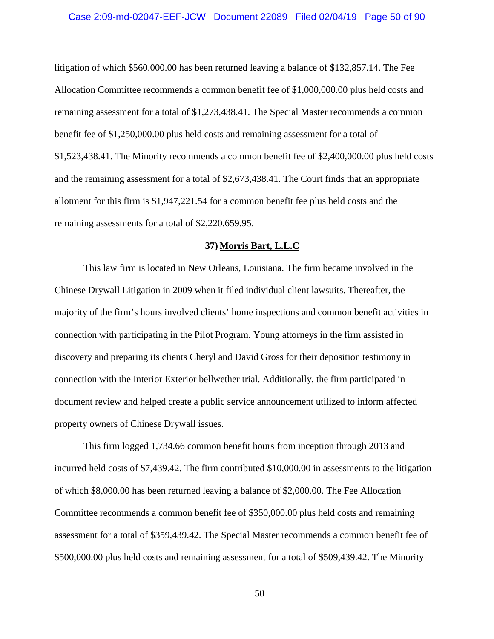### Case 2:09-md-02047-EEF-JCW Document 22089 Filed 02/04/19 Page 50 of 90

litigation of which \$560,000.00 has been returned leaving a balance of \$132,857.14. The Fee Allocation Committee recommends a common benefit fee of \$1,000,000.00 plus held costs and remaining assessment for a total of \$1,273,438.41. The Special Master recommends a common benefit fee of \$1,250,000.00 plus held costs and remaining assessment for a total of \$1,523,438.41. The Minority recommends a common benefit fee of \$2,400,000.00 plus held costs and the remaining assessment for a total of \$2,673,438.41. The Court finds that an appropriate allotment for this firm is \$1,947,221.54 for a common benefit fee plus held costs and the remaining assessments for a total of \$2,220,659.95.

## **37) Morris Bart, L.L.C**

This law firm is located in New Orleans, Louisiana. The firm became involved in the Chinese Drywall Litigation in 2009 when it filed individual client lawsuits. Thereafter, the majority of the firm's hours involved clients' home inspections and common benefit activities in connection with participating in the Pilot Program. Young attorneys in the firm assisted in discovery and preparing its clients Cheryl and David Gross for their deposition testimony in connection with the Interior Exterior bellwether trial. Additionally, the firm participated in document review and helped create a public service announcement utilized to inform affected property owners of Chinese Drywall issues.

This firm logged 1,734.66 common benefit hours from inception through 2013 and incurred held costs of \$7,439.42. The firm contributed \$10,000.00 in assessments to the litigation of which \$8,000.00 has been returned leaving a balance of \$2,000.00. The Fee Allocation Committee recommends a common benefit fee of \$350,000.00 plus held costs and remaining assessment for a total of \$359,439.42. The Special Master recommends a common benefit fee of \$500,000.00 plus held costs and remaining assessment for a total of \$509,439.42. The Minority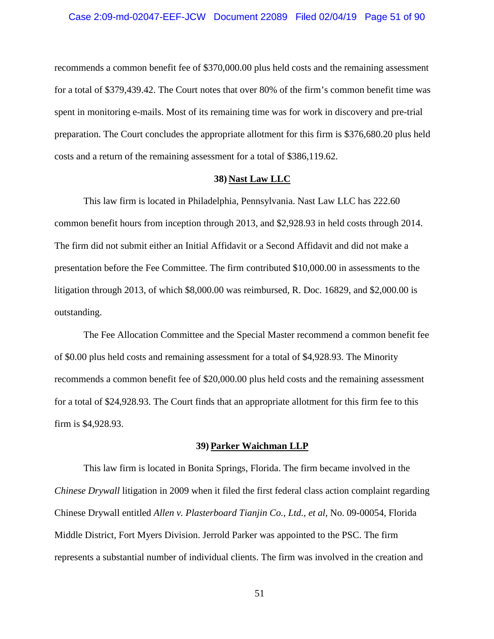recommends a common benefit fee of \$370,000.00 plus held costs and the remaining assessment for a total of \$379,439.42. The Court notes that over 80% of the firm's common benefit time was spent in monitoring e-mails. Most of its remaining time was for work in discovery and pre-trial preparation. The Court concludes the appropriate allotment for this firm is \$376,680.20 plus held costs and a return of the remaining assessment for a total of \$386,119.62.

#### **38) Nast Law LLC**

This law firm is located in Philadelphia, Pennsylvania. Nast Law LLC has 222.60 common benefit hours from inception through 2013, and \$2,928.93 in held costs through 2014. The firm did not submit either an Initial Affidavit or a Second Affidavit and did not make a presentation before the Fee Committee. The firm contributed \$10,000.00 in assessments to the litigation through 2013, of which \$8,000.00 was reimbursed, R. Doc. 16829, and \$2,000.00 is outstanding.

The Fee Allocation Committee and the Special Master recommend a common benefit fee of \$0.00 plus held costs and remaining assessment for a total of \$4,928.93. The Minority recommends a common benefit fee of \$20,000.00 plus held costs and the remaining assessment for a total of \$24,928.93. The Court finds that an appropriate allotment for this firm fee to this firm is \$4,928.93.

#### **39) Parker Waichman LLP**

This law firm is located in Bonita Springs, Florida. The firm became involved in the *Chinese Drywall* litigation in 2009 when it filed the first federal class action complaint regarding Chinese Drywall entitled *Allen v. Plasterboard Tianjin Co., Ltd., et al*, No. 09-00054, Florida Middle District, Fort Myers Division. Jerrold Parker was appointed to the PSC. The firm represents a substantial number of individual clients. The firm was involved in the creation and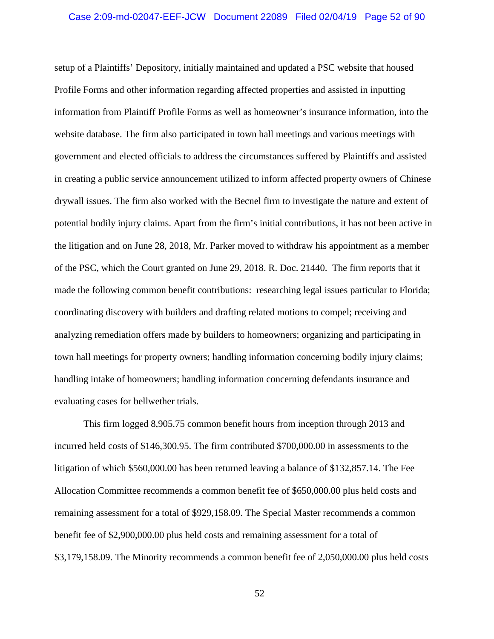setup of a Plaintiffs' Depository, initially maintained and updated a PSC website that housed Profile Forms and other information regarding affected properties and assisted in inputting information from Plaintiff Profile Forms as well as homeowner's insurance information, into the website database. The firm also participated in town hall meetings and various meetings with government and elected officials to address the circumstances suffered by Plaintiffs and assisted in creating a public service announcement utilized to inform affected property owners of Chinese drywall issues. The firm also worked with the Becnel firm to investigate the nature and extent of potential bodily injury claims. Apart from the firm's initial contributions, it has not been active in the litigation and on June 28, 2018, Mr. Parker moved to withdraw his appointment as a member of the PSC, which the Court granted on June 29, 2018. R. Doc. 21440. The firm reports that it made the following common benefit contributions: researching legal issues particular to Florida; coordinating discovery with builders and drafting related motions to compel; receiving and analyzing remediation offers made by builders to homeowners; organizing and participating in town hall meetings for property owners; handling information concerning bodily injury claims; handling intake of homeowners; handling information concerning defendants insurance and evaluating cases for bellwether trials.

This firm logged 8,905.75 common benefit hours from inception through 2013 and incurred held costs of \$146,300.95. The firm contributed \$700,000.00 in assessments to the litigation of which \$560,000.00 has been returned leaving a balance of \$132,857.14. The Fee Allocation Committee recommends a common benefit fee of \$650,000.00 plus held costs and remaining assessment for a total of \$929,158.09. The Special Master recommends a common benefit fee of \$2,900,000.00 plus held costs and remaining assessment for a total of \$3,179,158.09. The Minority recommends a common benefit fee of 2,050,000.00 plus held costs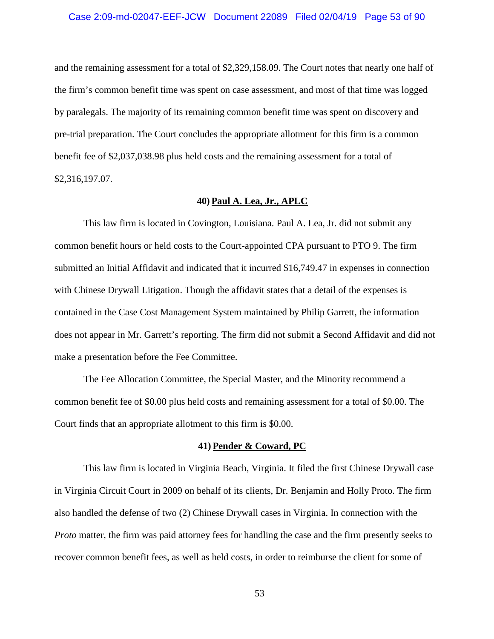and the remaining assessment for a total of \$2,329,158.09. The Court notes that nearly one half of the firm's common benefit time was spent on case assessment, and most of that time was logged by paralegals. The majority of its remaining common benefit time was spent on discovery and pre-trial preparation. The Court concludes the appropriate allotment for this firm is a common benefit fee of \$2,037,038.98 plus held costs and the remaining assessment for a total of \$2,316,197.07.

# **40) Paul A. Lea, Jr., APLC**

This law firm is located in Covington, Louisiana. Paul A. Lea, Jr. did not submit any common benefit hours or held costs to the Court-appointed CPA pursuant to PTO 9. The firm submitted an Initial Affidavit and indicated that it incurred \$16,749.47 in expenses in connection with Chinese Drywall Litigation. Though the affidavit states that a detail of the expenses is contained in the Case Cost Management System maintained by Philip Garrett, the information does not appear in Mr. Garrett's reporting. The firm did not submit a Second Affidavit and did not make a presentation before the Fee Committee.

The Fee Allocation Committee, the Special Master, and the Minority recommend a common benefit fee of \$0.00 plus held costs and remaining assessment for a total of \$0.00. The Court finds that an appropriate allotment to this firm is \$0.00.

# **41) Pender & Coward, PC**

This law firm is located in Virginia Beach, Virginia. It filed the first Chinese Drywall case in Virginia Circuit Court in 2009 on behalf of its clients, Dr. Benjamin and Holly Proto. The firm also handled the defense of two (2) Chinese Drywall cases in Virginia. In connection with the *Proto* matter, the firm was paid attorney fees for handling the case and the firm presently seeks to recover common benefit fees, as well as held costs, in order to reimburse the client for some of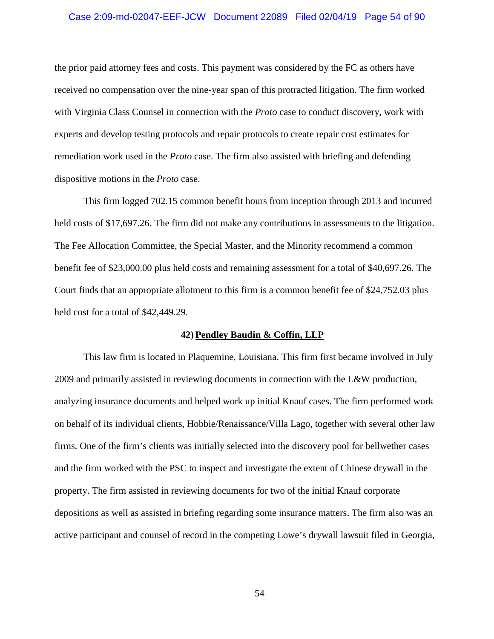### Case 2:09-md-02047-EEF-JCW Document 22089 Filed 02/04/19 Page 54 of 90

the prior paid attorney fees and costs. This payment was considered by the FC as others have received no compensation over the nine-year span of this protracted litigation. The firm worked with Virginia Class Counsel in connection with the *Proto* case to conduct discovery, work with experts and develop testing protocols and repair protocols to create repair cost estimates for remediation work used in the *Proto* case. The firm also assisted with briefing and defending dispositive motions in the *Proto* case.

This firm logged 702.15 common benefit hours from inception through 2013 and incurred held costs of \$17,697.26. The firm did not make any contributions in assessments to the litigation. The Fee Allocation Committee, the Special Master, and the Minority recommend a common benefit fee of \$23,000.00 plus held costs and remaining assessment for a total of \$40,697.26. The Court finds that an appropriate allotment to this firm is a common benefit fee of \$24,752.03 plus held cost for a total of \$42,449.29.

# **42) Pendley Baudin & Coffin, LLP**

This law firm is located in Plaquemine, Louisiana. This firm first became involved in July 2009 and primarily assisted in reviewing documents in connection with the L&W production, analyzing insurance documents and helped work up initial Knauf cases. The firm performed work on behalf of its individual clients, Hobbie/Renaissance/Villa Lago, together with several other law firms. One of the firm's clients was initially selected into the discovery pool for bellwether cases and the firm worked with the PSC to inspect and investigate the extent of Chinese drywall in the property. The firm assisted in reviewing documents for two of the initial Knauf corporate depositions as well as assisted in briefing regarding some insurance matters. The firm also was an active participant and counsel of record in the competing Lowe's drywall lawsuit filed in Georgia,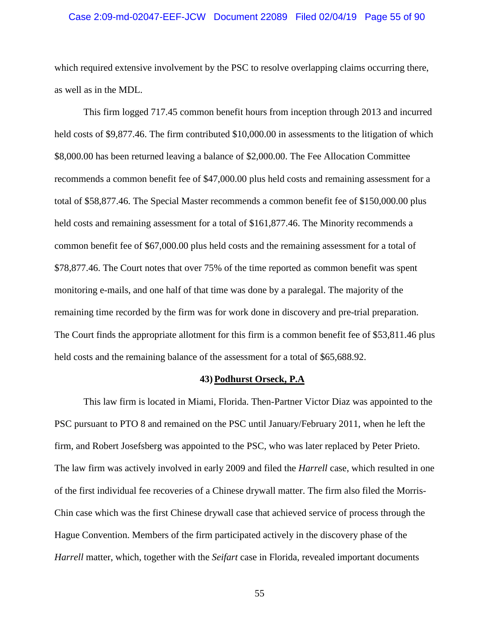### Case 2:09-md-02047-EEF-JCW Document 22089 Filed 02/04/19 Page 55 of 90

which required extensive involvement by the PSC to resolve overlapping claims occurring there, as well as in the MDL.

This firm logged 717.45 common benefit hours from inception through 2013 and incurred held costs of \$9,877.46. The firm contributed \$10,000.00 in assessments to the litigation of which \$8,000.00 has been returned leaving a balance of \$2,000.00. The Fee Allocation Committee recommends a common benefit fee of \$47,000.00 plus held costs and remaining assessment for a total of \$58,877.46. The Special Master recommends a common benefit fee of \$150,000.00 plus held costs and remaining assessment for a total of \$161,877.46. The Minority recommends a common benefit fee of \$67,000.00 plus held costs and the remaining assessment for a total of \$78,877.46. The Court notes that over 75% of the time reported as common benefit was spent monitoring e-mails, and one half of that time was done by a paralegal. The majority of the remaining time recorded by the firm was for work done in discovery and pre-trial preparation. The Court finds the appropriate allotment for this firm is a common benefit fee of \$53,811.46 plus held costs and the remaining balance of the assessment for a total of \$65,688.92.

# **43) Podhurst Orseck, P.A**

This law firm is located in Miami, Florida. Then-Partner Victor Diaz was appointed to the PSC pursuant to PTO 8 and remained on the PSC until January/February 2011, when he left the firm, and Robert Josefsberg was appointed to the PSC, who was later replaced by Peter Prieto. The law firm was actively involved in early 2009 and filed the *Harrell* case, which resulted in one of the first individual fee recoveries of a Chinese drywall matter. The firm also filed the Morris-Chin case which was the first Chinese drywall case that achieved service of process through the Hague Convention. Members of the firm participated actively in the discovery phase of the *Harrell* matter, which, together with the *Seifart* case in Florida, revealed important documents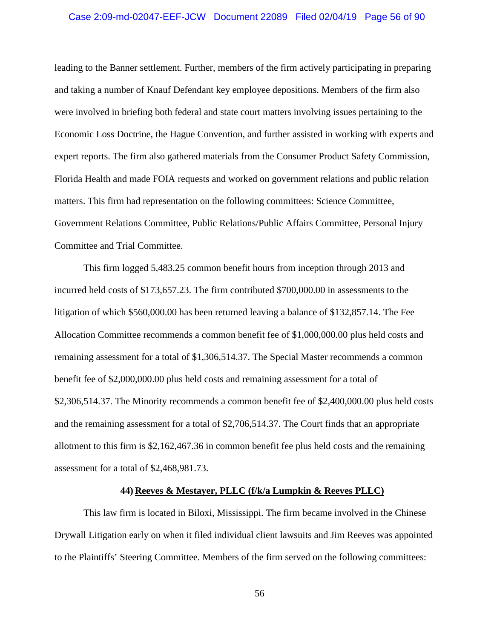### Case 2:09-md-02047-EEF-JCW Document 22089 Filed 02/04/19 Page 56 of 90

leading to the Banner settlement. Further, members of the firm actively participating in preparing and taking a number of Knauf Defendant key employee depositions. Members of the firm also were involved in briefing both federal and state court matters involving issues pertaining to the Economic Loss Doctrine, the Hague Convention, and further assisted in working with experts and expert reports. The firm also gathered materials from the Consumer Product Safety Commission, Florida Health and made FOIA requests and worked on government relations and public relation matters. This firm had representation on the following committees: Science Committee, Government Relations Committee, Public Relations/Public Affairs Committee, Personal Injury Committee and Trial Committee.

This firm logged 5,483.25 common benefit hours from inception through 2013 and incurred held costs of \$173,657.23. The firm contributed \$700,000.00 in assessments to the litigation of which \$560,000.00 has been returned leaving a balance of \$132,857.14. The Fee Allocation Committee recommends a common benefit fee of \$1,000,000.00 plus held costs and remaining assessment for a total of \$1,306,514.37. The Special Master recommends a common benefit fee of \$2,000,000.00 plus held costs and remaining assessment for a total of \$2,306,514.37. The Minority recommends a common benefit fee of \$2,400,000.00 plus held costs and the remaining assessment for a total of \$2,706,514.37. The Court finds that an appropriate allotment to this firm is \$2,162,467.36 in common benefit fee plus held costs and the remaining assessment for a total of \$2,468,981.73.

# **44) Reeves & Mestayer, PLLC (f/k/a Lumpkin & Reeves PLLC)**

This law firm is located in Biloxi, Mississippi. The firm became involved in the Chinese Drywall Litigation early on when it filed individual client lawsuits and Jim Reeves was appointed to the Plaintiffs' Steering Committee. Members of the firm served on the following committees: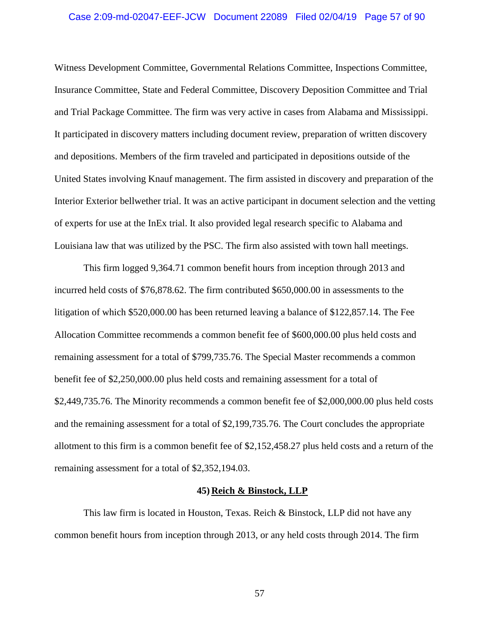## Case 2:09-md-02047-EEF-JCW Document 22089 Filed 02/04/19 Page 57 of 90

Witness Development Committee, Governmental Relations Committee, Inspections Committee, Insurance Committee, State and Federal Committee, Discovery Deposition Committee and Trial and Trial Package Committee. The firm was very active in cases from Alabama and Mississippi. It participated in discovery matters including document review, preparation of written discovery and depositions. Members of the firm traveled and participated in depositions outside of the United States involving Knauf management. The firm assisted in discovery and preparation of the Interior Exterior bellwether trial. It was an active participant in document selection and the vetting of experts for use at the InEx trial. It also provided legal research specific to Alabama and Louisiana law that was utilized by the PSC. The firm also assisted with town hall meetings.

This firm logged 9,364.71 common benefit hours from inception through 2013 and incurred held costs of \$76,878.62. The firm contributed \$650,000.00 in assessments to the litigation of which \$520,000.00 has been returned leaving a balance of \$122,857.14. The Fee Allocation Committee recommends a common benefit fee of \$600,000.00 plus held costs and remaining assessment for a total of \$799,735.76. The Special Master recommends a common benefit fee of \$2,250,000.00 plus held costs and remaining assessment for a total of \$2,449,735.76. The Minority recommends a common benefit fee of \$2,000,000.00 plus held costs and the remaining assessment for a total of \$2,199,735.76. The Court concludes the appropriate allotment to this firm is a common benefit fee of \$2,152,458.27 plus held costs and a return of the remaining assessment for a total of \$2,352,194.03.

# **45) Reich & Binstock, LLP**

This law firm is located in Houston, Texas. Reich & Binstock, LLP did not have any common benefit hours from inception through 2013, or any held costs through 2014. The firm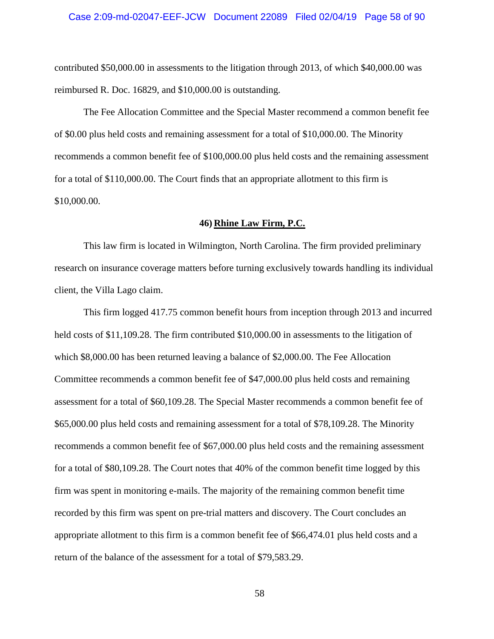contributed \$50,000.00 in assessments to the litigation through 2013, of which \$40,000.00 was reimbursed R. Doc. 16829, and \$10,000.00 is outstanding.

The Fee Allocation Committee and the Special Master recommend a common benefit fee of \$0.00 plus held costs and remaining assessment for a total of \$10,000.00. The Minority recommends a common benefit fee of \$100,000.00 plus held costs and the remaining assessment for a total of \$110,000.00. The Court finds that an appropriate allotment to this firm is \$10,000.00.

## **46) Rhine Law Firm, P.C.**

This law firm is located in Wilmington, North Carolina. The firm provided preliminary research on insurance coverage matters before turning exclusively towards handling its individual client, the Villa Lago claim.

This firm logged 417.75 common benefit hours from inception through 2013 and incurred held costs of \$11,109.28. The firm contributed \$10,000.00 in assessments to the litigation of which \$8,000.00 has been returned leaving a balance of \$2,000.00. The Fee Allocation Committee recommends a common benefit fee of \$47,000.00 plus held costs and remaining assessment for a total of \$60,109.28. The Special Master recommends a common benefit fee of \$65,000.00 plus held costs and remaining assessment for a total of \$78,109.28. The Minority recommends a common benefit fee of \$67,000.00 plus held costs and the remaining assessment for a total of \$80,109.28. The Court notes that 40% of the common benefit time logged by this firm was spent in monitoring e-mails. The majority of the remaining common benefit time recorded by this firm was spent on pre-trial matters and discovery. The Court concludes an appropriate allotment to this firm is a common benefit fee of \$66,474.01 plus held costs and a return of the balance of the assessment for a total of \$79,583.29.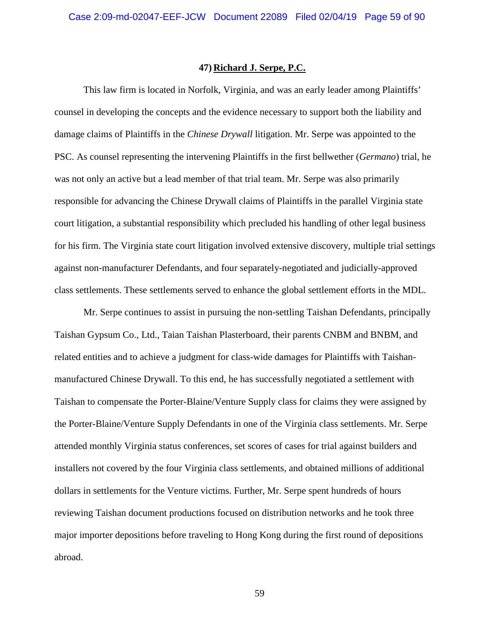## **47) Richard J. Serpe, P.C.**

This law firm is located in Norfolk, Virginia, and was an early leader among Plaintiffs' counsel in developing the concepts and the evidence necessary to support both the liability and damage claims of Plaintiffs in the *Chinese Drywall* litigation. Mr. Serpe was appointed to the PSC. As counsel representing the intervening Plaintiffs in the first bellwether (*Germano*) trial, he was not only an active but a lead member of that trial team. Mr. Serpe was also primarily responsible for advancing the Chinese Drywall claims of Plaintiffs in the parallel Virginia state court litigation, a substantial responsibility which precluded his handling of other legal business for his firm. The Virginia state court litigation involved extensive discovery, multiple trial settings against non-manufacturer Defendants, and four separately-negotiated and judicially-approved class settlements. These settlements served to enhance the global settlement efforts in the MDL.

Mr. Serpe continues to assist in pursuing the non-settling Taishan Defendants, principally Taishan Gypsum Co., Ltd., Taian Taishan Plasterboard, their parents CNBM and BNBM, and related entities and to achieve a judgment for class-wide damages for Plaintiffs with Taishanmanufactured Chinese Drywall. To this end, he has successfully negotiated a settlement with Taishan to compensate the Porter-Blaine/Venture Supply class for claims they were assigned by the Porter-Blaine/Venture Supply Defendants in one of the Virginia class settlements. Mr. Serpe attended monthly Virginia status conferences, set scores of cases for trial against builders and installers not covered by the four Virginia class settlements, and obtained millions of additional dollars in settlements for the Venture victims. Further, Mr. Serpe spent hundreds of hours reviewing Taishan document productions focused on distribution networks and he took three major importer depositions before traveling to Hong Kong during the first round of depositions abroad.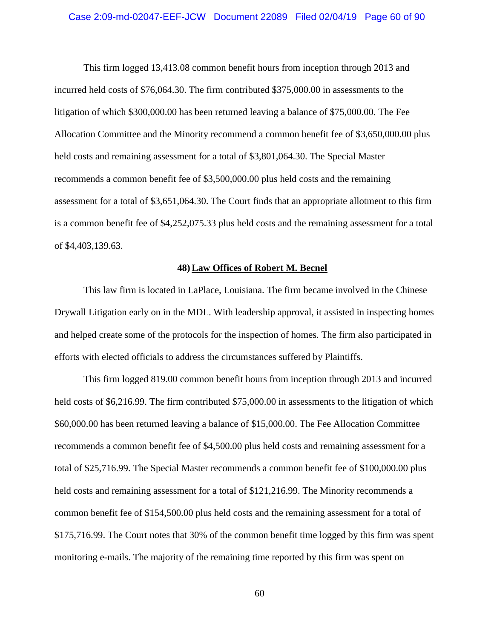This firm logged 13,413.08 common benefit hours from inception through 2013 and incurred held costs of \$76,064.30. The firm contributed \$375,000.00 in assessments to the litigation of which \$300,000.00 has been returned leaving a balance of \$75,000.00. The Fee Allocation Committee and the Minority recommend a common benefit fee of \$3,650,000.00 plus held costs and remaining assessment for a total of \$3,801,064.30. The Special Master recommends a common benefit fee of \$3,500,000.00 plus held costs and the remaining assessment for a total of \$3,651,064.30. The Court finds that an appropriate allotment to this firm is a common benefit fee of \$4,252,075.33 plus held costs and the remaining assessment for a total of \$4,403,139.63.

## **48) Law Offices of Robert M. Becnel**

This law firm is located in LaPlace, Louisiana. The firm became involved in the Chinese Drywall Litigation early on in the MDL. With leadership approval, it assisted in inspecting homes and helped create some of the protocols for the inspection of homes. The firm also participated in efforts with elected officials to address the circumstances suffered by Plaintiffs.

This firm logged 819.00 common benefit hours from inception through 2013 and incurred held costs of \$6,216.99. The firm contributed \$75,000.00 in assessments to the litigation of which \$60,000.00 has been returned leaving a balance of \$15,000.00. The Fee Allocation Committee recommends a common benefit fee of \$4,500.00 plus held costs and remaining assessment for a total of \$25,716.99. The Special Master recommends a common benefit fee of \$100,000.00 plus held costs and remaining assessment for a total of \$121,216.99. The Minority recommends a common benefit fee of \$154,500.00 plus held costs and the remaining assessment for a total of \$175,716.99. The Court notes that 30% of the common benefit time logged by this firm was spent monitoring e-mails. The majority of the remaining time reported by this firm was spent on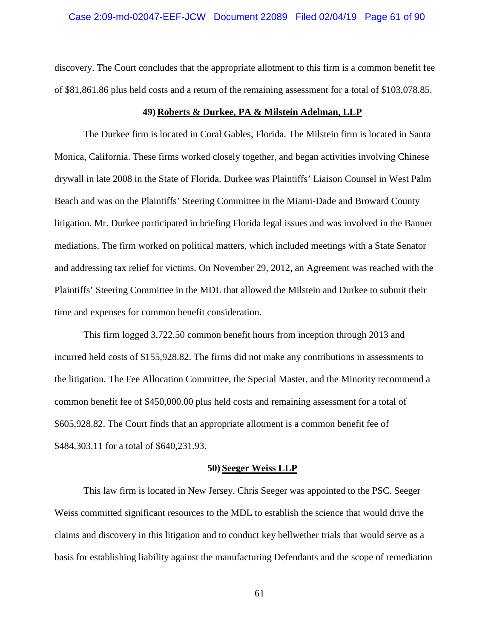discovery. The Court concludes that the appropriate allotment to this firm is a common benefit fee of \$81,861.86 plus held costs and a return of the remaining assessment for a total of \$103,078.85.

#### **49) Roberts & Durkee, PA & Milstein Adelman, LLP**

The Durkee firm is located in Coral Gables, Florida. The Milstein firm is located in Santa Monica, California. These firms worked closely together, and began activities involving Chinese drywall in late 2008 in the State of Florida. Durkee was Plaintiffs' Liaison Counsel in West Palm Beach and was on the Plaintiffs' Steering Committee in the Miami-Dade and Broward County litigation. Mr. Durkee participated in briefing Florida legal issues and was involved in the Banner mediations. The firm worked on political matters, which included meetings with a State Senator and addressing tax relief for victims. On November 29, 2012, an Agreement was reached with the Plaintiffs' Steering Committee in the MDL that allowed the Milstein and Durkee to submit their time and expenses for common benefit consideration.

This firm logged 3,722.50 common benefit hours from inception through 2013 and incurred held costs of \$155,928.82. The firms did not make any contributions in assessments to the litigation. The Fee Allocation Committee, the Special Master, and the Minority recommend a common benefit fee of \$450,000.00 plus held costs and remaining assessment for a total of \$605,928.82. The Court finds that an appropriate allotment is a common benefit fee of \$484,303.11 for a total of \$640,231.93.

## **50) Seeger Weiss LLP**

This law firm is located in New Jersey. Chris Seeger was appointed to the PSC. Seeger Weiss committed significant resources to the MDL to establish the science that would drive the claims and discovery in this litigation and to conduct key bellwether trials that would serve as a basis for establishing liability against the manufacturing Defendants and the scope of remediation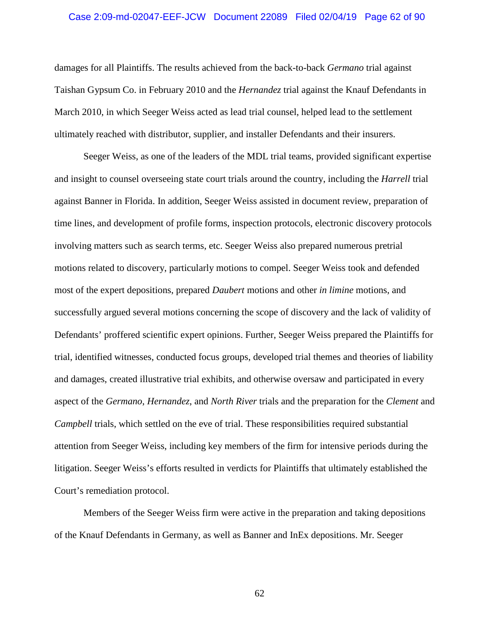### Case 2:09-md-02047-EEF-JCW Document 22089 Filed 02/04/19 Page 62 of 90

damages for all Plaintiffs. The results achieved from the back-to-back *Germano* trial against Taishan Gypsum Co. in February 2010 and the *Hernandez* trial against the Knauf Defendants in March 2010, in which Seeger Weiss acted as lead trial counsel, helped lead to the settlement ultimately reached with distributor, supplier, and installer Defendants and their insurers.

Seeger Weiss, as one of the leaders of the MDL trial teams, provided significant expertise and insight to counsel overseeing state court trials around the country, including the *Harrell* trial against Banner in Florida. In addition, Seeger Weiss assisted in document review, preparation of time lines, and development of profile forms, inspection protocols, electronic discovery protocols involving matters such as search terms, etc. Seeger Weiss also prepared numerous pretrial motions related to discovery, particularly motions to compel. Seeger Weiss took and defended most of the expert depositions, prepared *Daubert* motions and other *in limine* motions, and successfully argued several motions concerning the scope of discovery and the lack of validity of Defendants' proffered scientific expert opinions. Further, Seeger Weiss prepared the Plaintiffs for trial, identified witnesses, conducted focus groups, developed trial themes and theories of liability and damages, created illustrative trial exhibits, and otherwise oversaw and participated in every aspect of the *Germano*, *Hernandez*, and *North River* trials and the preparation for the *Clement* and *Campbell* trials, which settled on the eve of trial. These responsibilities required substantial attention from Seeger Weiss, including key members of the firm for intensive periods during the litigation. Seeger Weiss's efforts resulted in verdicts for Plaintiffs that ultimately established the Court's remediation protocol.

Members of the Seeger Weiss firm were active in the preparation and taking depositions of the Knauf Defendants in Germany, as well as Banner and InEx depositions. Mr. Seeger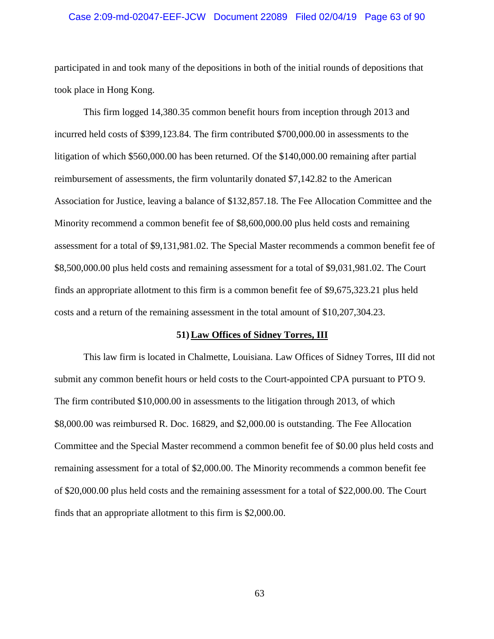### Case 2:09-md-02047-EEF-JCW Document 22089 Filed 02/04/19 Page 63 of 90

participated in and took many of the depositions in both of the initial rounds of depositions that took place in Hong Kong.

This firm logged 14,380.35 common benefit hours from inception through 2013 and incurred held costs of \$399,123.84. The firm contributed \$700,000.00 in assessments to the litigation of which \$560,000.00 has been returned. Of the \$140,000.00 remaining after partial reimbursement of assessments, the firm voluntarily donated \$7,142.82 to the American Association for Justice, leaving a balance of \$132,857.18. The Fee Allocation Committee and the Minority recommend a common benefit fee of \$8,600,000.00 plus held costs and remaining assessment for a total of \$9,131,981.02. The Special Master recommends a common benefit fee of \$8,500,000.00 plus held costs and remaining assessment for a total of \$9,031,981.02. The Court finds an appropriate allotment to this firm is a common benefit fee of \$9,675,323.21 plus held costs and a return of the remaining assessment in the total amount of \$10,207,304.23.

#### **51) Law Offices of Sidney Torres, III**

This law firm is located in Chalmette, Louisiana. Law Offices of Sidney Torres, III did not submit any common benefit hours or held costs to the Court-appointed CPA pursuant to PTO 9. The firm contributed \$10,000.00 in assessments to the litigation through 2013, of which \$8,000.00 was reimbursed R. Doc. 16829, and \$2,000.00 is outstanding. The Fee Allocation Committee and the Special Master recommend a common benefit fee of \$0.00 plus held costs and remaining assessment for a total of \$2,000.00. The Minority recommends a common benefit fee of \$20,000.00 plus held costs and the remaining assessment for a total of \$22,000.00. The Court finds that an appropriate allotment to this firm is \$2,000.00.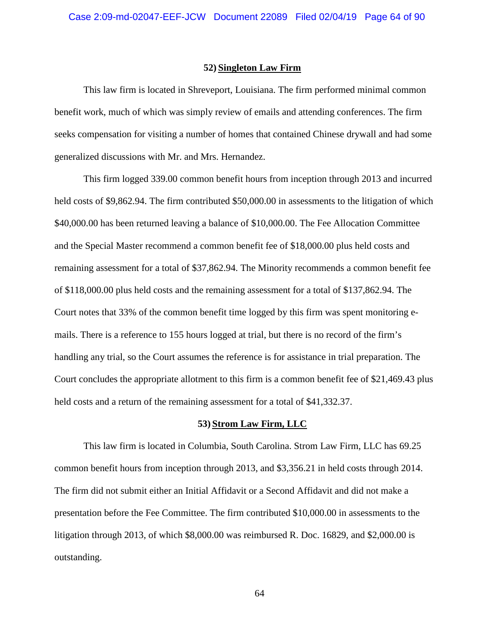#### **52) Singleton Law Firm**

This law firm is located in Shreveport, Louisiana. The firm performed minimal common benefit work, much of which was simply review of emails and attending conferences. The firm seeks compensation for visiting a number of homes that contained Chinese drywall and had some generalized discussions with Mr. and Mrs. Hernandez.

This firm logged 339.00 common benefit hours from inception through 2013 and incurred held costs of \$9,862.94. The firm contributed \$50,000.00 in assessments to the litigation of which \$40,000.00 has been returned leaving a balance of \$10,000.00. The Fee Allocation Committee and the Special Master recommend a common benefit fee of \$18,000.00 plus held costs and remaining assessment for a total of \$37,862.94. The Minority recommends a common benefit fee of \$118,000.00 plus held costs and the remaining assessment for a total of \$137,862.94. The Court notes that 33% of the common benefit time logged by this firm was spent monitoring emails. There is a reference to 155 hours logged at trial, but there is no record of the firm's handling any trial, so the Court assumes the reference is for assistance in trial preparation. The Court concludes the appropriate allotment to this firm is a common benefit fee of \$21,469.43 plus held costs and a return of the remaining assessment for a total of \$41,332.37.

# **53) Strom Law Firm, LLC**

This law firm is located in Columbia, South Carolina. Strom Law Firm, LLC has 69.25 common benefit hours from inception through 2013, and \$3,356.21 in held costs through 2014. The firm did not submit either an Initial Affidavit or a Second Affidavit and did not make a presentation before the Fee Committee. The firm contributed \$10,000.00 in assessments to the litigation through 2013, of which \$8,000.00 was reimbursed R. Doc. 16829, and \$2,000.00 is outstanding.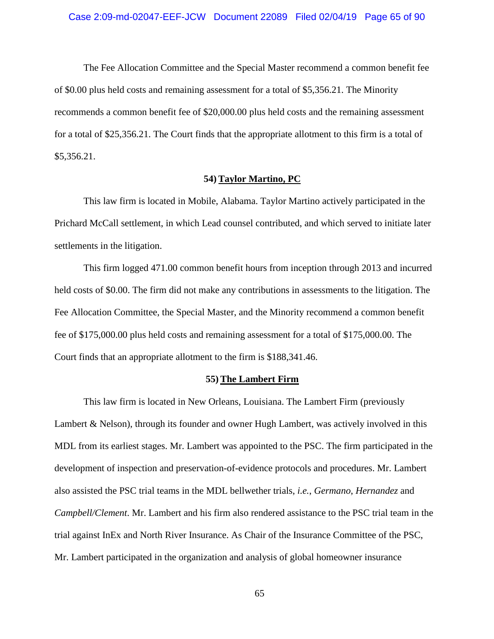The Fee Allocation Committee and the Special Master recommend a common benefit fee of \$0.00 plus held costs and remaining assessment for a total of \$5,356.21. The Minority recommends a common benefit fee of \$20,000.00 plus held costs and the remaining assessment for a total of \$25,356.21. The Court finds that the appropriate allotment to this firm is a total of \$5,356.21.

# **54) Taylor Martino, PC**

This law firm is located in Mobile, Alabama. Taylor Martino actively participated in the Prichard McCall settlement, in which Lead counsel contributed, and which served to initiate later settlements in the litigation.

This firm logged 471.00 common benefit hours from inception through 2013 and incurred held costs of \$0.00. The firm did not make any contributions in assessments to the litigation. The Fee Allocation Committee, the Special Master, and the Minority recommend a common benefit fee of \$175,000.00 plus held costs and remaining assessment for a total of \$175,000.00. The Court finds that an appropriate allotment to the firm is \$188,341.46.

# **55) The Lambert Firm**

This law firm is located in New Orleans, Louisiana. The Lambert Firm (previously Lambert & Nelson), through its founder and owner Hugh Lambert, was actively involved in this MDL from its earliest stages. Mr. Lambert was appointed to the PSC. The firm participated in the development of inspection and preservation-of-evidence protocols and procedures. Mr. Lambert also assisted the PSC trial teams in the MDL bellwether trials, *i.e.*, *Germano*, *Hernandez* and *Campbell/Clement*. Mr. Lambert and his firm also rendered assistance to the PSC trial team in the trial against InEx and North River Insurance. As Chair of the Insurance Committee of the PSC, Mr. Lambert participated in the organization and analysis of global homeowner insurance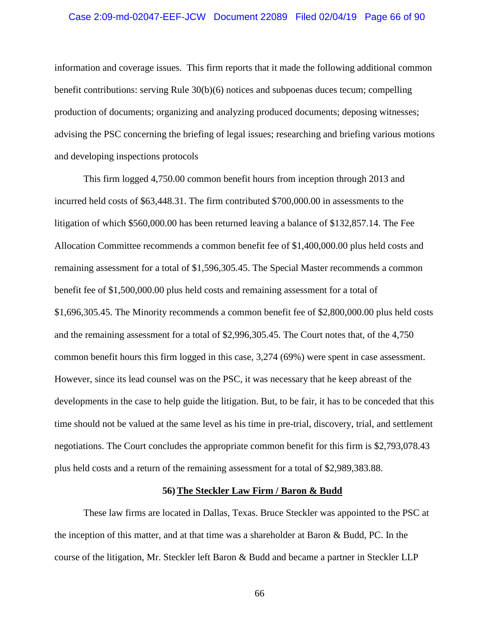### Case 2:09-md-02047-EEF-JCW Document 22089 Filed 02/04/19 Page 66 of 90

information and coverage issues. This firm reports that it made the following additional common benefit contributions: serving Rule 30(b)(6) notices and subpoenas duces tecum; compelling production of documents; organizing and analyzing produced documents; deposing witnesses; advising the PSC concerning the briefing of legal issues; researching and briefing various motions and developing inspections protocols

This firm logged 4,750.00 common benefit hours from inception through 2013 and incurred held costs of \$63,448.31. The firm contributed \$700,000.00 in assessments to the litigation of which \$560,000.00 has been returned leaving a balance of \$132,857.14. The Fee Allocation Committee recommends a common benefit fee of \$1,400,000.00 plus held costs and remaining assessment for a total of \$1,596,305.45. The Special Master recommends a common benefit fee of \$1,500,000.00 plus held costs and remaining assessment for a total of \$1,696,305.45. The Minority recommends a common benefit fee of \$2,800,000.00 plus held costs and the remaining assessment for a total of \$2,996,305.45. The Court notes that, of the 4,750 common benefit hours this firm logged in this case, 3,274 (69%) were spent in case assessment. However, since its lead counsel was on the PSC, it was necessary that he keep abreast of the developments in the case to help guide the litigation. But, to be fair, it has to be conceded that this time should not be valued at the same level as his time in pre-trial, discovery, trial, and settlement negotiations. The Court concludes the appropriate common benefit for this firm is \$2,793,078.43 plus held costs and a return of the remaining assessment for a total of \$2,989,383.88.

# **56) The Steckler Law Firm / Baron & Budd**

These law firms are located in Dallas, Texas. Bruce Steckler was appointed to the PSC at the inception of this matter, and at that time was a shareholder at Baron & Budd, PC. In the course of the litigation, Mr. Steckler left Baron & Budd and became a partner in Steckler LLP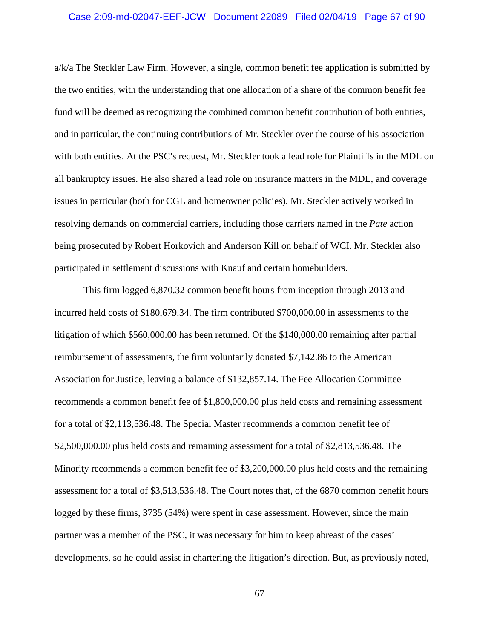### Case 2:09-md-02047-EEF-JCW Document 22089 Filed 02/04/19 Page 67 of 90

a/k/a The Steckler Law Firm. However, a single, common benefit fee application is submitted by the two entities, with the understanding that one allocation of a share of the common benefit fee fund will be deemed as recognizing the combined common benefit contribution of both entities, and in particular, the continuing contributions of Mr. Steckler over the course of his association with both entities. At the PSC's request, Mr. Steckler took a lead role for Plaintiffs in the MDL on all bankruptcy issues. He also shared a lead role on insurance matters in the MDL, and coverage issues in particular (both for CGL and homeowner policies). Mr. Steckler actively worked in resolving demands on commercial carriers, including those carriers named in the *Pate* action being prosecuted by Robert Horkovich and Anderson Kill on behalf of WCI. Mr. Steckler also participated in settlement discussions with Knauf and certain homebuilders.

This firm logged 6,870.32 common benefit hours from inception through 2013 and incurred held costs of \$180,679.34. The firm contributed \$700,000.00 in assessments to the litigation of which \$560,000.00 has been returned. Of the \$140,000.00 remaining after partial reimbursement of assessments, the firm voluntarily donated \$7,142.86 to the American Association for Justice, leaving a balance of \$132,857.14. The Fee Allocation Committee recommends a common benefit fee of \$1,800,000.00 plus held costs and remaining assessment for a total of \$2,113,536.48. The Special Master recommends a common benefit fee of \$2,500,000.00 plus held costs and remaining assessment for a total of \$2,813,536.48. The Minority recommends a common benefit fee of \$3,200,000.00 plus held costs and the remaining assessment for a total of \$3,513,536.48. The Court notes that, of the 6870 common benefit hours logged by these firms, 3735 (54%) were spent in case assessment. However, since the main partner was a member of the PSC, it was necessary for him to keep abreast of the cases' developments, so he could assist in chartering the litigation's direction. But, as previously noted,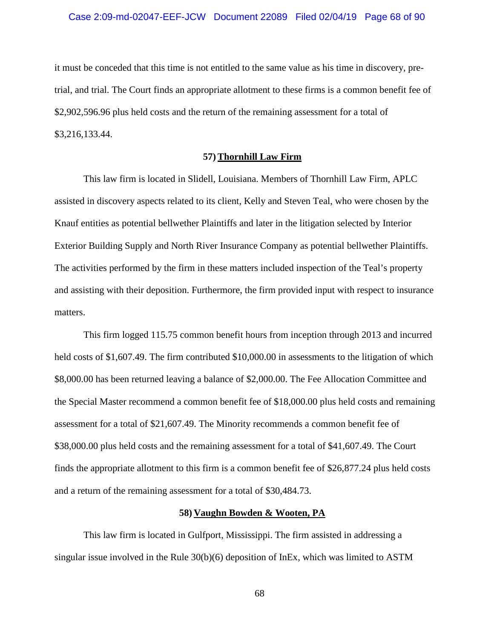### Case 2:09-md-02047-EEF-JCW Document 22089 Filed 02/04/19 Page 68 of 90

it must be conceded that this time is not entitled to the same value as his time in discovery, pretrial, and trial. The Court finds an appropriate allotment to these firms is a common benefit fee of \$2,902,596.96 plus held costs and the return of the remaining assessment for a total of \$3,216,133.44.

## **57) Thornhill Law Firm**

This law firm is located in Slidell, Louisiana. Members of Thornhill Law Firm, APLC assisted in discovery aspects related to its client, Kelly and Steven Teal, who were chosen by the Knauf entities as potential bellwether Plaintiffs and later in the litigation selected by Interior Exterior Building Supply and North River Insurance Company as potential bellwether Plaintiffs. The activities performed by the firm in these matters included inspection of the Teal's property and assisting with their deposition. Furthermore, the firm provided input with respect to insurance matters.

This firm logged 115.75 common benefit hours from inception through 2013 and incurred held costs of \$1,607.49. The firm contributed \$10,000.00 in assessments to the litigation of which \$8,000.00 has been returned leaving a balance of \$2,000.00. The Fee Allocation Committee and the Special Master recommend a common benefit fee of \$18,000.00 plus held costs and remaining assessment for a total of \$21,607.49. The Minority recommends a common benefit fee of \$38,000.00 plus held costs and the remaining assessment for a total of \$41,607.49. The Court finds the appropriate allotment to this firm is a common benefit fee of \$26,877.24 plus held costs and a return of the remaining assessment for a total of \$30,484.73.

### **58) Vaughn Bowden & Wooten, PA**

This law firm is located in Gulfport, Mississippi. The firm assisted in addressing a singular issue involved in the Rule 30(b)(6) deposition of InEx, which was limited to ASTM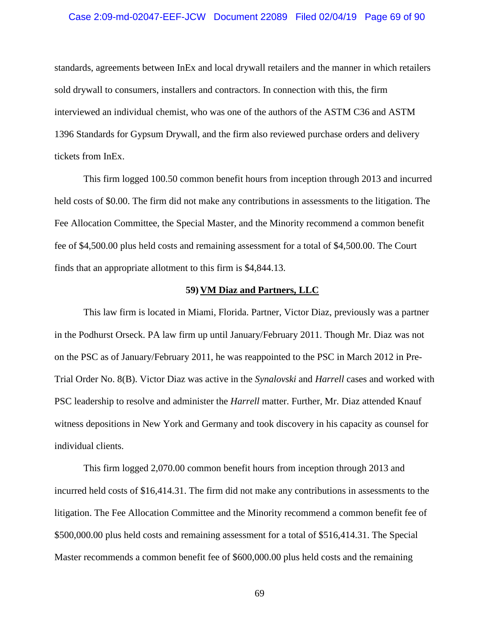### Case 2:09-md-02047-EEF-JCW Document 22089 Filed 02/04/19 Page 69 of 90

standards, agreements between InEx and local drywall retailers and the manner in which retailers sold drywall to consumers, installers and contractors. In connection with this, the firm interviewed an individual chemist, who was one of the authors of the ASTM C36 and ASTM 1396 Standards for Gypsum Drywall, and the firm also reviewed purchase orders and delivery tickets from InEx.

This firm logged 100.50 common benefit hours from inception through 2013 and incurred held costs of \$0.00. The firm did not make any contributions in assessments to the litigation. The Fee Allocation Committee, the Special Master, and the Minority recommend a common benefit fee of \$4,500.00 plus held costs and remaining assessment for a total of \$4,500.00. The Court finds that an appropriate allotment to this firm is \$4,844.13.

## **59) VM Diaz and Partners, LLC**

This law firm is located in Miami, Florida. Partner, Victor Diaz, previously was a partner in the Podhurst Orseck. PA law firm up until January/February 2011. Though Mr. Diaz was not on the PSC as of January/February 2011, he was reappointed to the PSC in March 2012 in Pre-Trial Order No. 8(B). Victor Diaz was active in the *Synalovski* and *Harrell* cases and worked with PSC leadership to resolve and administer the *Harrell* matter. Further, Mr. Diaz attended Knauf witness depositions in New York and Germany and took discovery in his capacity as counsel for individual clients.

This firm logged 2,070.00 common benefit hours from inception through 2013 and incurred held costs of \$16,414.31. The firm did not make any contributions in assessments to the litigation. The Fee Allocation Committee and the Minority recommend a common benefit fee of \$500,000.00 plus held costs and remaining assessment for a total of \$516,414.31. The Special Master recommends a common benefit fee of \$600,000.00 plus held costs and the remaining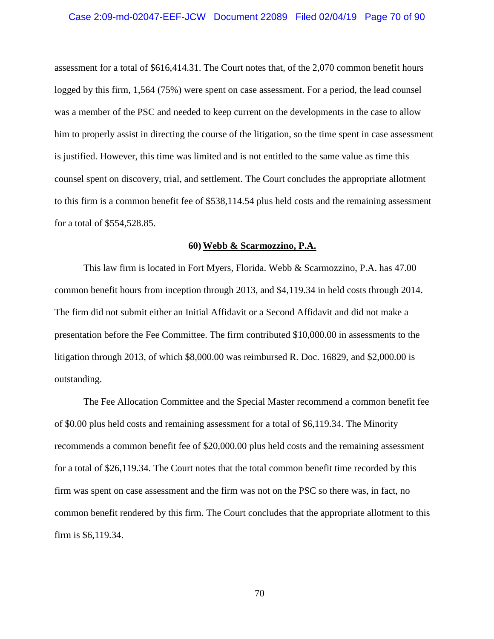assessment for a total of \$616,414.31. The Court notes that, of the 2,070 common benefit hours logged by this firm, 1,564 (75%) were spent on case assessment. For a period, the lead counsel was a member of the PSC and needed to keep current on the developments in the case to allow him to properly assist in directing the course of the litigation, so the time spent in case assessment is justified. However, this time was limited and is not entitled to the same value as time this counsel spent on discovery, trial, and settlement. The Court concludes the appropriate allotment to this firm is a common benefit fee of \$538,114.54 plus held costs and the remaining assessment for a total of \$554,528.85.

## **60) Webb & Scarmozzino, P.A.**

This law firm is located in Fort Myers, Florida. Webb & Scarmozzino, P.A. has 47.00 common benefit hours from inception through 2013, and \$4,119.34 in held costs through 2014. The firm did not submit either an Initial Affidavit or a Second Affidavit and did not make a presentation before the Fee Committee. The firm contributed \$10,000.00 in assessments to the litigation through 2013, of which \$8,000.00 was reimbursed R. Doc. 16829, and \$2,000.00 is outstanding.

The Fee Allocation Committee and the Special Master recommend a common benefit fee of \$0.00 plus held costs and remaining assessment for a total of \$6,119.34. The Minority recommends a common benefit fee of \$20,000.00 plus held costs and the remaining assessment for a total of \$26,119.34. The Court notes that the total common benefit time recorded by this firm was spent on case assessment and the firm was not on the PSC so there was, in fact, no common benefit rendered by this firm. The Court concludes that the appropriate allotment to this firm is \$6,119.34.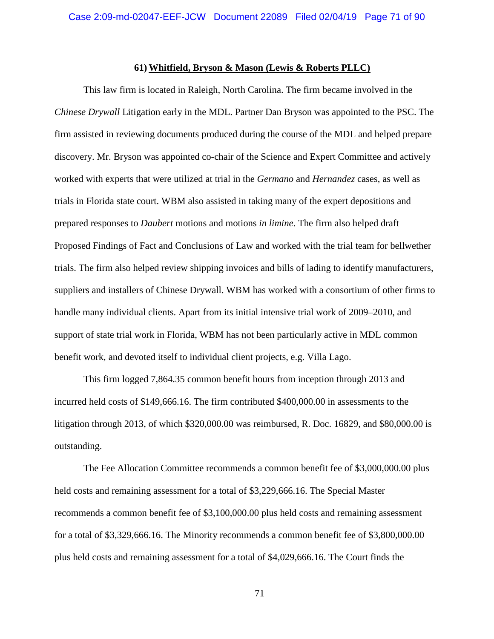#### **61) Whitfield, Bryson & Mason (Lewis & Roberts PLLC)**

This law firm is located in Raleigh, North Carolina. The firm became involved in the *Chinese Drywall* Litigation early in the MDL. Partner Dan Bryson was appointed to the PSC. The firm assisted in reviewing documents produced during the course of the MDL and helped prepare discovery. Mr. Bryson was appointed co-chair of the Science and Expert Committee and actively worked with experts that were utilized at trial in the *Germano* and *Hernandez* cases, as well as trials in Florida state court. WBM also assisted in taking many of the expert depositions and prepared responses to *Daubert* motions and motions *in limine*. The firm also helped draft Proposed Findings of Fact and Conclusions of Law and worked with the trial team for bellwether trials. The firm also helped review shipping invoices and bills of lading to identify manufacturers, suppliers and installers of Chinese Drywall. WBM has worked with a consortium of other firms to handle many individual clients. Apart from its initial intensive trial work of 2009–2010, and support of state trial work in Florida, WBM has not been particularly active in MDL common benefit work, and devoted itself to individual client projects, e.g. Villa Lago.

This firm logged 7,864.35 common benefit hours from inception through 2013 and incurred held costs of \$149,666.16. The firm contributed \$400,000.00 in assessments to the litigation through 2013, of which \$320,000.00 was reimbursed, R. Doc. 16829, and \$80,000.00 is outstanding.

The Fee Allocation Committee recommends a common benefit fee of \$3,000,000.00 plus held costs and remaining assessment for a total of \$3,229,666.16. The Special Master recommends a common benefit fee of \$3,100,000.00 plus held costs and remaining assessment for a total of \$3,329,666.16. The Minority recommends a common benefit fee of \$3,800,000.00 plus held costs and remaining assessment for a total of \$4,029,666.16. The Court finds the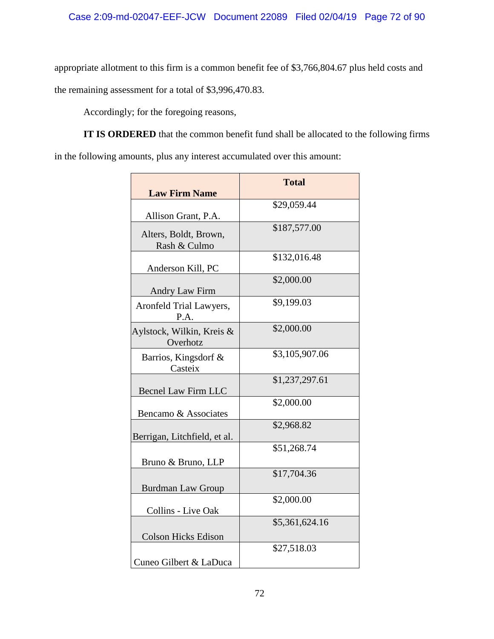appropriate allotment to this firm is a common benefit fee of \$3,766,804.67 plus held costs and the remaining assessment for a total of \$3,996,470.83.

Accordingly; for the foregoing reasons,

**IT IS ORDERED** that the common benefit fund shall be allocated to the following firms in the following amounts, plus any interest accumulated over this amount:

| \$29,059.44    |
|----------------|
| \$187,577.00   |
| \$132,016.48   |
| \$2,000.00     |
| \$9,199.03     |
| \$2,000.00     |
| \$3,105,907.06 |
| \$1,237,297.61 |
| \$2,000.00     |
| \$2,968.82     |
| \$51,268.74    |
| \$17,704.36    |
| \$2,000.00     |
| \$5,361,624.16 |
| \$27,518.03    |
|                |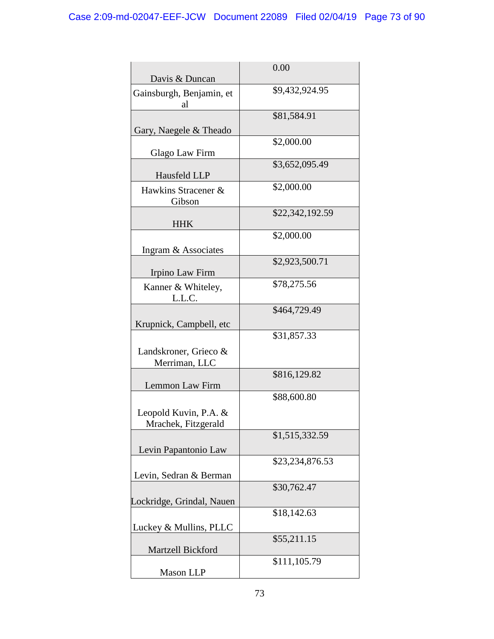| Davis & Duncan                               | 0.00            |
|----------------------------------------------|-----------------|
| Gainsburgh, Benjamin, et<br>al               | \$9,432,924.95  |
|                                              | \$81,584.91     |
| Gary, Naegele & Theado                       |                 |
| Glago Law Firm                               | \$2,000.00      |
| Hausfeld LLP                                 | \$3,652,095.49  |
| Hawkins Stracener &<br>Gibson                | \$2,000.00      |
| <b>HHK</b>                                   | \$22,342,192.59 |
|                                              | \$2,000.00      |
| Ingram & Associates                          |                 |
| Irpino Law Firm                              | \$2,923,500.71  |
| Kanner & Whiteley,<br>L.L.C.                 | \$78,275.56     |
|                                              | \$464,729.49    |
| Krupnick, Campbell, etc                      | \$31,857.33     |
| Landskroner, Grieco &<br>Merriman, LLC       |                 |
| Lemmon Law Firm                              | \$816,129.82    |
|                                              | \$88,600.80     |
| Leopold Kuvin, P.A. &<br>Mrachek, Fitzgerald |                 |
| Levin Papantonio Law                         | \$1,515,332.59  |
|                                              | \$23,234,876.53 |
| Levin, Sedran & Berman                       |                 |
|                                              | \$30,762.47     |
| Lockridge, Grindal, Nauen                    | \$18,142.63     |
| Luckey & Mullins, PLLC                       |                 |
|                                              | \$55,211.15     |
| Martzell Bickford                            |                 |
| Mason LLP                                    | \$111,105.79    |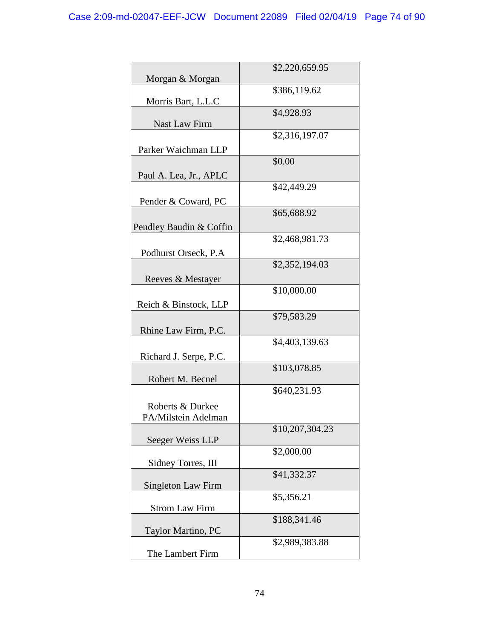| Morgan & Morgan         | \$2,220,659.95  |
|-------------------------|-----------------|
|                         | \$386,119.62    |
| Morris Bart, L.L.C      |                 |
| Nast Law Firm           | \$4,928.93      |
|                         | \$2,316,197.07  |
| Parker Waichman LLP     |                 |
|                         | \$0.00          |
| Paul A. Lea, Jr., APLC  |                 |
|                         | \$42,449.29     |
| Pender & Coward, PC     |                 |
|                         | \$65,688.92     |
| Pendley Baudin & Coffin |                 |
|                         | \$2,468,981.73  |
|                         |                 |
| Podhurst Orseck, P.A    | \$2,352,194.03  |
|                         |                 |
| Reeves & Mestayer       |                 |
|                         | \$10,000.00     |
| Reich & Binstock, LLP   |                 |
|                         | \$79,583.29     |
| Rhine Law Firm, P.C.    |                 |
|                         | \$4,403,139.63  |
| Richard J. Serpe, P.C.  |                 |
|                         | \$103,078.85    |
| Robert M. Becnel        |                 |
|                         | \$640,231.93    |
| Roberts & Durkee        |                 |
| PA/Milstein Adelman     |                 |
|                         | \$10,207,304.23 |
| Seeger Weiss LLP        |                 |
|                         | \$2,000.00      |
| Sidney Torres, III      |                 |
|                         | \$41,332.37     |
| Singleton Law Firm      |                 |
|                         | \$5,356.21      |
| <b>Strom Law Firm</b>   |                 |
|                         | \$188,341.46    |
| Taylor Martino, PC      | \$2,989,383.88  |
| The Lambert Firm        |                 |
|                         |                 |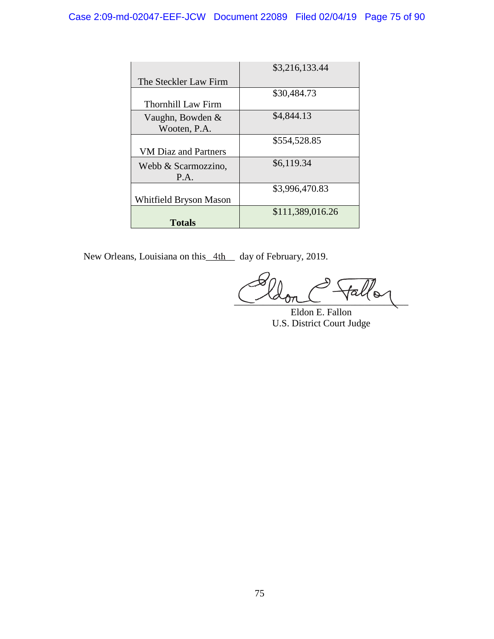|                             | \$3,216,133.44   |
|-----------------------------|------------------|
| The Steckler Law Firm       |                  |
|                             | \$30,484.73      |
| Thornhill Law Firm          |                  |
| Vaughn, Bowden &            | \$4,844.13       |
| Wooten, P.A.                |                  |
|                             | \$554,528.85     |
| <b>VM Diaz and Partners</b> |                  |
| Webb & Scarmozzino,         | \$6,119.34       |
| P.A.                        |                  |
|                             | \$3,996,470.83   |
| Whitfield Bryson Mason      |                  |
|                             | \$111,389,016.26 |
| <b>Totals</b>               |                  |

New Orleans, Louisiana on this 4th day of February, 2019.

 $\sim$   $\sim$   $\sim$   $\sim$   $\sim$   $\sim$   $\sim$   $\sim$ 

Eldon E. Fallon U.S. District Court Judge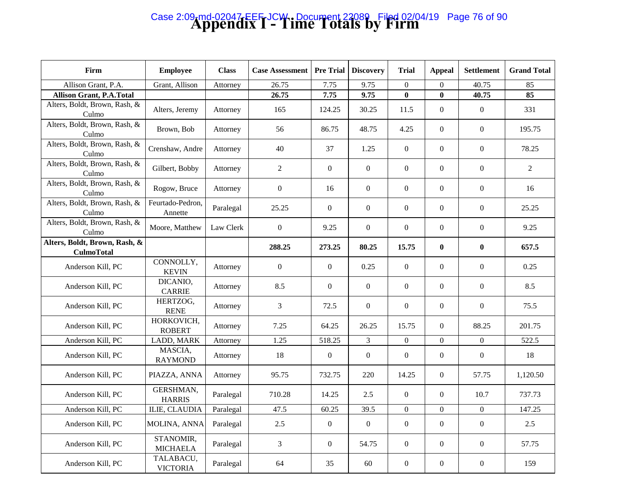## **Case 2:09-md-02047-EEF-JCW Document 22089 Filed 02/04/19 Page 76 of 90**<br>**Appendix I - Time Totals by Firm**

| Firm                                               | <b>Employee</b>              | <b>Class</b> | <b>Case Assessment</b> | <b>Pre Trial</b> | <b>Discovery</b> | <b>Trial</b>     | Appeal           | <b>Settlement</b> | <b>Grand Total</b> |
|----------------------------------------------------|------------------------------|--------------|------------------------|------------------|------------------|------------------|------------------|-------------------|--------------------|
| Allison Grant, P.A.                                | Grant, Allison               | Attorney     | 26.75                  | 7.75             | 9.75             | $\boldsymbol{0}$ | $\overline{0}$   | 40.75             | 85                 |
| <b>Allison Grant, P.A.Total</b>                    |                              |              | 26.75                  | 7.75             | 9.75             | $\bf{0}$         | $\bf{0}$         | 40.75             | 85                 |
| Alters, Boldt, Brown, Rash, &<br>Culmo             | Alters, Jeremy               | Attorney     | 165                    | 124.25           | 30.25            | 11.5             | $\overline{0}$   | $\boldsymbol{0}$  | 331                |
| Alters, Boldt, Brown, Rash, &<br>Culmo             | Brown, Bob                   | Attorney     | 56                     | 86.75            | 48.75            | 4.25             | $\mathbf{0}$     | $\boldsymbol{0}$  | 195.75             |
| Alters, Boldt, Brown, Rash, &<br>Culmo             | Crenshaw, Andre              | Attorney     | 40                     | 37               | 1.25             | $\overline{0}$   | $\boldsymbol{0}$ | $\boldsymbol{0}$  | 78.25              |
| Alters, Boldt, Brown, Rash, &<br>Culmo             | Gilbert, Bobby               | Attorney     | $\mathfrak{2}$         | $\mathbf{0}$     | $\mathbf{0}$     | $\mathbf{0}$     | $\overline{0}$   | $\overline{0}$    | $\overline{2}$     |
| Alters, Boldt, Brown, Rash, &<br>Culmo             | Rogow, Bruce                 | Attorney     | $\Omega$               | 16               | $\mathbf{0}$     | $\mathbf{0}$     | $\overline{0}$   | $\overline{0}$    | 16                 |
| Alters, Boldt, Brown, Rash, &<br>Culmo             | Feurtado-Pedron,<br>Annette  | Paralegal    | 25.25                  | $\boldsymbol{0}$ | $\boldsymbol{0}$ | $\boldsymbol{0}$ | $\mathbf{0}$     | $\boldsymbol{0}$  | 25.25              |
| Alters, Boldt, Brown, Rash, &<br>Culmo             | Moore, Matthew               | Law Clerk    | $\boldsymbol{0}$       | 9.25             | $\boldsymbol{0}$ | $\boldsymbol{0}$ | $\mathbf{0}$     | $\boldsymbol{0}$  | 9.25               |
| Alters, Boldt, Brown, Rash, &<br><b>CulmoTotal</b> |                              |              | 288.25                 | 273.25           | 80.25            | 15.75            | $\bf{0}$         | $\bf{0}$          | 657.5              |
| Anderson Kill, PC                                  | CONNOLLY,<br><b>KEVIN</b>    | Attorney     | $\boldsymbol{0}$       | $\mathbf{0}$     | 0.25             | $\overline{0}$   | $\overline{0}$   | $\boldsymbol{0}$  | 0.25               |
| Anderson Kill, PC                                  | DICANIO,<br><b>CARRIE</b>    | Attorney     | 8.5                    | $\overline{0}$   | $\boldsymbol{0}$ | $\overline{0}$   | $\overline{0}$   | $\overline{0}$    | 8.5                |
| Anderson Kill, PC                                  | HERTZOG,<br><b>RENE</b>      | Attorney     | 3                      | 72.5             | $\mathbf{0}$     | $\mathbf{0}$     | $\mathbf{0}$     | $\overline{0}$    | 75.5               |
| Anderson Kill, PC                                  | HORKOVICH,<br><b>ROBERT</b>  | Attorney     | 7.25                   | 64.25            | 26.25            | 15.75            | $\overline{0}$   | 88.25             | 201.75             |
| Anderson Kill, PC                                  | LADD, MARK                   | Attorney     | 1.25                   | 518.25           | $\overline{3}$   | $\overline{0}$   | $\theta$         | $\overline{0}$    | 522.5              |
| Anderson Kill, PC                                  | MASCIA,<br><b>RAYMOND</b>    | Attorney     | 18                     | $\boldsymbol{0}$ | $\boldsymbol{0}$ | $\overline{0}$   | $\mathbf{0}$     | $\boldsymbol{0}$  | 18                 |
| Anderson Kill, PC                                  | PIAZZA, ANNA                 | Attorney     | 95.75                  | 732.75           | 220              | 14.25            | $\mathbf{0}$     | 57.75             | 1,120.50           |
| Anderson Kill, PC                                  | GERSHMAN,<br><b>HARRIS</b>   | Paralegal    | 710.28                 | 14.25            | 2.5              | $\mathbf{0}$     | $\mathbf{0}$     | 10.7              | 737.73             |
| Anderson Kill, PC                                  | ILIE, CLAUDIA                | Paralegal    | 47.5                   | 60.25            | 39.5             | $\overline{0}$   | $\boldsymbol{0}$ | $\overline{0}$    | 147.25             |
| Anderson Kill, PC                                  | <b>MOLINA, ANNA</b>          | Paralegal    | 2.5                    | $\mathbf{0}$     | $\mathbf{0}$     | $\mathbf{0}$     | $\overline{0}$   | $\mathbf{0}$      | 2.5                |
| Anderson Kill, PC                                  | STANOMIR,<br><b>MICHAELA</b> | Paralegal    | $\mathfrak{Z}$         | $\boldsymbol{0}$ | 54.75            | $\mathbf{0}$     | $\boldsymbol{0}$ | $\boldsymbol{0}$  | 57.75              |
| Anderson Kill, PC                                  | TALABACU,<br><b>VICTORIA</b> | Paralegal    | 64                     | 35               | 60               | $\mathbf{0}$     | $\overline{0}$   | $\boldsymbol{0}$  | 159                |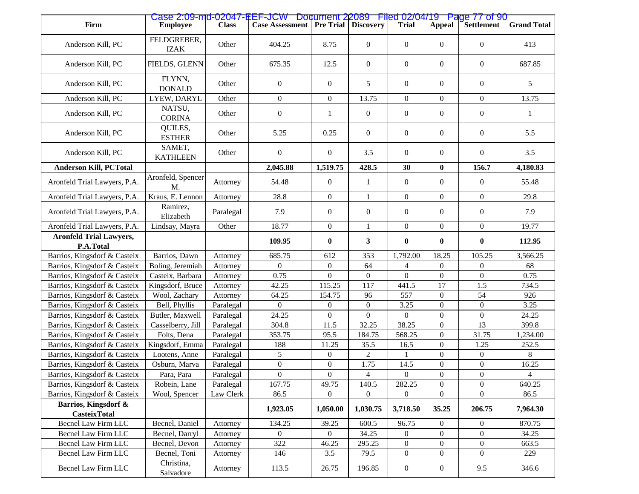| Firm                                        | <b>Employee</b>           | <b>Class</b> | Case 2:09-md-02047-EEF-JCW Document 22089 Filed 02/04/19 Page 77 of 90<br><b>Case Assessment</b> |                  | <b>Pre Trial   Discovery</b> | <b>Trial</b>     | Appeal           | Settlement       | <b>Grand Total</b> |
|---------------------------------------------|---------------------------|--------------|--------------------------------------------------------------------------------------------------|------------------|------------------------------|------------------|------------------|------------------|--------------------|
|                                             | FELDGREBER,               |              |                                                                                                  |                  |                              |                  |                  |                  |                    |
| Anderson Kill, PC                           | <b>IZAK</b>               | Other        | 404.25                                                                                           | 8.75             | $\mathbf{0}$                 | $\theta$         | $\overline{0}$   | $\mathbf{0}$     | 413                |
| Anderson Kill, PC                           | FIELDS, GLENN             | Other        | 675.35                                                                                           | 12.5             | $\mathbf{0}$                 | $\mathbf{0}$     | $\overline{0}$   | $\boldsymbol{0}$ | 687.85             |
| Anderson Kill, PC                           | FLYNN,<br><b>DONALD</b>   | Other        | $\Omega$                                                                                         | $\overline{0}$   | 5                            | $\theta$         | $\overline{0}$   | $\boldsymbol{0}$ | 5                  |
| Anderson Kill, PC                           | LYEW, DARYL               | Other        | $\overline{0}$                                                                                   | $\boldsymbol{0}$ | 13.75                        | $\overline{0}$   | $\overline{0}$   | $\boldsymbol{0}$ | 13.75              |
| Anderson Kill, PC                           | NATSU,<br><b>CORINA</b>   | Other        | $\boldsymbol{0}$                                                                                 | 1                | $\boldsymbol{0}$             | $\boldsymbol{0}$ | $\boldsymbol{0}$ | $\boldsymbol{0}$ | $\mathbf{1}$       |
| Anderson Kill, PC                           | QUILES,<br><b>ESTHER</b>  | Other        | 5.25                                                                                             | 0.25             | $\mathbf{0}$                 | $\boldsymbol{0}$ | $\boldsymbol{0}$ | $\boldsymbol{0}$ | 5.5                |
| Anderson Kill, PC                           | SAMET,<br><b>KATHLEEN</b> | Other        | $\overline{0}$                                                                                   | $\boldsymbol{0}$ | 3.5                          | $\theta$         | $\boldsymbol{0}$ | $\boldsymbol{0}$ | 3.5                |
| <b>Anderson Kill, PCTotal</b>               |                           |              | 2,045.88                                                                                         | 1,519.75         | 428.5                        | 30               | $\bf{0}$         | 156.7            | 4,180.83           |
| Aronfeld Trial Lawyers, P.A.                | Aronfeld, Spencer<br>M.   | Attorney     | 54.48                                                                                            | $\boldsymbol{0}$ | 1                            | $\boldsymbol{0}$ | $\boldsymbol{0}$ | $\boldsymbol{0}$ | 55.48              |
| Aronfeld Trial Lawyers, P.A.                | Kraus, E. Lennon          | Attorney     | 28.8                                                                                             | $\overline{0}$   | $\mathbf{1}$                 | $\overline{0}$   | $\mathbf{0}$     | $\boldsymbol{0}$ | 29.8               |
| Aronfeld Trial Lawyers, P.A.                | Ramirez,<br>Elizabeth     | Paralegal    | 7.9                                                                                              | $\boldsymbol{0}$ | $\mathbf{0}$                 | $\boldsymbol{0}$ | $\boldsymbol{0}$ | $\boldsymbol{0}$ | 7.9                |
| Aronfeld Trial Lawyers, P.A.                | Lindsay, Mayra            | Other        | 18.77                                                                                            | $\overline{0}$   | $\mathbf{1}$                 | $\overline{0}$   | $\boldsymbol{0}$ | $\boldsymbol{0}$ | 19.77              |
| <b>Aronfeld Trial Lawyers,</b><br>P.A.Total |                           |              | 109.95                                                                                           | $\bf{0}$         | 3                            | $\bf{0}$         | $\bf{0}$         | $\boldsymbol{0}$ | 112.95             |
| Barrios, Kingsdorf & Casteix                | Barrios, Dawn             | Attorney     | 685.75                                                                                           | 612              | 353                          | 1,792.00         | 18.25            | 105.25           | 3,566.25           |
| Barrios, Kingsdorf & Casteix                | Boling, Jeremiah          | Attorney     | $\overline{0}$                                                                                   | $\boldsymbol{0}$ | 64                           | $\overline{4}$   | $\boldsymbol{0}$ | $\boldsymbol{0}$ | 68                 |
| Barrios, Kingsdorf & Casteix                | Casteix, Barbara          | Attorney     | 0.75                                                                                             | $\overline{0}$   | $\mathbf{0}$                 | $\theta$         | $\boldsymbol{0}$ | $\boldsymbol{0}$ | 0.75               |
| Barrios, Kingsdorf & Casteix                | Kingsdorf, Bruce          | Attorney     | 42.25                                                                                            | 115.25           | 117                          | 441.5            | 17               | 1.5              | 734.5              |
| Barrios, Kingsdorf & Casteix                | Wool, Zachary             | Attorney     | 64.25                                                                                            | 154.75           | 96                           | 557              | $\boldsymbol{0}$ | 54               | 926                |
| Barrios, Kingsdorf & Casteix                | Bell, Phyllis             | Paralegal    | $\overline{0}$                                                                                   | 0                | $\mathbf{0}$                 | 3.25             | $\boldsymbol{0}$ | $\boldsymbol{0}$ | 3.25               |
| Barrios, Kingsdorf & Casteix                | Butler, Maxwell           | Paralegal    | 24.25                                                                                            | $\overline{0}$   | $\Omega$                     | $\theta$         | $\overline{0}$   | $\boldsymbol{0}$ | 24.25              |
| Barrios, Kingsdorf & Casteix                | Casselberry, Jill         | Paralegal    | 304.8                                                                                            | 11.5             | 32.25                        | 38.25            | $\boldsymbol{0}$ | 13               | 399.8              |
| Barrios, Kingsdorf & Casteix                | Folts, Dena               | Paralegal    | 353.75                                                                                           | 95.5             | 184.75                       | 568.25           | $\boldsymbol{0}$ | 31.75            | 1,234.00           |
| Barrios, Kingsdorf & Casteix                | Kingsdorf, Emma           | Paralegal    | 188                                                                                              | 11.25            | 35.5                         | 16.5             | $\boldsymbol{0}$ | 1.25             | 252.5              |
| Barrios, Kingsdorf & Casteix                | Lootens, Anne             | Paralegal    | 5                                                                                                | $\boldsymbol{0}$ | $\overline{2}$               | $\mathbf{1}$     | $\boldsymbol{0}$ | $\boldsymbol{0}$ | 8                  |
| Barrios, Kingsdorf & Casteix                | Osburn, Marva             | Paralegal    | $\boldsymbol{0}$                                                                                 | $\boldsymbol{0}$ | 1.75                         | 14.5             | $\boldsymbol{0}$ | $\boldsymbol{0}$ | 16.25              |
| Barrios, Kingsdorf & Casteix                | Para, Para                | Paralegal    | $\overline{0}$                                                                                   | $\boldsymbol{0}$ | $\overline{4}$               | $\mathbf{0}$     | $\boldsymbol{0}$ | $\boldsymbol{0}$ | $\overline{4}$     |
| Barrios, Kingsdorf & Casteix                | Robein, Lane              | Paralegal    | 167.75                                                                                           | 49.75            | 140.5                        | 282.25           | $\Omega$         | $\Omega$         | 640.25             |
| Barrios, Kingsdorf & Casteix                | Wool, Spencer             | Law Clerk    | 86.5                                                                                             | $\overline{0}$   | $\overline{0}$               | $\overline{0}$   | $\boldsymbol{0}$ | $\overline{0}$   | 86.5               |
| Barrios, Kingsdorf &<br><b>CasteixTotal</b> |                           |              | 1,923.05                                                                                         | 1,050.00         | 1,030.75                     | 3,718.50         | 35.25            | 206.75           | 7,964.30           |
| Becnel Law Firm LLC                         | Becnel, Daniel            | Attorney     | 134.25                                                                                           | 39.25            | 600.5                        | 96.75            | $\overline{0}$   | $\overline{0}$   | 870.75             |
| Becnel Law Firm LLC                         | Becnel, Darryl            | Attorney     | $\overline{0}$                                                                                   | $\overline{0}$   | 34.25                        | $\overline{0}$   | $\overline{0}$   | $\boldsymbol{0}$ | 34.25              |
| <b>Becnel Law Firm LLC</b>                  | Becnel, Devon             | Attorney     | 322                                                                                              | 46.25            | 295.25                       | $\boldsymbol{0}$ | $\boldsymbol{0}$ | $\boldsymbol{0}$ | 663.5              |
| Becnel Law Firm LLC                         | Becnel, Toni              | Attorney     | 146                                                                                              | 3.5              | 79.5                         | $\boldsymbol{0}$ | $\boldsymbol{0}$ | $\boldsymbol{0}$ | 229                |
| Becnel Law Firm LLC                         | Christina,<br>Salvadore   | Attorney     | 113.5                                                                                            | 26.75            | 196.85                       | $\boldsymbol{0}$ | $\boldsymbol{0}$ | 9.5              | 346.6              |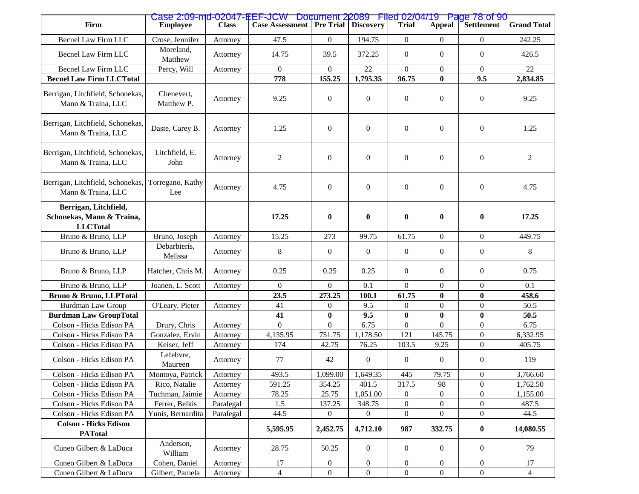| Firm                                                                   | <b>Employee</b>          | <b>Class</b> | Case 2:09-md-02047-EEF-JCW Document 22089 Filed 02/04/19 Page 78 of 90<br><b>Case Assessment</b> |                  | <b>Pre Trial   Discovery</b> | <b>Trial</b>     | Appeal           | Settlement       | <b>Grand Total</b> |
|------------------------------------------------------------------------|--------------------------|--------------|--------------------------------------------------------------------------------------------------|------------------|------------------------------|------------------|------------------|------------------|--------------------|
| <b>Becnel Law Firm LLC</b>                                             | Crose, Jennifer          | Attorney     | 47.5                                                                                             | $\Omega$         | 194.75                       | $\overline{0}$   | $\overline{0}$   | 0                | 242.25             |
| Becnel Law Firm LLC                                                    | Moreland,<br>Matthew     | Attorney     | 14.75                                                                                            | 39.5             | 372.25                       | $\theta$         | $\overline{0}$   | $\overline{0}$   | 426.5              |
| Becnel Law Firm LLC                                                    | Percy, Will              | Attorney     | $\Omega$                                                                                         | $\Omega$         | 22                           | $\Omega$         | $\boldsymbol{0}$ | $\overline{0}$   | 22                 |
| <b>Becnel Law Firm LLCTotal</b>                                        |                          |              | 778                                                                                              | 155.25           | 1,795.35                     | 96.75            | $\bf{0}$         | 9.5              | 2,834.85           |
| Berrigan, Litchfield, Schonekas,<br>Mann & Traina, LLC                 | Chenevert.<br>Matthew P. | Attorney     | 9.25                                                                                             | $\overline{0}$   | $\boldsymbol{0}$             | $\boldsymbol{0}$ | $\boldsymbol{0}$ | $\mathbf{0}$     | 9.25               |
| Berrigan, Litchfield, Schonekas,<br>Mann & Traina, LLC                 | Daste, Carey B.          | Attorney     | 1.25                                                                                             | $\overline{0}$   | $\mathbf{0}$                 | $\theta$         | $\boldsymbol{0}$ | $\mathbf{0}$     | 1.25               |
| Berrigan, Litchfield, Schonekas,<br>Mann & Traina, LLC                 | Litchfield, E.<br>John   | Attorney     | $\overline{c}$                                                                                   | $\overline{0}$   | $\boldsymbol{0}$             | $\boldsymbol{0}$ | $\boldsymbol{0}$ | $\mathbf{0}$     | $\overline{c}$     |
| Berrigan, Litchfield, Schonekas,<br>Mann & Traina, LLC                 | Torregano, Kathy<br>Lee  | Attorney     | 4.75                                                                                             | $\overline{0}$   | $\boldsymbol{0}$             | $\boldsymbol{0}$ | $\boldsymbol{0}$ | $\boldsymbol{0}$ | 4.75               |
| Berrigan, Litchfield,<br>Schonekas, Mann & Traina,<br><b>LLCT</b> otal |                          |              | 17.25                                                                                            | $\bf{0}$         | $\bf{0}$                     | $\boldsymbol{0}$ | $\bf{0}$         | $\bf{0}$         | 17.25              |
| Bruno & Bruno, LLP                                                     | Bruno, Joseph            | Attorney     | 15.25                                                                                            | 273              | 99.75                        | 61.75            | $\overline{0}$   | $\boldsymbol{0}$ | 449.75             |
| Bruno & Bruno, LLP                                                     | Debarbieris,<br>Melissa  | Attorney     | 8                                                                                                | $\overline{0}$   | $\overline{0}$               | $\boldsymbol{0}$ | $\overline{0}$   | $\boldsymbol{0}$ | 8                  |
| Bruno & Bruno, LLP                                                     | Hatcher, Chris M.        | Attorney     | 0.25                                                                                             | 0.25             | 0.25                         | $\overline{0}$   | $\overline{0}$   | $\overline{0}$   | 0.75               |
| Bruno & Bruno, LLP                                                     | Joanen, L. Scott         | Attorney     | $\overline{0}$                                                                                   | $\overline{0}$   | 0.1                          | $\overline{0}$   | $\boldsymbol{0}$ | $\boldsymbol{0}$ | 0.1                |
| Bruno & Bruno, LLPTotal                                                |                          |              | 23.5                                                                                             | 273.25           | 100.1                        | 61.75            | $\bf{0}$         | $\bf{0}$         | 458.6              |
| <b>Burdman Law Group</b>                                               | O'Leary, Pieter          | Attorney     | 41                                                                                               | $\boldsymbol{0}$ | 9.5                          | $\boldsymbol{0}$ | $\mathbf{0}$     | $\boldsymbol{0}$ | 50.5               |
| <b>Burdman Law GroupTotal</b>                                          |                          |              | 41                                                                                               | $\bf{0}$         | 9.5                          | $\bf{0}$         | $\bf{0}$         | $\bf{0}$         | 50.5               |
| Colson - Hicks Edison PA                                               | Drury, Chris             | Attorney     | $\Omega$                                                                                         | $\Omega$         | 6.75                         | $\theta$         | $\Omega$         | $\boldsymbol{0}$ | 6.75               |
| Colson - Hicks Edison PA                                               | Gonzalez, Ervin          | Attorney     | 4,135.95                                                                                         | 751.75           | 1,178.50                     | 121              | 145.75           | $\boldsymbol{0}$ | 6,332.95           |
| Colson - Hicks Edison PA                                               | Keiser, Jeff             | Attorney     | 174                                                                                              | 42.75            | 76.25                        | 103.5            | 9.25             | $\mathbf{0}$     | 405.75             |
| Colson - Hicks Edison PA                                               | Lefebvre,<br>Maureen     | Attorney     | 77                                                                                               | 42               | $\overline{0}$               | $\boldsymbol{0}$ | $\overline{0}$   | $\mathbf{0}$     | 119                |
| Colson - Hicks Edison PA                                               | Montoya, Patrick         | Attorney     | 493.5                                                                                            | 1,099.00         | 1,649.35                     | 445              | 79.75            | $\mathbf{0}$     | 3,766.60           |
| Colson - Hicks Edison PA                                               | Rico, Natalie            | Attorney     | 591.25                                                                                           | 354.25           | 401.5                        | 317.5            | 98               | $\mathbf{0}$     | 1,762.50           |
| Colson - Hicks Edison PA                                               | Tuchman, Jaimie          | Attorney     | 78.25                                                                                            | 25.75            | 1,051.00                     | 0                | $\overline{0}$   | $\mathbf{0}$     | 1,155.00           |
| Colson - Hicks Edison PA                                               | Ferrer, Belkis           | Paralegal    | 1.5                                                                                              | 137.25           | 348.75                       | $\overline{0}$   | $\boldsymbol{0}$ | $\boldsymbol{0}$ | 487.5              |
| Colson - Hicks Edison PA                                               | Yunis, Bernardita        | Paralegal    | 44.5                                                                                             | $\overline{0}$   | $\overline{0}$               | $\overline{0}$   | $\boldsymbol{0}$ | $\boldsymbol{0}$ | 44.5               |
| <b>Colson - Hicks Edison</b><br><b>PATotal</b>                         |                          |              | 5,595.95                                                                                         | 2,452.75         | 4,712.10                     | 987              | 332.75           | $\bf{0}$         | 14,080.55          |
| Cuneo Gilbert & LaDuca                                                 | Anderson,<br>William     | Attorney     | 28.75                                                                                            | 50.25            | $\overline{0}$               | $\mathbf{0}$     | $\overline{0}$   | $\boldsymbol{0}$ | 79                 |
| Cuneo Gilbert & LaDuca                                                 | Cohen, Daniel            | Attorney     | 17                                                                                               | $\overline{0}$   | $\mathbf{0}$                 | $\boldsymbol{0}$ | $\mathbf{0}$     | $\boldsymbol{0}$ | 17                 |
| Cuneo Gilbert & LaDuca                                                 | Gilbert, Pamela          | Attorney     | $\overline{4}$                                                                                   | $\boldsymbol{0}$ | $\boldsymbol{0}$             | $\boldsymbol{0}$ | $\boldsymbol{0}$ | $\boldsymbol{0}$ | $\overline{4}$     |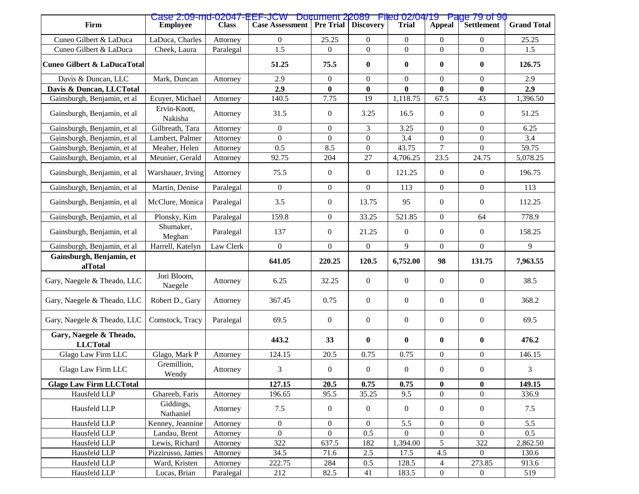| Firm                                        | <b>Employee</b>         | <b>Class</b> | Case 2:09-md-02047-EEF-JCW Document 22089 Filed 02/04/19 Page 79 of 90<br><b>Case Assessment</b> |                  | <b>Pre Trial   Discovery</b> | <b>Trial</b>     | Appeal           | <b>Settlement</b> | <b>Grand Total</b> |
|---------------------------------------------|-------------------------|--------------|--------------------------------------------------------------------------------------------------|------------------|------------------------------|------------------|------------------|-------------------|--------------------|
| Cuneo Gilbert & LaDuca                      | LaDuca, Charles         | Attorney     | $\Omega$                                                                                         | 25.25            | $\Omega$                     | $\overline{0}$   | $\overline{0}$   | $\Omega$          | 25.25              |
| Cuneo Gilbert & LaDuca                      | Cheek, Laura            | Paralegal    | 1.5                                                                                              | $\Omega$         | $\overline{0}$               | $\overline{0}$   | $\overline{0}$   | $\overline{0}$    | 1.5                |
| Cuneo Gilbert & LaDucaTotal                 |                         |              | 51.25                                                                                            | 75.5             | $\bf{0}$                     | $\bf{0}$         | $\bf{0}$         | $\boldsymbol{0}$  | 126.75             |
| Davis & Duncan, LLC                         | Mark, Duncan            | Attorney     | 2.9                                                                                              | $\overline{0}$   | $\overline{0}$               | $\overline{0}$   | $\overline{0}$   | $\overline{0}$    | 2.9                |
| Davis & Duncan, LLCTotal                    |                         |              | 2.9                                                                                              | $\mathbf{0}$     | $\bf{0}$                     | $\bf{0}$         | $\bf{0}$         | $\bf{0}$          | 2.9                |
| Gainsburgh, Benjamin, et al                 | Ecuyer, Michael         | Attorney     | 140.5                                                                                            | 7.75             | 19                           | 1,118.75         | 67.5             | 43                | 1,396.50           |
| Gainsburgh, Benjamin, et al                 | Ervin-Knott,<br>Nakisha | Attorney     | 31.5                                                                                             | $\overline{0}$   | 3.25                         | 16.5             | $\boldsymbol{0}$ | $\boldsymbol{0}$  | 51.25              |
| Gainsburgh, Benjamin, et al                 | Gilbreath, Tara         | Attorney     | $\Omega$                                                                                         | $\overline{0}$   | 3                            | 3.25             | $\mathbf{0}$     | $\overline{0}$    | 6.25               |
| Gainsburgh, Benjamin, et al                 | Lambert, Palmer         | Attorney     | $\Omega$                                                                                         | $\overline{0}$   | $\overline{0}$               | 3.4              | $\boldsymbol{0}$ | $\boldsymbol{0}$  | 3.4                |
| Gainsburgh, Benjamin, et al                 | Meaher, Helen           | Attorney     | 0.5                                                                                              | 8.5              | $\boldsymbol{0}$             | 43.75            | $\overline{7}$   | $\overline{0}$    | 59.75              |
| Gainsburgh, Benjamin, et al                 | Meunier, Gerald         | Attorney     | 92.75                                                                                            | 204              | 27                           | 4,706.25         | 23.5             | 24.75             | 5,078.25           |
| Gainsburgh, Benjamin, et al                 | Warshauer, Irving       | Attorney     | 75.5                                                                                             | $\overline{0}$   | $\boldsymbol{0}$             | 121.25           | $\boldsymbol{0}$ | $\boldsymbol{0}$  | 196.75             |
| Gainsburgh, Benjamin, et al                 | Martin, Denise          | Paralegal    | $\boldsymbol{0}$                                                                                 | $\boldsymbol{0}$ | $\boldsymbol{0}$             | 113              | $\boldsymbol{0}$ | $\boldsymbol{0}$  | 113                |
| Gainsburgh, Benjamin, et al                 | McClure, Monica         | Paralegal    | 3.5                                                                                              | $\overline{0}$   | 13.75                        | 95               | $\overline{0}$   | $\mathbf{0}$      | 112.25             |
| Gainsburgh, Benjamin, et al                 | Plonsky, Kim            | Paralegal    | 159.8                                                                                            | $\boldsymbol{0}$ | 33.25                        | 521.85           | $\boldsymbol{0}$ | 64                | 778.9              |
| Gainsburgh, Benjamin, et al                 | Shumaker,<br>Meghan     | Paralegal    | 137                                                                                              | $\overline{0}$   | 21.25                        | $\boldsymbol{0}$ | $\overline{0}$   | $\overline{0}$    | 158.25             |
| Gainsburgh, Benjamin, et al                 | Harrell, Katelyn        | Law Clerk    | $\overline{0}$                                                                                   | $\boldsymbol{0}$ | $\mathbf{0}$                 | 9                | $\boldsymbol{0}$ | $\boldsymbol{0}$  | 9                  |
| Gainsburgh, Benjamin, et<br>alTotal         |                         |              | 641.05                                                                                           | 220.25           | 120.5                        | 6,752.00         | 98               | 131.75            | 7,963.55           |
| Gary, Naegele & Theado, LLC                 | Jori Bloom,<br>Naegele  | Attorney     | 6.25                                                                                             | 32.25            | $\boldsymbol{0}$             | $\boldsymbol{0}$ | $\boldsymbol{0}$ | $\boldsymbol{0}$  | 38.5               |
| Gary, Naegele & Theado, LLC                 | Robert D., Gary         | Attorney     | 367.45                                                                                           | 0.75             | $\boldsymbol{0}$             | $\boldsymbol{0}$ | $\boldsymbol{0}$ | $\boldsymbol{0}$  | 368.2              |
| Gary, Naegele & Theado, LLC                 | Comstock, Tracy         | Paralegal    | 69.5                                                                                             | $\overline{0}$   | $\boldsymbol{0}$             | $\boldsymbol{0}$ | $\boldsymbol{0}$ | $\boldsymbol{0}$  | 69.5               |
| Gary, Naegele & Theado,<br><b>LLCT</b> otal |                         |              | 443.2                                                                                            | 33               | $\bf{0}$                     | $\bf{0}$         | $\boldsymbol{0}$ | $\bf{0}$          | 476.2              |
| Glago Law Firm LLC                          | Glago, Mark P           | Attorney     | 124.15                                                                                           | 20.5             | 0.75                         | 0.75             | $\overline{0}$   | $\overline{0}$    | 146.15             |
| Glago Law Firm LLC                          | Gremillion,<br>Wendy    | Attorney     | $\mathfrak{Z}$                                                                                   | $\boldsymbol{0}$ | $\boldsymbol{0}$             | $\boldsymbol{0}$ | $\boldsymbol{0}$ | $\boldsymbol{0}$  | 3                  |
| <b>Glago Law Firm LLCTotal</b>              |                         |              | 127.15                                                                                           | 20.5             | 0.75                         | 0.75             | $\bf{0}$         | $\bf{0}$          | 149.15             |
| Hausfeld LLP                                | Ghareeb, Faris          | Attorney     | 196.65                                                                                           | 95.5             | 35.25                        | 9.5              | $\overline{0}$   | $\overline{0}$    | 336.9              |
| Hausfeld LLP                                | Giddings,<br>Nathaniel  | Attorney     | 7.5                                                                                              | $\boldsymbol{0}$ | $\boldsymbol{0}$             | $\overline{0}$   | $\boldsymbol{0}$ | $\boldsymbol{0}$  | 7.5                |
| Hausfeld LLP                                | Kenney, Jeannine        | Attorney     | $\overline{0}$                                                                                   | $\overline{0}$   | $\overline{0}$               | 5.5              | $\boldsymbol{0}$ | $\boldsymbol{0}$  | 5.5                |
| Hausfeld LLP                                | Landau, Brent           | Attorney     | $\overline{0}$                                                                                   | $\overline{0}$   | 0.5                          | $\Omega$         | $\boldsymbol{0}$ | $\overline{0}$    | 0.5                |
| Hausfeld LLP                                | Lewis, Richard          | Attorney     | 322                                                                                              | 637.5            | 182                          | 1,394.00         | 5                | 322               | 2,862.50           |
| Hausfeld LLP                                | Pizzirusso, James       | Attorney     | 34.5                                                                                             | 71.6             | $2.5\,$                      | 17.5             | 4.5              | $\overline{0}$    | 130.6              |
| Hausfeld LLP                                | Ward, Kristen           | Attorney     | 222.75                                                                                           | 284              | $0.5\,$                      | 128.5            | $\overline{4}$   | 273.85            | 913.6              |
| Hausfeld LLP                                | Lucas, Brian            | Paralegal    | 212                                                                                              | 82.5             | 41                           | 183.5            | $\boldsymbol{0}$ | $\boldsymbol{0}$  | 519                |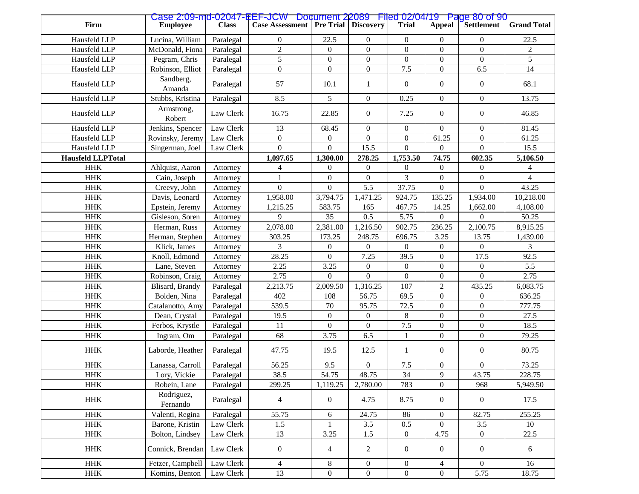| Firm                     | <b>Employee</b>        | <b>Class</b> | Case 2:09-md-02047-EEF-JCW Document 22089 Filed 02/04/19 Page 80 of 90<br><b>Case Assessment Pre Trial Discovery</b> |                  |                  | <b>Trial</b>     | <b>Appeal</b>    | Settlement       | <b>Grand Total</b> |
|--------------------------|------------------------|--------------|----------------------------------------------------------------------------------------------------------------------|------------------|------------------|------------------|------------------|------------------|--------------------|
| Hausfeld LLP             | Lucina, William        | Paralegal    | $\Omega$                                                                                                             | 22.5             | $\Omega$         | $\Omega$         | $\overline{0}$   | $\Omega$         | 22.5               |
| Hausfeld LLP             | McDonald, Fiona        | Paralegal    | $\overline{2}$                                                                                                       | $\overline{0}$   | $\Omega$         | $\Omega$         | $\overline{0}$   | $\overline{0}$   | $\overline{2}$     |
| Hausfeld LLP             | Pegram, Chris          | Paralegal    | 5                                                                                                                    | $\boldsymbol{0}$ | $\overline{0}$   | $\boldsymbol{0}$ | $\boldsymbol{0}$ | $\overline{0}$   | 5                  |
| Hausfeld LLP             | Robinson, Elliot       | Paralegal    | $\overline{0}$                                                                                                       | $\overline{0}$   | $\mathbf{0}$     | 7.5              | $\overline{0}$   | 6.5              | 14                 |
| Hausfeld LLP             | Sandberg,<br>Amanda    | Paralegal    | 57                                                                                                                   | 10.1             | $\mathbf{1}$     | $\overline{0}$   | $\overline{0}$   | $\overline{0}$   | 68.1               |
| Hausfeld LLP             | Stubbs, Kristina       | Paralegal    | 8.5                                                                                                                  | 5                | $\mathbf{0}$     | 0.25             | $\overline{0}$   | $\overline{0}$   | 13.75              |
| Hausfeld LLP             | Armstrong,<br>Robert   | Law Clerk    | 16.75                                                                                                                | 22.85            | $\mathbf{0}$     | 7.25             | $\overline{0}$   | $\boldsymbol{0}$ | 46.85              |
| Hausfeld LLP             | Jenkins, Spencer       | Law Clerk    | 13                                                                                                                   | 68.45            | $\overline{0}$   | $\boldsymbol{0}$ | $\overline{0}$   | $\boldsymbol{0}$ | 81.45              |
| Hausfeld LLP             | Rovinsky, Jeremy       | Law Clerk    | $\Omega$                                                                                                             | $\boldsymbol{0}$ | $\theta$         | $\overline{0}$   | 61.25            | $\boldsymbol{0}$ | 61.25              |
| Hausfeld LLP             | Singerman, Joel        | Law Clerk    | $\Omega$                                                                                                             | $\Omega$         | 15.5             | $\Omega$         | $\mathbf{0}$     | $\Omega$         | 15.5               |
| <b>Hausfeld LLPTotal</b> |                        |              | 1,097.65                                                                                                             | 1,300.00         | 278.25           | 1,753.50         | 74.75            | 602.35           | 5,106.50           |
| <b>HHK</b>               | Ahlquist, Aaron        | Attorney     | 4                                                                                                                    | $\overline{0}$   | $\mathbf{0}$     | $\boldsymbol{0}$ | $\overline{0}$   | $\mathbf{0}$     | 4                  |
| <b>HHK</b>               | Cain, Joseph           | Attorney     |                                                                                                                      | $\overline{0}$   | $\overline{0}$   | 3                | $\overline{0}$   | $\boldsymbol{0}$ | $\overline{4}$     |
| <b>HHK</b>               | Creevy, John           | Attorney     | $\overline{0}$                                                                                                       | $\overline{0}$   | 5.5              | 37.75            | $\overline{0}$   | $\overline{0}$   | 43.25              |
| <b>HHK</b>               | Davis, Leonard         | Attorney     | 1,958.00                                                                                                             | 3,794.75         | 1,471.25         | 924.75           | 135.25           | 1,934.00         | 10,218.00          |
| <b>HHK</b>               | Epstein, Jeremy        | Attorney     | 1,215.25                                                                                                             | 583.75           | 165              | 467.75           | 14.25            | 1,662.00         | 4,108.00           |
| <b>HHK</b>               | Gisleson, Soren        | Attorney     | 9                                                                                                                    | 35               | 0.5              | 5.75             | $\overline{0}$   | $\mathbf{0}$     | 50.25              |
| <b>HHK</b>               | Herman, Russ           | Attorney     | 2,078.00                                                                                                             | 2,381.00         | 1,216.50         | 902.75           | 236.25           | 2,100.75         | 8,915.25           |
| <b>HHK</b>               | Herman, Stephen        | Attorney     | 303.25                                                                                                               | 173.25           | 248.75           | 696.75           | 3.25             | 13.75            | 1,439.00           |
| <b>HHK</b>               | Klick, James           | Attorney     | 3                                                                                                                    | $\boldsymbol{0}$ | $\Omega$         | $\overline{0}$   | $\overline{0}$   | $\overline{0}$   | 3                  |
| <b>HHK</b>               | Knoll, Edmond          | Attorney     | 28.25                                                                                                                | $\overline{0}$   | 7.25             | 39.5             | $\boldsymbol{0}$ | 17.5             | 92.5               |
| <b>HHK</b>               | Lane, Steven           | Attorney     | 2.25                                                                                                                 | 3.25             | $\mathbf{0}$     | $\overline{0}$   | $\boldsymbol{0}$ | $\boldsymbol{0}$ | 5.5                |
| <b>HHK</b>               | Robinson, Craig        | Attorney     | 2.75                                                                                                                 | $\Omega$         | $\Omega$         | $\Omega$         | $\overline{0}$   | $\theta$         | 2.75               |
| <b>HHK</b>               | Blisard, Brandy        | Paralegal    | 2,213.75                                                                                                             | 2,009.50         | 1,316.25         | 107              | $\overline{2}$   | 435.25           | 6,083.75           |
| <b>HHK</b>               | Bolden, Nina           | Paralegal    | 402                                                                                                                  | 108              | 56.75            | 69.5             | $\mathbf{0}$     | $\overline{0}$   | 636.25             |
| <b>HHK</b>               | Catalanotto, Amy       | Paralegal    | 539.5                                                                                                                | 70               | 95.75            | 72.5             | $\overline{0}$   | $\overline{0}$   | 777.75             |
| <b>HHK</b>               | Dean, Crystal          | Paralegal    | 19.5                                                                                                                 | $\boldsymbol{0}$ | $\theta$         | 8                | $\boldsymbol{0}$ | $\boldsymbol{0}$ | 27.5               |
| <b>HHK</b>               | Ferbos, Krystle        | Paralegal    | 11                                                                                                                   | $\overline{0}$   | $\mathbf{0}$     | 7.5              | $\boldsymbol{0}$ | $\boldsymbol{0}$ | 18.5               |
| <b>HHK</b>               | Ingram, Om             | Paralegal    | 68                                                                                                                   | 3.75             | 6.5              | $\mathbf{1}$     | $\overline{0}$   | $\boldsymbol{0}$ | 79.25              |
| <b>HHK</b>               | Laborde, Heather       | Paralegal    | 47.75                                                                                                                | 19.5             | 12.5             | $\mathbf{1}$     | $\overline{0}$   | $\mathbf{0}$     | 80.75              |
| <b>HHK</b>               | Lanassa, Carroll       | Paralegal    | 56.25                                                                                                                | 9.5              | $\boldsymbol{0}$ | 7.5              | $\boldsymbol{0}$ | $\boldsymbol{0}$ | 73.25              |
| <b>HHK</b>               | Lory, Vickie           | Paralegal    | 38.5                                                                                                                 | 54.75            | 48.75            | 34               | $\overline{9}$   | 43.75            | 228.75             |
| $\rm HHK$                | Robein, Lane           | Paralegal    | 299.25                                                                                                               | 1,119.25         | 2,780.00         | 783              | $\overline{0}$   | 968              | 5,949.50           |
| $\rm HHK$                | Rodriguez,<br>Fernando | Paralegal    | $\overline{\mathbf{4}}$                                                                                              | $\boldsymbol{0}$ | 4.75             | 8.75             | $\boldsymbol{0}$ | $\boldsymbol{0}$ | 17.5               |
| $\rm HHK$                | Valenti, Regina        | Paralegal    | 55.75                                                                                                                | 6                | 24.75            | 86               | $\boldsymbol{0}$ | 82.75            | 255.25             |
| $\rm HHK$                | Barone, Kristin        | Law Clerk    | 1.5                                                                                                                  |                  | 3.5              | $0.5\,$          | $\boldsymbol{0}$ | $3.5\,$          | 10                 |
| $\rm HHK$                | Bolton, Lindsey        | Law Clerk    | 13                                                                                                                   | 3.25             | 1.5              | $\boldsymbol{0}$ | 4.75             | $\boldsymbol{0}$ | 22.5               |
| $\rm HHK$                | Connick, Brendan       | Law Clerk    | $\boldsymbol{0}$                                                                                                     | $\overline{4}$   | $\boldsymbol{2}$ | $\boldsymbol{0}$ | $\boldsymbol{0}$ | $\boldsymbol{0}$ | 6                  |
| <b>HHK</b>               | Fetzer, Campbell       | Law Clerk    | 4                                                                                                                    | 8                | $\boldsymbol{0}$ | $\boldsymbol{0}$ | $\overline{4}$   | $\boldsymbol{0}$ | 16                 |
| $\rm HHK$                | Komins, Benton         | Law Clerk    | 13                                                                                                                   | $\boldsymbol{0}$ | $\boldsymbol{0}$ | $\boldsymbol{0}$ | $\boldsymbol{0}$ | 5.75             | 18.75              |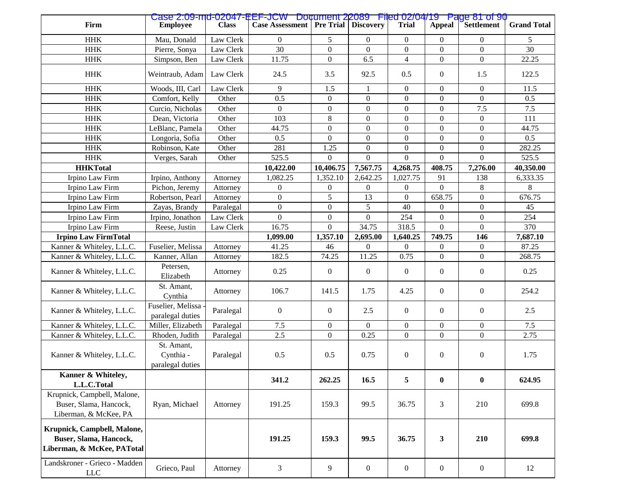| Firm                                                                                       | <b>Employee</b>                             | <b>Class</b> | Case 2:09-md-02047-EEF-JCW Document 22089 Filed 02/04/19 Page 81 of 90<br><b>Case Assessment</b> |                  | <b>Pre Trial   Discovery</b> | <b>Trial</b>     | Appeal           | Settlement       | <b>Grand Total</b> |
|--------------------------------------------------------------------------------------------|---------------------------------------------|--------------|--------------------------------------------------------------------------------------------------|------------------|------------------------------|------------------|------------------|------------------|--------------------|
| <b>HHK</b>                                                                                 | Mau, Donald                                 | Law Clerk    | $\Omega$                                                                                         | 5                | $\Omega$                     | $\Omega$         | $\theta$         | $\Omega$         | 5                  |
| <b>HHK</b>                                                                                 | Pierre, Sonya                               | Law Clerk    | 30                                                                                               | $\overline{0}$   | $\Omega$                     | $\overline{0}$   | $\overline{0}$   | $\overline{0}$   | 30                 |
| <b>HHK</b>                                                                                 | Simpson, Ben                                | Law Clerk    | 11.75                                                                                            | $\overline{0}$   | 6.5                          | $\overline{4}$   | $\overline{0}$   | $\boldsymbol{0}$ | 22.25              |
|                                                                                            |                                             |              |                                                                                                  |                  |                              |                  |                  |                  |                    |
| <b>HHK</b>                                                                                 | Weintraub, Adam                             | Law Clerk    | 24.5                                                                                             | 3.5              | 92.5                         | 0.5              | $\overline{0}$   | 1.5              | 122.5              |
| <b>HHK</b>                                                                                 | Woods, III, Carl                            | Law Clerk    | 9                                                                                                | 1.5              | 1                            | $\overline{0}$   | $\boldsymbol{0}$ | $\overline{0}$   | 11.5               |
| <b>HHK</b>                                                                                 | Comfort, Kelly                              | Other        | 0.5                                                                                              | $\mathbf{0}$     | $\boldsymbol{0}$             | $\overline{0}$   | $\mathbf{0}$     | $\overline{0}$   | 0.5                |
| <b>HHK</b>                                                                                 | Curcio, Nicholas                            | Other        | $\Omega$                                                                                         | $\overline{0}$   | $\overline{0}$               | $\overline{0}$   | $\mathbf{0}$     | 7.5              | 7.5                |
| <b>HHK</b>                                                                                 | Dean, Victoria                              | Other        | 103                                                                                              | 8                | $\boldsymbol{0}$             | $\boldsymbol{0}$ | $\overline{0}$   | $\overline{0}$   | 111                |
| <b>HHK</b>                                                                                 | LeBlanc, Pamela                             | Other        | 44.75                                                                                            | $\overline{0}$   | $\overline{0}$               | $\overline{0}$   | $\mathbf{0}$     | $\overline{0}$   | 44.75              |
| <b>HHK</b>                                                                                 | Longoria, Sofia                             | Other        | 0.5                                                                                              | $\overline{0}$   | $\overline{0}$               | $\overline{0}$   | $\boldsymbol{0}$ | $\overline{0}$   | $\overline{0.5}$   |
| <b>HHK</b>                                                                                 | Robinson, Kate                              | Other        | 281                                                                                              | 1.25             | $\boldsymbol{0}$             | $\boldsymbol{0}$ | $\mathbf{0}$     | $\overline{0}$   | 282.25             |
| <b>HHK</b>                                                                                 | Verges, Sarah                               | Other        | 525.5                                                                                            | $\overline{0}$   | $\theta$                     | $\boldsymbol{0}$ | $\mathbf{0}$     | $\overline{0}$   | 525.5              |
| <b>HHKTotal</b>                                                                            |                                             |              | 10,422.00                                                                                        | 10,406.75        | 7,567.75                     | 4,268.75         | 408.75           | 7,276.00         | 40,350.00          |
| Irpino Law Firm                                                                            | Irpino, Anthony                             | Attorney     | 1,082.25                                                                                         | 1,352.10         | 2,642.25                     | 1,027.75         | 91               | 138              | 6,333.35           |
| Irpino Law Firm                                                                            | Pichon, Jeremy                              | Attorney     | $\overline{0}$                                                                                   | $\boldsymbol{0}$ | $\boldsymbol{0}$             | 0                | $\overline{0}$   | 8                | 8                  |
| Irpino Law Firm                                                                            | Robertson, Pearl                            | Attorney     | $\overline{0}$                                                                                   | 5                | 13                           | $\boldsymbol{0}$ | 658.75           | $\boldsymbol{0}$ | 676.75             |
| Irpino Law Firm                                                                            | Zayas, Brandy                               | Paralegal    | $\overline{0}$                                                                                   | $\boldsymbol{0}$ | 5                            | 40               | $\boldsymbol{0}$ | $\boldsymbol{0}$ | 45                 |
| Irpino Law Firm                                                                            | Irpino, Jonathon                            | Law Clerk    | $\overline{0}$                                                                                   | $\boldsymbol{0}$ | $\boldsymbol{0}$             | 254              | $\overline{0}$   | $\boldsymbol{0}$ | 254                |
| Irpino Law Firm                                                                            | Reese, Justin                               | Law Clerk    | 16.75                                                                                            | $\mathbf{0}$     | 34.75                        | 318.5            | $\mathbf{0}$     | $\overline{0}$   | 370                |
| <b>Irpino Law FirmTotal</b>                                                                |                                             |              | 1,099.00                                                                                         | 1,357.10         | 2,695.00                     | 1,640.25         | 749.75           | 146              | 7,687.10           |
| Kanner & Whiteley, L.L.C.                                                                  | Fuselier, Melissa                           | Attorney     | 41.25                                                                                            | 46               | $\Omega$                     | $\overline{0}$   | $\boldsymbol{0}$ | $\boldsymbol{0}$ | 87.25              |
| Kanner & Whiteley, L.L.C.                                                                  | Kanner, Allan                               | Attorney     | 182.5                                                                                            | 74.25            | 11.25                        | 0.75             | $\overline{0}$   | $\overline{0}$   | 268.75             |
| Kanner & Whiteley, L.L.C.                                                                  | Petersen,<br>Elizabeth                      | Attorney     | 0.25                                                                                             | $\boldsymbol{0}$ | $\boldsymbol{0}$             | $\boldsymbol{0}$ | $\boldsymbol{0}$ | $\boldsymbol{0}$ | 0.25               |
| Kanner & Whiteley, L.L.C.                                                                  | St. Amant,<br>Cynthia                       | Attorney     | 106.7                                                                                            | 141.5            | 1.75                         | 4.25             | $\boldsymbol{0}$ | $\boldsymbol{0}$ | 254.2              |
| Kanner & Whiteley, L.L.C.                                                                  | Fuselier, Melissa<br>paralegal duties       | Paralegal    | $\overline{0}$                                                                                   | $\boldsymbol{0}$ | 2.5                          | $\boldsymbol{0}$ | $\boldsymbol{0}$ | $\boldsymbol{0}$ | 2.5                |
| Kanner & Whiteley, L.L.C.                                                                  | Miller, Elizabeth                           | Paralegal    | $7.5$                                                                                            | $\boldsymbol{0}$ | $\overline{0}$               | $\boldsymbol{0}$ | $\boldsymbol{0}$ | $\boldsymbol{0}$ | 7.5                |
| Kanner & Whiteley, L.L.C.                                                                  | Rhoden, Judith                              | Paralegal    | 2.5                                                                                              | $\overline{0}$   | 0.25                         | $\overline{0}$   | $\Omega$         | $\overline{0}$   | 2.75               |
| Kanner & Whiteley, L.L.C.                                                                  | St. Amant,<br>Cynthia -<br>paralegal duties | Paralegal    | $0.5\,$                                                                                          | 0.5              | 0.75                         | $\boldsymbol{0}$ | $\boldsymbol{0}$ | $\boldsymbol{0}$ | 1.75               |
| Kanner & Whiteley,                                                                         |                                             |              | 341.2                                                                                            | 262.25           | 16.5                         | 5                | $\bf{0}$         | $\bf{0}$         | 624.95             |
| L.L.C.Total                                                                                |                                             |              |                                                                                                  |                  |                              |                  |                  |                  |                    |
| Krupnick, Campbell, Malone,                                                                |                                             |              |                                                                                                  |                  |                              |                  |                  |                  |                    |
| Buser, Slama, Hancock,                                                                     | Ryan, Michael                               | Attorney     | 191.25                                                                                           | 159.3            | 99.5                         | 36.75            | 3                | 210              | 699.8              |
| Liberman, & McKee, PA                                                                      |                                             |              |                                                                                                  |                  |                              |                  |                  |                  |                    |
| Krupnick, Campbell, Malone,<br><b>Buser, Slama, Hancock,</b><br>Liberman, & McKee, PATotal |                                             |              | 191.25                                                                                           | 159.3            | 99.5                         | 36.75            | $\mathbf{3}$     | 210              | 699.8              |
| Landskroner - Grieco - Madden<br>${\rm LLC}$                                               | Grieco, Paul                                | Attorney     | $\mathfrak{Z}$                                                                                   | 9                | $\boldsymbol{0}$             | $\boldsymbol{0}$ | $\boldsymbol{0}$ | $\boldsymbol{0}$ | 12                 |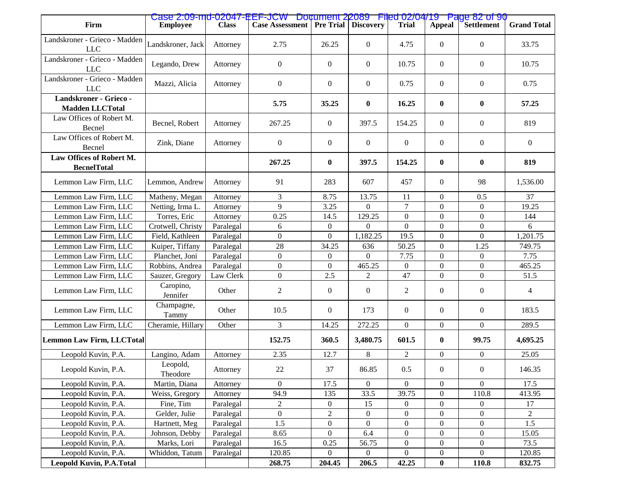| Firm<br><b>Case Assessment   Pre Trial   Discovery</b><br><b>Class</b><br><b>Trial</b><br>Settlement<br><b>Employee</b><br>Appeal                                           | <b>Grand Total</b> |
|-----------------------------------------------------------------------------------------------------------------------------------------------------------------------------|--------------------|
| Landskroner - Grieco - Madden<br>Landskroner, Jack<br>$\overline{0}$<br>$\boldsymbol{0}$<br>2.75<br>26.25<br>4.75<br>$\overline{0}$<br>Attorney<br><b>LLC</b>               | 33.75              |
| Landskroner - Grieco - Madden<br>Legando, Drew<br>$\overline{0}$<br>$\overline{0}$<br>$\overline{0}$<br>$\overline{0}$<br>10.75<br>$\overline{0}$<br>Attorney<br><b>LLC</b> | 10.75              |
| Landskroner - Grieco - Madden<br>$\overline{0}$<br>Mazzi, Alicia<br>$\overline{0}$<br>$\mathbf{0}$<br>0.75<br>$\overline{0}$<br>$\overline{0}$<br>Attorney<br><b>LLC</b>    | 0.75               |
| Landskroner - Grieco -<br>5.75<br>35.25<br>16.25<br>$\bf{0}$<br>$\bf{0}$<br>$\bf{0}$<br><b>Madden LLCTotal</b>                                                              | 57.25              |
| Law Offices of Robert M.<br>$\mathbf{0}$<br>397.5<br>$\overline{0}$<br>Becnel, Robert<br>267.25<br>154.25<br>$\overline{0}$<br>Attorney<br>Becnel                           | 819                |
| Law Offices of Robert M.<br>$\mathbf{0}$<br>$\overline{0}$<br>$\mathbf{0}$<br>$\overline{0}$<br>$\overline{0}$<br>$\overline{0}$<br>Zink, Diane<br>Attorney<br>Becnel       | $\overline{0}$     |
| Law Offices of Robert M.<br>397.5<br>$\bf{0}$<br>267.25<br>$\bf{0}$<br>154.25<br>$\bf{0}$<br><b>BecnelTotal</b>                                                             | 819                |
| Lemmon Law Firm, LLC<br>91<br>283<br>607<br>457<br>$\overline{0}$<br>98<br>Lemmon, Andrew<br>Attorney                                                                       | 1,536.00           |
| 3<br>Lemmon Law Firm, LLC<br>13.75<br>11<br>$\overline{0}$<br>0.5<br>Matheny, Megan<br>8.75<br>Attorney                                                                     | 37                 |
| 9<br>$\tau$<br>3.25<br>$\Omega$<br>$\overline{0}$<br>Lemmon Law Firm, LLC<br>Netting, Irma L.<br>$\mathbf{0}$<br>Attorney                                                   | 19.25              |
| $\overline{0}$<br>$\boldsymbol{0}$<br>0.25<br>14.5<br>129.25<br>$\boldsymbol{0}$<br>Lemmon Law Firm, LLC<br>Torres, Eric<br>Attorney                                        | 144                |
| $\overline{0}$<br>$\mathbf{0}$<br>$\boldsymbol{0}$<br>Lemmon Law Firm, LLC<br>Crotwell, Christy<br>$\boldsymbol{0}$<br>Paralegal<br>6<br>$\Omega$                           | 6                  |
| $\mathbf{0}$<br>$\boldsymbol{0}$<br>$\boldsymbol{0}$<br>Lemmon Law Firm, LLC<br>Field, Kathleen<br>1,182.25<br>19.5<br>$\overline{0}$<br>Paralegal                          | 1,201.75           |
| 28<br>50.25<br>Lemmon Law Firm, LLC<br>34.25<br>636<br>$\overline{0}$<br>1.25<br>Kuiper, Tiffany<br>Paralegal                                                               | 749.75             |
| 7.75<br>Lemmon Law Firm, LLC<br>Planchet, Joni<br>$\overline{0}$<br>$\overline{0}$<br>$\overline{0}$<br>Paralegal<br>$\boldsymbol{0}$<br>$\mathbf{0}$                       | 7.75               |
| Lemmon Law Firm, LLC<br>$\boldsymbol{0}$<br>$\boldsymbol{0}$<br>$\boldsymbol{0}$<br>$\boldsymbol{0}$<br>Robbins, Andrea<br>465.25<br>$\mathbf{0}$<br>Paralegal              | 465.25             |
| $\boldsymbol{0}$<br>2.5<br>47<br>$\boldsymbol{0}$<br>$\boldsymbol{0}$<br>$\overline{c}$<br>Lemmon Law Firm, LLC<br>Sauzer, Gregory<br>Law Clerk                             | 51.5               |
| Caropino,<br>$\overline{2}$<br>$\overline{2}$<br>$\boldsymbol{0}$<br>$\overline{0}$<br>$\boldsymbol{0}$<br>Lemmon Law Firm, LLC<br>$\mathbf{0}$<br>Other<br>Jennifer        | $\overline{4}$     |
| Champagne,<br>Lemmon Law Firm, LLC<br>Other<br>10.5<br>$\overline{0}$<br>173<br>$\overline{0}$<br>$\overline{0}$<br>$\mathbf{0}$<br>Tammy                                   | 183.5              |
| $\overline{3}$<br>Lemmon Law Firm, LLC<br>Cheramie, Hillary<br>Other<br>14.25<br>$\overline{0}$<br>$\boldsymbol{0}$<br>$\overline{0}$<br>272.25                             | 289.5              |
| 152.75<br>360.5<br>601.5<br>$\bf{0}$<br>99.75<br><b>Lemmon Law Firm, LLCTotal</b><br>3,480.75                                                                               | 4,695.25           |
| $\overline{2}$<br>2.35<br>8<br>12.7<br>$\boldsymbol{0}$<br>$\overline{0}$<br>Leopold Kuvin, P.A.<br>Langino, Adam<br>Attorney                                               | 25.05              |
| Leopold,<br>22<br>86.85<br>$\boldsymbol{0}$<br>37<br>0.5<br>$\mathbf{0}$<br>Leopold Kuvin, P.A.<br>Attorney<br>Theodore                                                     | 146.35             |
| $\mathbf{0}$<br>$\boldsymbol{0}$<br>$\boldsymbol{0}$<br>$\boldsymbol{0}$<br>$\overline{0}$<br>17.5<br>Leopold Kuvin, P.A.<br>Martin, Diana<br>Attorney                      | 17.5               |
| Leopold Kuvin, P.A.<br>94.9<br>33.5<br>39.75<br>135<br>$\boldsymbol{0}$<br>110.8<br>Weiss, Gregory<br>Attorney                                                              | 413.95             |
| Leopold Kuvin, P.A.<br>$\overline{c}$<br>$\boldsymbol{0}$<br>Fine, Tim<br>$\mathbf{0}$<br>15<br>$\overline{0}$<br>Paralegal<br>$\overline{0}$                               | 17                 |
| $\overline{c}$<br>$\boldsymbol{0}$<br>$\boldsymbol{0}$<br>$\boldsymbol{0}$<br>Leopold Kuvin, P.A.<br>$\boldsymbol{0}$<br>$\boldsymbol{0}$<br>Gelder, Julie<br>Paralegal     | $\overline{c}$     |
| 1.5<br>$\overline{0}$<br>$\boldsymbol{0}$<br>$\boldsymbol{0}$<br>$\boldsymbol{0}$<br>Leopold Kuvin, P.A.<br>$\boldsymbol{0}$<br>Hartnett, Meg<br>Paralegal                  | 1.5                |
| $\overline{0}$<br>$\boldsymbol{0}$<br>$\boldsymbol{0}$<br>Leopold Kuvin, P.A.<br>8.65<br>6.4<br>$\boldsymbol{0}$<br>Johnson, Debby<br>Paralegal                             | 15.05              |
| $\boldsymbol{0}$<br>$\boldsymbol{0}$<br>$\overline{0}$<br>Leopold Kuvin, P.A.<br>Marks, Lori<br>16.5<br>Paralegal<br>0.25<br>56.75                                          | 73.5               |
| $\overline{0}$<br>$\mathbf{0}$<br>$\boldsymbol{0}$<br>Leopold Kuvin, P.A.<br>Whiddon, Tatum<br>120.85<br>Paralegal<br>$\overline{0}$<br>$\overline{0}$                      | 120.85             |
| <b>Leopold Kuvin, P.A.Total</b><br>268.75<br>42.25<br>$\bf{0}$<br>204.45<br>206.5<br>110.8                                                                                  | 832.75             |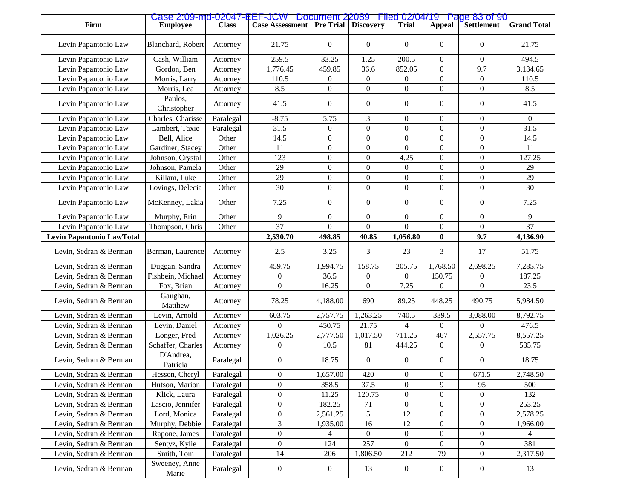|                           |                        |              | Case 2:09-md-02047-EEF-JCW Document 22089 Filed 02/04/19 Page 83 of 90 |                  |                  |                  |                  |                  |                    |
|---------------------------|------------------------|--------------|------------------------------------------------------------------------|------------------|------------------|------------------|------------------|------------------|--------------------|
| Firm                      | <b>Employee</b>        | <b>Class</b> | <b>Case Assessment   Pre Trial   Discovery</b>                         |                  |                  | <b>Trial</b>     | Appeal           | Settlement       | <b>Grand Total</b> |
| Levin Papantonio Law      | Blanchard, Robert      | Attorney     | 21.75                                                                  | $\overline{0}$   | $\overline{0}$   | $\overline{0}$   | $\overline{0}$   | $\mathbf{0}$     | 21.75              |
| Levin Papantonio Law      | Cash, William          | Attorney     | 259.5                                                                  | 33.25            | 1.25             | 200.5            | $\overline{0}$   | $\boldsymbol{0}$ | 494.5              |
| Levin Papantonio Law      | Gordon, Ben            | Attorney     | $\overline{1,776.45}$                                                  | 459.85           | 36.6             | 852.05           | $\boldsymbol{0}$ | 9.7              | 3,134.65           |
| Levin Papantonio Law      | Morris, Larry          | Attorney     | 110.5                                                                  | 0                | $\overline{0}$   | $\boldsymbol{0}$ | $\boldsymbol{0}$ | 0                | 110.5              |
| Levin Papantonio Law      | Morris, Lea            | Attorney     | 8.5                                                                    | $\overline{0}$   | $\boldsymbol{0}$ | $\overline{0}$   | $\overline{0}$   | $\boldsymbol{0}$ | 8.5                |
| Levin Papantonio Law      | Paulos,<br>Christopher | Attorney     | 41.5                                                                   | $\overline{0}$   | $\mathbf{0}$     | $\boldsymbol{0}$ | $\boldsymbol{0}$ | $\boldsymbol{0}$ | 41.5               |
| Levin Papantonio Law      | Charles, Charisse      | Paralegal    | $-8.75$                                                                | 5.75             | 3                | $\boldsymbol{0}$ | $\overline{0}$   | $\boldsymbol{0}$ | $\Omega$           |
| Levin Papantonio Law      | Lambert, Taxie         | Paralegal    | 31.5                                                                   | $\overline{0}$   | $\boldsymbol{0}$ | $\overline{0}$   | $\boldsymbol{0}$ | $\boldsymbol{0}$ | 31.5               |
| Levin Papantonio Law      | Bell, Alice            | Other        | 14.5                                                                   | $\boldsymbol{0}$ | $\boldsymbol{0}$ | $\boldsymbol{0}$ | $\boldsymbol{0}$ | $\boldsymbol{0}$ | 14.5               |
| Levin Papantonio Law      | Gardiner, Stacey       | Other        | 11                                                                     | $\boldsymbol{0}$ | $\boldsymbol{0}$ | $\overline{0}$   | $\boldsymbol{0}$ | $\boldsymbol{0}$ | 11                 |
| Levin Papantonio Law      | Johnson, Crystal       | Other        | 123                                                                    | $\boldsymbol{0}$ | $\overline{0}$   | 4.25             | $\mathbf{0}$     | $\mathbf{0}$     | 127.25             |
| Levin Papantonio Law      | Johnson, Pamela        | Other        | 29                                                                     | $\boldsymbol{0}$ | $\boldsymbol{0}$ | $\boldsymbol{0}$ | $\boldsymbol{0}$ | $\boldsymbol{0}$ | 29                 |
| Levin Papantonio Law      | Killam, Luke           | Other        | 29                                                                     | $\boldsymbol{0}$ | $\boldsymbol{0}$ | $\boldsymbol{0}$ | $\boldsymbol{0}$ | $\boldsymbol{0}$ | 29                 |
| Levin Papantonio Law      | Lovings, Delecia       | Other        | 30                                                                     | $\overline{0}$   | $\overline{0}$   | $\overline{0}$   | $\overline{0}$   | $\boldsymbol{0}$ | $\overline{30}$    |
| Levin Papantonio Law      | McKenney, Lakia        | Other        | 7.25                                                                   | $\overline{0}$   | $\mathbf{0}$     | $\overline{0}$   | $\overline{0}$   | $\boldsymbol{0}$ | 7.25               |
| Levin Papantonio Law      | Murphy, Erin           | Other        | 9                                                                      | $\overline{0}$   | $\boldsymbol{0}$ | $\boldsymbol{0}$ | $\overline{0}$   | $\boldsymbol{0}$ | 9                  |
| Levin Papantonio Law      | Thompson, Chris        | Other        | 37                                                                     | $\overline{0}$   | $\boldsymbol{0}$ | $\overline{0}$   | $\overline{0}$   | $\boldsymbol{0}$ | 37                 |
| Levin Papantonio LawTotal |                        |              | 2,530.70                                                               | 498.85           | 40.85            | 1,056.80         | $\boldsymbol{0}$ | 9.7              | 4,136.90           |
| Levin, Sedran & Berman    | Berman, Laurence       | Attorney     | 2.5                                                                    | 3.25             | 3                | 23               | 3                | 17               | 51.75              |
| Levin, Sedran & Berman    | Duggan, Sandra         | Attorney     | 459.75                                                                 | 1,994.75         | 158.75           | 205.75           | 1,768.50         | 2,698.25         | 7,285.75           |
| Levin, Sedran & Berman    | Fishbein, Michael      | Attorney     | $\boldsymbol{0}$                                                       | 36.5             | $\mathbf{0}$     | $\boldsymbol{0}$ | 150.75           | 0                | 187.25             |
| Levin, Sedran & Berman    | Fox, Brian             | Attorney     | $\mathbf{0}$                                                           | 16.25            | $\mathbf{0}$     | 7.25             | $\boldsymbol{0}$ | $\overline{0}$   | 23.5               |
| Levin, Sedran & Berman    | Gaughan,<br>Matthew    | Attorney     | 78.25                                                                  | 4,188.00         | 690              | 89.25            | 448.25           | 490.75           | 5,984.50           |
| Levin, Sedran & Berman    | Levin, Arnold          | Attorney     | 603.75                                                                 | 2,757.75         | 1,263.25         | 740.5            | 339.5            | 3,088.00         | 8,792.75           |
| Levin, Sedran & Berman    | Levin, Daniel          | Attorney     | $\Omega$                                                               | 450.75           | 21.75            | $\overline{4}$   | $\boldsymbol{0}$ | $\Omega$         | 476.5              |
| Levin, Sedran & Berman    | Longer, Fred           | Attorney     | 1,026.25                                                               | 2,777.50         | 1,017.50         | 711.25           | 467              | 2,557.75         | 8,557.25           |
| Levin, Sedran & Berman    | Schaffer, Charles      | Attorney     | $\overline{0}$                                                         | 10.5             | 81               | 444.25           | $\overline{0}$   | $\overline{0}$   | 535.75             |
| Levin, Sedran & Berman    | D'Andrea,<br>Patricia  | Paralegal    | $\boldsymbol{0}$                                                       | 18.75            | $\mathbf{0}$     | $\boldsymbol{0}$ | $\boldsymbol{0}$ | 0                | 18.75              |
| Levin, Sedran & Berman    | Hesson, Cheryl         | Paralegal    | $\mathbf{0}$                                                           | 1,657.00         | 420              | $\boldsymbol{0}$ | $\boldsymbol{0}$ | 671.5            | 2,748.50           |
| Levin, Sedran & Berman    | Hutson, Marion         | Paralegal    | $\overline{0}$                                                         | 358.5            | 37.5             | $\overline{0}$   | 9                | 95               | 500                |
| Levin, Sedran & Berman    | Klick, Laura           | Paralegal    | $\boldsymbol{0}$                                                       | 11.25            | 120.75           | $\boldsymbol{0}$ | $\overline{0}$   | 0                | 132                |
| Levin, Sedran & Berman    | Lascio, Jennifer       | Paralegal    | $\boldsymbol{0}$                                                       | 182.25           | 71               | $\boldsymbol{0}$ | $\boldsymbol{0}$ | $\boldsymbol{0}$ | 253.25             |
| Levin, Sedran & Berman    | Lord, Monica           | Paralegal    | $\boldsymbol{0}$                                                       | 2,561.25         | 5                | 12               | $\boldsymbol{0}$ | $\boldsymbol{0}$ | 2,578.25           |
| Levin, Sedran & Berman    | Murphy, Debbie         | Paralegal    | 3                                                                      | 1,935.00         | 16               | 12               | $\mathbf{0}$     | $\boldsymbol{0}$ | 1,966.00           |
| Levin, Sedran & Berman    | Rapone, James          | Paralegal    | $\boldsymbol{0}$                                                       | 4                | $\overline{0}$   | $\boldsymbol{0}$ | $\overline{0}$   | $\boldsymbol{0}$ | 4                  |
| Levin, Sedran & Berman    | Sentyz, Kylie          | Paralegal    | $\boldsymbol{0}$                                                       | 124              | 257              | $\boldsymbol{0}$ | $\boldsymbol{0}$ | $\boldsymbol{0}$ | 381                |
| Levin, Sedran & Berman    | Smith, Tom             | Paralegal    | 14                                                                     | 206              | 1,806.50         | 212              | 79               | $\boldsymbol{0}$ | 2,317.50           |
| Levin, Sedran & Berman    | Sweeney, Anne<br>Marie | Paralegal    | $\boldsymbol{0}$                                                       | $\boldsymbol{0}$ | 13               | $\boldsymbol{0}$ | $\boldsymbol{0}$ | $\boldsymbol{0}$ | 13                 |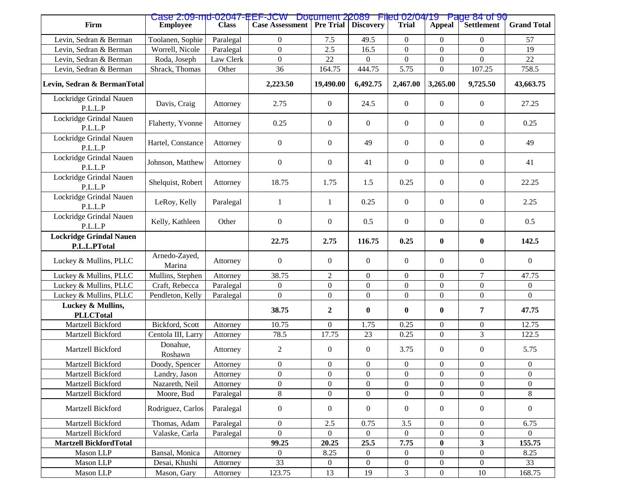| Firm                                             | <b>Employee</b>                     | <b>Class</b>           | Case 2:09-md-02047-EEF-JCW Document 22089 Filed 02/04/19 Page 84 of 90<br><b>Case Assessment</b> |                  | <b>Pre Trial   Discovery</b> | <b>Trial</b>     | Appeal                     | <b>Settlement</b> | <b>Grand Total</b> |
|--------------------------------------------------|-------------------------------------|------------------------|--------------------------------------------------------------------------------------------------|------------------|------------------------------|------------------|----------------------------|-------------------|--------------------|
|                                                  |                                     |                        | $\overline{0}$                                                                                   | 7.5              | 49.5                         | $\overline{0}$   |                            | $\Omega$          | 57                 |
| Levin, Sedran & Berman<br>Levin, Sedran & Berman | Toolanen, Sophie<br>Worrell, Nicole | Paralegal<br>Paralegal | $\overline{0}$                                                                                   | 2.5              | 16.5                         | $\mathbf{0}$     | $\overline{0}$<br>$\theta$ | $\mathbf{0}$      | 19                 |
| Levin, Sedran & Berman                           | Roda, Joseph                        | Law Clerk              | $\overline{0}$                                                                                   | 22               | $\Omega$                     | $\overline{0}$   | $\boldsymbol{0}$           | $\Omega$          | 22                 |
| Levin, Sedran & Berman                           | Shrack, Thomas                      | Other                  | 36                                                                                               | 164.75           | 444.75                       | 5.75             | $\boldsymbol{0}$           | 107.25            | 758.5              |
|                                                  |                                     |                        |                                                                                                  |                  |                              |                  |                            |                   |                    |
| Levin, Sedran & BermanTotal                      |                                     |                        | 2,223.50                                                                                         | 19,490.00        | 6,492.75                     | 2,467.00         | 3,265.00                   | 9,725.50          | 43,663.75          |
| Lockridge Grindal Nauen<br>P.L.L.P               | Davis, Craig                        | Attorney               | 2.75                                                                                             | $\boldsymbol{0}$ | 24.5                         | $\mathbf{0}$     | $\boldsymbol{0}$           | $\boldsymbol{0}$  | 27.25              |
| Lockridge Grindal Nauen<br>P.L.L.P               | Flaherty, Yvonne                    | Attorney               | 0.25                                                                                             | $\boldsymbol{0}$ | $\mathbf{0}$                 | $\boldsymbol{0}$ | $\theta$                   | $\boldsymbol{0}$  | 0.25               |
| Lockridge Grindal Nauen<br>P.L.L.P               | Hartel, Constance                   | Attorney               | $\boldsymbol{0}$                                                                                 | $\boldsymbol{0}$ | 49                           | $\boldsymbol{0}$ | $\boldsymbol{0}$           | $\boldsymbol{0}$  | 49                 |
| Lockridge Grindal Nauen<br>P.L.L.P               | Johnson, Matthew                    | Attorney               | $\boldsymbol{0}$                                                                                 | $\boldsymbol{0}$ | 41                           | $\boldsymbol{0}$ | $\boldsymbol{0}$           | $\boldsymbol{0}$  | 41                 |
| Lockridge Grindal Nauen<br>P.L.L.P               | Shelquist, Robert                   | Attorney               | 18.75                                                                                            | 1.75             | 1.5                          | 0.25             | $\boldsymbol{0}$           | $\boldsymbol{0}$  | 22.25              |
| Lockridge Grindal Nauen<br>P.L.L.P               | LeRoy, Kelly                        | Paralegal              | 1                                                                                                | $\mathbf{1}$     | 0.25                         | $\boldsymbol{0}$ | $\boldsymbol{0}$           | $\boldsymbol{0}$  | 2.25               |
| Lockridge Grindal Nauen<br>P.L.L.P               | Kelly, Kathleen                     | Other                  | $\mathbf{0}$                                                                                     | $\boldsymbol{0}$ | 0.5                          | $\boldsymbol{0}$ | $\boldsymbol{0}$           | $\boldsymbol{0}$  | 0.5                |
| <b>Lockridge Grindal Nauen</b><br>P.L.L.PTotal   |                                     |                        | 22.75                                                                                            | 2.75             | 116.75                       | 0.25             | $\pmb{0}$                  | $\bf{0}$          | 142.5              |
| Luckey & Mullins, PLLC                           | Arnedo-Zayed,<br>Marina             | Attorney               | $\mathbf{0}$                                                                                     | $\mathbf{0}$     | $\mathbf{0}$                 | $\boldsymbol{0}$ | $\mathbf{0}$               | $\boldsymbol{0}$  | $\boldsymbol{0}$   |
| Luckey & Mullins, PLLC                           | Mullins, Stephen                    | Attorney               | 38.75                                                                                            | $\overline{c}$   | $\mathbf{0}$                 | $\boldsymbol{0}$ | $\mathbf{0}$               | $\tau$            | 47.75              |
| Luckey & Mullins, PLLC                           | Craft, Rebecca                      | Paralegal              | $\mathbf{0}$                                                                                     | $\boldsymbol{0}$ | $\boldsymbol{0}$             | $\mathbf{0}$     | $\boldsymbol{0}$           | $\boldsymbol{0}$  | $\boldsymbol{0}$   |
| Luckey & Mullins, PLLC                           | Pendleton, Kelly                    | Paralegal              | $\theta$                                                                                         | $\boldsymbol{0}$ | $\mathbf{0}$                 | $\mathbf{0}$     | $\theta$                   | $\boldsymbol{0}$  | $\Omega$           |
| Luckey & Mullins,<br><b>PLLCTotal</b>            |                                     |                        | 38.75                                                                                            | 2                | $\bf{0}$                     | $\boldsymbol{0}$ | $\boldsymbol{0}$           | 7                 | 47.75              |
| Martzell Bickford                                | Bickford, Scott                     | Attorney               | 10.75                                                                                            | $\overline{0}$   | 1.75                         | 0.25             | $\boldsymbol{0}$           | $\boldsymbol{0}$  | 12.75              |
| Martzell Bickford                                | Centola III, Larry                  | Attorney               | 78.5                                                                                             | 17.75            | 23                           | 0.25             | $\theta$                   | $\overline{3}$    | 122.5              |
| Martzell Bickford                                | Donahue,<br>Roshawn                 | Attorney               | $\overline{c}$                                                                                   | $\boldsymbol{0}$ | $\mathbf{0}$                 | 3.75             | $\boldsymbol{0}$           | $\boldsymbol{0}$  | 5.75               |
| Martzell Bickford                                | Doody, Spencer                      | Attorney               | $\overline{0}$                                                                                   | $\boldsymbol{0}$ | $\boldsymbol{0}$             | $\boldsymbol{0}$ | $\boldsymbol{0}$           | $\boldsymbol{0}$  | $\boldsymbol{0}$   |
| Martzell Bickford                                | Landry, Jason                       | Attorney               | $\boldsymbol{0}$                                                                                 | $\boldsymbol{0}$ | $\boldsymbol{0}$             | $\boldsymbol{0}$ | $\boldsymbol{0}$           | $\boldsymbol{0}$  | $\boldsymbol{0}$   |
| Martzell Bickford                                | Nazareth, Neil                      | Attorney               | $\overline{0}$                                                                                   | $\overline{0}$   | $\Omega$                     | $\Omega$         | $\Omega$                   | $\Omega$          | $\boldsymbol{0}$   |
| Martzell Bickford                                | Moore, Bud                          | Paralegal              | 8                                                                                                | $\boldsymbol{0}$ | $\mathbf{0}$                 | $\mathbf{0}$     | $\boldsymbol{0}$           | $\boldsymbol{0}$  | 8                  |
| Martzell Bickford                                | Rodriguez, Carlos                   | Paralegal              | $\boldsymbol{0}$                                                                                 | $\boldsymbol{0}$ | $\mathbf{0}$                 | $\boldsymbol{0}$ | $\boldsymbol{0}$           | $\boldsymbol{0}$  | $\boldsymbol{0}$   |
| Martzell Bickford                                | Thomas, Adam                        | Paralegal              | $\mathbf{0}$                                                                                     | 2.5              | 0.75                         | 3.5              | $\boldsymbol{0}$           | $\boldsymbol{0}$  | 6.75               |
| Martzell Bickford                                | Valaske, Carla                      | Paralegal              | $\Omega$                                                                                         | $\overline{0}$   | $\overline{0}$               | $\overline{0}$   | $\boldsymbol{0}$           | $\boldsymbol{0}$  | $\overline{0}$     |
| <b>Martzell BickfordTotal</b>                    |                                     |                        | 99.25                                                                                            | 20.25            | 25.5                         | 7.75             | $\boldsymbol{0}$           | $\mathbf{3}$      | 155.75             |
| Mason LLP                                        | Bansal, Monica                      | Attorney               | $\overline{0}$                                                                                   | 8.25             | $\boldsymbol{0}$             | $\overline{0}$   | $\boldsymbol{0}$           | $\boldsymbol{0}$  | 8.25               |
| Mason LLP                                        | Desai, Khushi                       | Attorney               | 33                                                                                               | $\boldsymbol{0}$ | $\boldsymbol{0}$             | $\boldsymbol{0}$ | $\boldsymbol{0}$           | $\boldsymbol{0}$  | 33                 |
| Mason LLP                                        | Mason, Gary                         | Attorney               | 123.75                                                                                           | 13               | 19                           | $\mathfrak{Z}$   | $\boldsymbol{0}$           | 10                | 168.75             |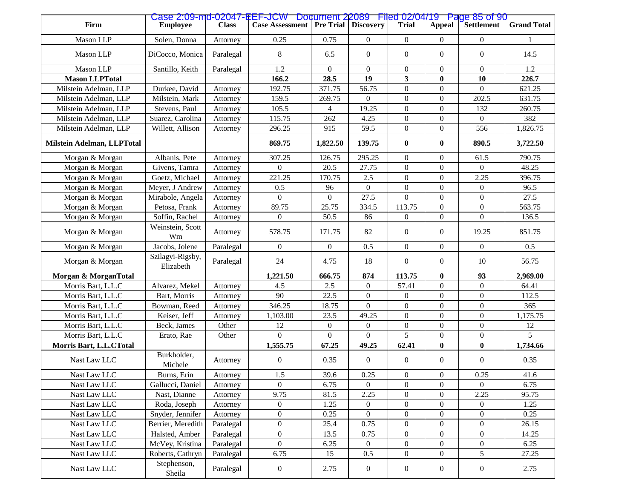| Firm                       | <b>Employee</b>               | <b>Class</b> | Case 2:09-md-02047-EEF-JCW Document 22089 Filed 02/04/19 Page 85 of 90<br><b>Case Assessment   Pre Trial   Discovery</b> |                  |                  | <b>Trial</b>            | Appeal           | Settlement       | <b>Grand Total</b> |
|----------------------------|-------------------------------|--------------|--------------------------------------------------------------------------------------------------------------------------|------------------|------------------|-------------------------|------------------|------------------|--------------------|
| Mason LLP                  | Solen, Donna                  | Attorney     | 0.25                                                                                                                     | 0.75             | $\Omega$         | $\overline{0}$          | $\overline{0}$   | $\Omega$         |                    |
| Mason LLP                  | DiCocco, Monica               | Paralegal    | 8                                                                                                                        | 6.5              | $\Omega$         | $\overline{0}$          | $\overline{0}$   | $\overline{0}$   | 14.5               |
| Mason LLP                  | Santillo, Keith               | Paralegal    | 1.2                                                                                                                      | $\Omega$         | $\Omega$         | $\overline{0}$          | $\overline{0}$   | $\overline{0}$   | 1.2                |
| <b>Mason LLPTotal</b>      |                               |              | 166.2                                                                                                                    | 28.5             | 19               | $\overline{\mathbf{3}}$ | $\bf{0}$         | 10               | 226.7              |
| Milstein Adelman, LLP      | Durkee, David                 | Attorney     | 192.75                                                                                                                   | 371.75           | 56.75            | $\Omega$                | $\overline{0}$   | $\theta$         | 621.25             |
| Milstein Adelman, LLP      | Milstein, Mark                | Attorney     | 159.5                                                                                                                    | 269.75           | $\overline{0}$   | $\boldsymbol{0}$        | $\overline{0}$   | 202.5            | 631.75             |
| Milstein Adelman, LLP      | Stevens, Paul                 | Attorney     | 105.5                                                                                                                    | $\overline{4}$   | 19.25            | $\overline{0}$          | $\overline{0}$   | 132              | 260.75             |
| Milstein Adelman, LLP      | Suarez, Carolina              | Attorney     | 115.75                                                                                                                   | 262              | 4.25             | $\overline{0}$          | $\mathbf{0}$     | $\Omega$         | 382                |
| Milstein Adelman, LLP      | Willett, Allison              | Attorney     | 296.25                                                                                                                   | 915              | 59.5             | $\overline{0}$          | $\overline{0}$   | 556              | 1,826.75           |
| Milstein Adelman, LLPTotal |                               |              | 869.75                                                                                                                   | 1,822.50         | 139.75           | $\boldsymbol{0}$        | $\bf{0}$         | 890.5            | 3,722.50           |
| Morgan & Morgan            | Albanis, Pete                 | Attorney     | 307.25                                                                                                                   | 126.75           | 295.25           | $\Omega$                | $\overline{0}$   | 61.5             | 790.75             |
| Morgan & Morgan            | Givens, Tamra                 | Attorney     | $\overline{0}$                                                                                                           | 20.5             | 27.75            | $\boldsymbol{0}$        | $\boldsymbol{0}$ | $\overline{0}$   | 48.25              |
| Morgan & Morgan            | Goetz, Michael                | Attorney     | 221.25                                                                                                                   | 170.75           | 2.5              | $\overline{0}$          | $\boldsymbol{0}$ | 2.25             | 396.75             |
| Morgan & Morgan            | Meyer, J Andrew               | Attorney     | 0.5                                                                                                                      | 96               | $\theta$         | $\overline{0}$          | $\mathbf{0}$     | $\overline{0}$   | 96.5               |
| Morgan & Morgan            | Mirabole, Angela              | Attorney     | $\theta$                                                                                                                 | $\overline{0}$   | 27.5             | $\boldsymbol{0}$        | $\overline{0}$   | $\boldsymbol{0}$ | 27.5               |
| Morgan & Morgan            | Petosa, Frank                 | Attorney     | 89.75                                                                                                                    | 25.75            | 334.5            | 113.75                  | $\boldsymbol{0}$ | $\boldsymbol{0}$ | 563.75             |
| Morgan & Morgan            | Soffin, Rachel                | Attorney     | $\overline{0}$                                                                                                           | 50.5             | 86               | $\boldsymbol{0}$        | $\boldsymbol{0}$ | $\overline{0}$   | 136.5              |
| Morgan & Morgan            | Weinstein, Scott<br>Wm        | Attorney     | 578.75                                                                                                                   | 171.75           | 82               | $\overline{0}$          | $\overline{0}$   | 19.25            | 851.75             |
| Morgan & Morgan            | Jacobs, Jolene                | Paralegal    | $\overline{0}$                                                                                                           | $\boldsymbol{0}$ | 0.5              | $\boldsymbol{0}$        | $\overline{0}$   | $\boldsymbol{0}$ | 0.5                |
| Morgan & Morgan            | Szilagyi-Rigsby,<br>Elizabeth | Paralegal    | 24                                                                                                                       | 4.75             | 18               | $\boldsymbol{0}$        | $\overline{0}$   | 10               | 56.75              |
| Morgan & MorganTotal       |                               |              | 1,221.50                                                                                                                 | 666.75           | 874              | 113.75                  | $\bf{0}$         | 93               | 2,969.00           |
| Morris Bart, L.L.C         | Alvarez, Mekel                | Attorney     | 4.5                                                                                                                      | 2.5              | $\overline{0}$   | 57.41                   | $\boldsymbol{0}$ | $\boldsymbol{0}$ | 64.41              |
| Morris Bart, L.L.C         | Bart, Morris                  | Attorney     | 90                                                                                                                       | 22.5             | $\boldsymbol{0}$ | $\boldsymbol{0}$        | $\boldsymbol{0}$ | $\boldsymbol{0}$ | 112.5              |
| Morris Bart, L.L.C         | Bowman, Reed                  | Attorney     | 346.25                                                                                                                   | 18.75            | $\theta$         | $\boldsymbol{0}$        | $\boldsymbol{0}$ | $\boldsymbol{0}$ | 365                |
| Morris Bart, L.L.C         | Keiser, Jeff                  | Attorney     | 1,103.00                                                                                                                 | 23.5             | 49.25            | $\boldsymbol{0}$        | $\overline{0}$   | $\boldsymbol{0}$ | 1,175.75           |
| Morris Bart, L.L.C         | Beck, James                   | Other        | 12                                                                                                                       | $\overline{0}$   | $\overline{0}$   | $\boldsymbol{0}$        | $\overline{0}$   | $\boldsymbol{0}$ | 12                 |
| Morris Bart, L.L.C         | Erato, Rae                    | Other        | $\Omega$                                                                                                                 | $\Omega$         | $\Omega$         | 5                       | $\overline{0}$   | $\overline{0}$   | 5                  |
| Morris Bart, L.L.CTotal    |                               |              | 1,555.75                                                                                                                 | 67.25            | 49.25            | 62.41                   | $\bf{0}$         | $\bf{0}$         | 1,734.66           |
| Nast Law LLC               | Burkholder,<br>Michele        | Attorney     | $\boldsymbol{0}$                                                                                                         | 0.35             | $\overline{0}$   | $\boldsymbol{0}$        | $\overline{0}$   | $\overline{0}$   | 0.35               |
| Nast Law LLC               | Burns, Erin                   | Attorney     | $1.5\,$                                                                                                                  | 39.6             | 0.25             | $\boldsymbol{0}$        | $\boldsymbol{0}$ | 0.25             | 41.6               |
| Nast Law LLC               | Gallucci, Daniel              | Attorney     | $\Omega$                                                                                                                 | 6.75             | $\Omega$         | $\theta$                | $\Omega$         | $\Omega$         | 6.75               |
| Nast Law LLC               | Nast, Dianne                  | Attorney     | 9.75                                                                                                                     | 81.5             | 2.25             | $\boldsymbol{0}$        | $\boldsymbol{0}$ | 2.25             | 95.75              |
| Nast Law LLC               | Roda, Joseph                  | Attorney     | $\boldsymbol{0}$                                                                                                         | 1.25             | $\mathbf{0}$     | $\boldsymbol{0}$        | $\boldsymbol{0}$ | 0                | 1.25               |
| Nast Law LLC               | Snyder, Jennifer              | Attorney     | $\boldsymbol{0}$                                                                                                         | 0.25             | $\Omega$         | $\boldsymbol{0}$        | $\boldsymbol{0}$ | $\boldsymbol{0}$ | 0.25               |
| Nast Law LLC               | Berrier, Meredith             | Paralegal    | $\boldsymbol{0}$                                                                                                         | 25.4             | 0.75             | $\boldsymbol{0}$        | $\boldsymbol{0}$ | $\boldsymbol{0}$ | 26.15              |
| Nast Law LLC               | Halsted, Amber                | Paralegal    | $\boldsymbol{0}$                                                                                                         | 13.5             | 0.75             | $\boldsymbol{0}$        | $\boldsymbol{0}$ | $\boldsymbol{0}$ | 14.25              |
| Nast Law LLC               | McVey, Kristina               | Paralegal    | $\boldsymbol{0}$                                                                                                         | 6.25             | $\bf{0}$         | $\boldsymbol{0}$        | $\boldsymbol{0}$ | $\boldsymbol{0}$ | 6.25               |
| Nast Law LLC               | Roberts, Cathryn              | Paralegal    | 6.75                                                                                                                     | 15               | 0.5              | $\boldsymbol{0}$        | $\overline{0}$   | 5                | 27.25              |
| Nast Law LLC               | Stephenson,<br>Sheila         | Paralegal    | $\boldsymbol{0}$                                                                                                         | 2.75             | $\boldsymbol{0}$ | $\boldsymbol{0}$        | $\boldsymbol{0}$ | $\boldsymbol{0}$ | 2.75               |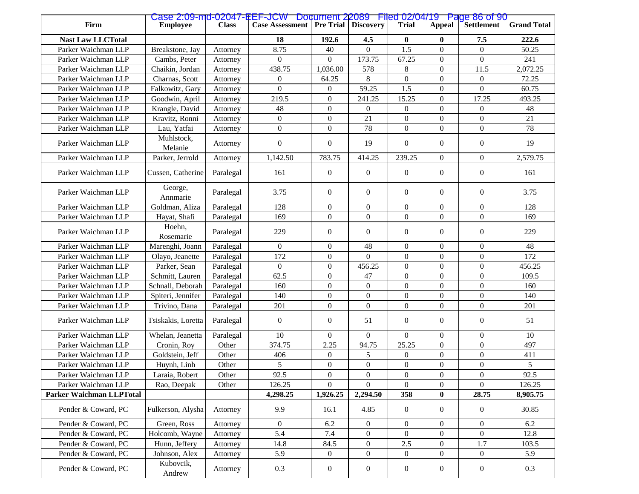| Firm                            | <b>Employee</b>       | <b>Class</b> | Case 2:09-md-02047-EEF-JCW Document 22089 Filed 02/04/19 Page 86 of 90<br><b>Case Assessment</b> |                  | <b>Pre Trial   Discovery</b> | <b>Trial</b>     | Appeal           | Settlement       | <b>Grand Total</b> |
|---------------------------------|-----------------------|--------------|--------------------------------------------------------------------------------------------------|------------------|------------------------------|------------------|------------------|------------------|--------------------|
| <b>Nast Law LLCTotal</b>        |                       |              | 18                                                                                               | 192.6            | 4.5                          | $\bf{0}$         | $\bf{0}$         | 7.5              | 222.6              |
| Parker Waichman LLP             | Breakstone, Jay       | Attorney     | 8.75                                                                                             | 40               | $\Omega$                     | 1.5              | $\Omega$         | $\Omega$         | 50.25              |
| Parker Waichman LLP             | Cambs, Peter          | Attorney     | $\Omega$                                                                                         | $\Omega$         | 173.75                       | 67.25            | $\overline{0}$   | $\Omega$         | 241                |
| Parker Waichman LLP             | Chaikin, Jordan       | Attorney     | 438.75                                                                                           | 1,036.00         | 578                          | 8                | $\overline{0}$   | 11.5             | 2,072.25           |
| Parker Waichman LLP             | Charnas, Scott        | Attorney     | $\overline{0}$                                                                                   | 64.25            | 8                            | $\overline{0}$   | $\overline{0}$   | $\overline{0}$   | 72.25              |
| Parker Waichman LLP             | Falkowitz, Gary       | Attorney     | $\Omega$                                                                                         | $\overline{0}$   | 59.25                        | 1.5              | $\mathbf{0}$     | $\overline{0}$   | 60.75              |
| Parker Waichman LLP             | Goodwin, April        | Attorney     | 219.5                                                                                            | $\mathbf{0}$     | 241.25                       | 15.25            | $\overline{0}$   | 17.25            | 493.25             |
| Parker Waichman LLP             | Krangle, David        | Attorney     | 48                                                                                               | $\overline{0}$   | $\overline{0}$               | $\overline{0}$   | $\mathbf{0}$     | $\overline{0}$   | 48                 |
| Parker Waichman LLP             | Kravitz, Ronni        | Attorney     | $\Omega$                                                                                         | $\overline{0}$   | 21                           | $\overline{0}$   | $\boldsymbol{0}$ | $\overline{0}$   | 21                 |
| Parker Waichman LLP             | Lau, Yatfai           | Attorney     | $\Omega$                                                                                         | $\overline{0}$   | 78                           | $\overline{0}$   | $\mathbf{0}$     | $\overline{0}$   | $\overline{78}$    |
| Parker Waichman LLP             | Muhlstock,<br>Melanie | Attorney     | $\overline{0}$                                                                                   | $\overline{0}$   | 19                           | $\overline{0}$   | $\overline{0}$   | $\overline{0}$   | 19                 |
| Parker Waichman LLP             | Parker, Jerrold       | Attorney     | 1,142.50                                                                                         | 783.75           | 414.25                       | 239.25           | $\overline{0}$   | $\boldsymbol{0}$ | 2,579.75           |
| Parker Waichman LLP             | Cussen, Catherine     | Paralegal    | 161                                                                                              | $\boldsymbol{0}$ | $\overline{0}$               | $\boldsymbol{0}$ | $\boldsymbol{0}$ | $\boldsymbol{0}$ | 161                |
| Parker Waichman LLP             | George,<br>Annmarie   | Paralegal    | 3.75                                                                                             | $\overline{0}$   | $\Omega$                     | $\overline{0}$   | $\overline{0}$   | $\overline{0}$   | 3.75               |
| Parker Waichman LLP             | Goldman, Aliza        | Paralegal    | 128                                                                                              | $\boldsymbol{0}$ | $\overline{0}$               | $\overline{0}$   | $\overline{0}$   | $\boldsymbol{0}$ | 128                |
| Parker Waichman LLP             | Hayat, Shafi          | Paralegal    | 169                                                                                              | $\mathbf{0}$     | $\boldsymbol{0}$             | $\boldsymbol{0}$ | $\overline{0}$   | $\overline{0}$   | 169                |
| Parker Waichman LLP             | Hoehn,<br>Rosemarie   | Paralegal    | 229                                                                                              | $\boldsymbol{0}$ | $\overline{0}$               | $\overline{0}$   | $\overline{0}$   | $\overline{0}$   | 229                |
| Parker Waichman LLP             | Marenghi, Joann       | Paralegal    | $\overline{0}$                                                                                   | $\overline{0}$   | 48                           | $\overline{0}$   | $\overline{0}$   | $\overline{0}$   | 48                 |
| Parker Waichman LLP             | Olayo, Jeanette       | Paralegal    | 172                                                                                              | $\boldsymbol{0}$ | $\theta$                     | $\boldsymbol{0}$ | $\overline{0}$   | $\overline{0}$   | 172                |
| Parker Waichman LLP             | Parker, Sean          | Paralegal    | $\theta$                                                                                         | $\boldsymbol{0}$ | 456.25                       | $\overline{0}$   | $\boldsymbol{0}$ | $\boldsymbol{0}$ | 456.25             |
| Parker Waichman LLP             | Schmitt, Lauren       | Paralegal    | 62.5                                                                                             | $\boldsymbol{0}$ | 47                           | $\overline{0}$   | $\overline{0}$   | $\overline{0}$   | 109.5              |
| Parker Waichman LLP             | Schnall, Deborah      | Paralegal    | 160                                                                                              | $\overline{0}$   | $\boldsymbol{0}$             | $\boldsymbol{0}$ | $\overline{0}$   | $\overline{0}$   | 160                |
| Parker Waichman LLP             | Spiteri, Jennifer     | Paralegal    | 140                                                                                              | $\overline{0}$   | $\overline{0}$               | $\boldsymbol{0}$ | $\overline{0}$   | $\boldsymbol{0}$ | 140                |
| Parker Waichman LLP             | Trivino, Dana         | Paralegal    | 201                                                                                              | $\overline{0}$   | $\Omega$                     | $\Omega$         | $\overline{0}$   | $\overline{0}$   | 201                |
| Parker Waichman LLP             | Tsiskakis, Loretta    | Paralegal    | $\overline{0}$                                                                                   | $\boldsymbol{0}$ | 51                           | $\overline{0}$   | $\overline{0}$   | $\boldsymbol{0}$ | 51                 |
| Parker Waichman LLP             | Whelan, Jeanetta      | Paralegal    | 10                                                                                               | $\Omega$         | $\Omega$                     | $\Omega$         | $\overline{0}$   | $\overline{0}$   | 10                 |
| Parker Waichman LLP             | Cronin, Roy           | Other        | 374.75                                                                                           | 2.25             | 94.75                        | 25.25            | $\overline{0}$   | $\overline{0}$   | 497                |
| Parker Waichman LLP             | Goldstein, Jeff       | Other        | 406                                                                                              | $\Omega$         | 5                            | $\overline{0}$   | $\mathbf{0}$     | $\overline{0}$   | 411                |
| Parker Waichman LLP             | Huynh, Linh           | Other        | 5                                                                                                | $\boldsymbol{0}$ | $\boldsymbol{0}$             | $\boldsymbol{0}$ | $\boldsymbol{0}$ | $\boldsymbol{0}$ | 5                  |
| Parker Waichman LLP             | Laraia, Robert        | Other        | 92.5                                                                                             | $\boldsymbol{0}$ | $\boldsymbol{0}$             | $\boldsymbol{0}$ | $\boldsymbol{0}$ | $\boldsymbol{0}$ | 92.5               |
| Parker Waichman LLP             | Rao, Deepak           | Other        | 126.25                                                                                           | $\Omega$         | $\Omega$                     | $\overline{0}$   | $\Omega$         | $\overline{0}$   | 126.25             |
| <b>Parker Waichman LLPTotal</b> |                       |              | 4,298.25                                                                                         | 1,926.25         | 2,294.50                     | 358              | $\bf{0}$         | 28.75            | 8,905.75           |
| Pender & Coward, PC             | Fulkerson, Alysha     | Attorney     | 9.9                                                                                              | 16.1             | 4.85                         | $\boldsymbol{0}$ | $\boldsymbol{0}$ | $\boldsymbol{0}$ | 30.85              |
| Pender & Coward, PC             | Green, Ross           | Attorney     | $\overline{0}$                                                                                   | 6.2              | $\overline{0}$               | $\boldsymbol{0}$ | $\boldsymbol{0}$ | $\overline{0}$   | 6.2                |
| Pender & Coward, PC             | Holcomb, Wayne        | Attorney     | 5.4                                                                                              | 7.4              | $\mathbf{0}$                 | $\boldsymbol{0}$ | $\overline{0}$   | $\boldsymbol{0}$ | 12.8               |
| Pender & Coward, PC             | Hunn, Jeffery         | Attorney     | 14.8                                                                                             | 84.5             | $\boldsymbol{0}$             | $2.5\,$          | $\boldsymbol{0}$ | 1.7              | 103.5              |
| Pender & Coward, PC             | Johnson, Alex         | Attorney     | 5.9                                                                                              | $\overline{0}$   | $\boldsymbol{0}$             | $\overline{0}$   | $\boldsymbol{0}$ | $\overline{0}$   | 5.9                |
| Pender & Coward, PC             | Kubovcik,<br>Andrew   | Attorney     | 0.3                                                                                              | $\boldsymbol{0}$ | $\boldsymbol{0}$             | $\boldsymbol{0}$ | $\boldsymbol{0}$ | $\boldsymbol{0}$ | 0.3                |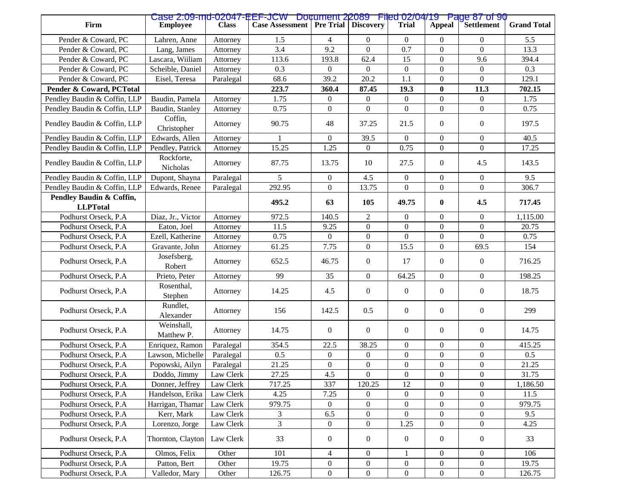| Firm                                       | <b>Employee</b>             | <b>Class</b>         | Case 2:09-md-02047-EEF-JCW Document 22089 Filed 02/04/19 Page 87 of 90<br><b>Case Assessment</b> |                  | <b>Pre Trial   Discovery</b> | <b>Trial</b>     | Appeal                     | Settlement       | <b>Grand Total</b> |
|--------------------------------------------|-----------------------------|----------------------|--------------------------------------------------------------------------------------------------|------------------|------------------------------|------------------|----------------------------|------------------|--------------------|
|                                            |                             |                      |                                                                                                  |                  |                              | $\Omega$         |                            | 0                |                    |
| Pender & Coward, PC<br>Pender & Coward, PC | Lahren, Anne<br>Lang, James | Attorney<br>Attorney | 1.5<br>3.4                                                                                       | 4<br>9.2         | $\Omega$<br>$\Omega$         | 0.7              | $\theta$<br>$\overline{0}$ | $\Omega$         | 5.5<br>13.3        |
| Pender & Coward, PC                        | Lascara, Wiiliam            | Attorney             | 113.6                                                                                            | 193.8            | 62.4                         | 15               | $\overline{0}$             | 9.6              | 394.4              |
| Pender & Coward, PC                        | Scheible, Daniel            | Attorney             | 0.3                                                                                              | $\Omega$         | $\theta$                     | $\mathbf{0}$     | $\overline{0}$             | $\overline{0}$   | 0.3                |
| Pender & Coward, PC                        | Eisel, Teresa               | Paralegal            | 68.6                                                                                             | 39.2             | 20.2                         | 1.1              | $\mathbf{0}$               | $\Omega$         | 129.1              |
| Pender & Coward, PCTotal                   |                             |                      | 223.7                                                                                            | 360.4            | 87.45                        | 19.3             | $\bf{0}$                   | 11.3             | 702.15             |
| Pendley Baudin & Coffin, LLP               | Baudin, Pamela              | Attorney             | 1.75                                                                                             | $\overline{0}$   | $\mathbf{0}$                 | $\mathbf{0}$     | $\overline{0}$             | $\overline{0}$   | 1.75               |
| Pendley Baudin & Coffin, LLP               | Baudin, Stanley             | Attorney             | 0.75                                                                                             | $\overline{0}$   | $\Omega$                     | $\Omega$         | $\overline{0}$             | $\overline{0}$   | 0.75               |
| Pendley Baudin & Coffin, LLP               | Coffin,<br>Christopher      | Attorney             | 90.75                                                                                            | 48               | 37.25                        | 21.5             | $\overline{0}$             | $\overline{0}$   | 197.5              |
| Pendley Baudin & Coffin, LLP               | Edwards, Allen              | Attorney             |                                                                                                  | $\overline{0}$   | 39.5                         | $\overline{0}$   | $\overline{0}$             | $\overline{0}$   | 40.5               |
| Pendley Baudin & Coffin, LLP               | Pendley, Patrick            | Attorney             | 15.25                                                                                            | 1.25             | $\mathbf{0}$                 | 0.75             | $\overline{0}$             | $\overline{0}$   | 17.25              |
| Pendley Baudin & Coffin, LLP               | Rockforte,<br>Nicholas      | Attorney             | 87.75                                                                                            | 13.75            | 10                           | 27.5             | $\overline{0}$             | 4.5              | 143.5              |
| Pendley Baudin & Coffin, LLP               | Dupont, Shayna              | Paralegal            | 5                                                                                                | $\overline{0}$   | 4.5                          | $\boldsymbol{0}$ | $\boldsymbol{0}$           | $\overline{0}$   | 9.5                |
| Pendley Baudin & Coffin, LLP               | Edwards, Renee              | Paralegal            | 292.95                                                                                           | $\overline{0}$   | 13.75                        | $\Omega$         | $\overline{0}$             | $\overline{0}$   | 306.7              |
| Pendley Baudin & Coffin,                   |                             |                      | 495.2                                                                                            | 63               | 105                          | 49.75            | $\bf{0}$                   | 4.5              | 717.45             |
| <b>LLPTotal</b>                            |                             |                      |                                                                                                  |                  |                              |                  |                            |                  |                    |
| Podhurst Orseck, P.A.                      | Diaz, Jr., Victor           | Attorney             | 972.5                                                                                            | 140.5            | 2                            | $\overline{0}$   | $\overline{0}$             | $\overline{0}$   | 1,115.00           |
| Podhurst Orseck, P.A                       | Eaton, Joel                 | Attorney             | 11.5                                                                                             | 9.25             | $\boldsymbol{0}$             | $\overline{0}$   | $\boldsymbol{0}$           | $\overline{0}$   | 20.75              |
| Podhurst Orseck, P.A.                      | Ezell, Katherine            | Attorney             | 0.75                                                                                             | $\overline{0}$   | $\mathbf{0}$                 | $\Omega$         | $\boldsymbol{0}$           | $\Omega$         | 0.75               |
| Podhurst Orseck, P.A.                      | Gravante, John              | Attorney             | 61.25                                                                                            | 7.75             | $\mathbf{0}$                 | 15.5             | $\overline{0}$             | 69.5             | 154                |
| Podhurst Orseck, P.A                       | Josefsberg,<br>Robert       | Attorney             | 652.5                                                                                            | 46.75            | $\boldsymbol{0}$             | 17               | $\overline{0}$             | $\overline{0}$   | 716.25             |
| Podhurst Orseck, P.A                       | Prieto, Peter               | Attorney             | 99                                                                                               | 35               | $\boldsymbol{0}$             | 64.25            | $\boldsymbol{0}$           | $\overline{0}$   | 198.25             |
| Podhurst Orseck, P.A                       | Rosenthal,<br>Stephen       | Attorney             | 14.25                                                                                            | 4.5              | $\overline{0}$               | $\boldsymbol{0}$ | $\boldsymbol{0}$           | $\overline{0}$   | 18.75              |
| Podhurst Orseck, P.A                       | Rundlet,<br>Alexander       | Attorney             | 156                                                                                              | 142.5            | 0.5                          | $\overline{0}$   | $\overline{0}$             | $\overline{0}$   | 299                |
| Podhurst Orseck, P.A.                      | Weinshall,<br>Matthew P.    | Attorney             | 14.75                                                                                            | $\overline{0}$   | $\mathbf{0}$                 | $\overline{0}$   | $\boldsymbol{0}$           | $\overline{0}$   | 14.75              |
| Podhurst Orseck, P.A.                      | Enriquez, Ramon             | Paralegal            | 354.5                                                                                            | 22.5             | 38.25                        | $\overline{0}$   | $\overline{0}$             | $\overline{0}$   | 415.25             |
| Podhurst Orseck, P.A.                      | Lawson, Michelle            | Paralegal            | 0.5                                                                                              | $\overline{0}$   | $\overline{0}$               | $\overline{0}$   | $\mathbf{0}$               | $\overline{0}$   | 0.5                |
| Podhurst Orseck, P.A                       | Popowski, Ailyn             | Paralegal            | 21.25                                                                                            | $\boldsymbol{0}$ | $\boldsymbol{0}$             | $\boldsymbol{0}$ | $\boldsymbol{0}$           | $\boldsymbol{0}$ | 21.25              |
| Podhurst Orseck, P.A                       | Doddo, Jimmy   Law Clerk    |                      | 27.25                                                                                            | 4.5              | $\mathbf{0}$                 | $\boldsymbol{0}$ | $\boldsymbol{0}$           | $\boldsymbol{0}$ | 31.75              |
| Podhurst Orseck, P.A.                      | Donner, Jeffrey             | Law Clerk            | 717.25                                                                                           | 337              | 120.25                       | 12               | $\Omega$                   | $\Omega$         | 1.186.50           |
| Podhurst Orseck, P.A                       | Handelson, Erika            | Law Clerk            | 4.25                                                                                             | 7.25             | $\overline{0}$               | $\overline{0}$   | $\overline{0}$             | $\overline{0}$   | 11.5               |
| Podhurst Orseck, P.A                       | Harrigan, Thamar            | Law Clerk            | 979.75                                                                                           | $\overline{0}$   | $\mathbf{0}$                 | $\overline{0}$   | $\overline{0}$             | $\overline{0}$   | 979.75             |
| Podhurst Orseck, P.A                       | Kerr, Mark                  | Law Clerk            | 3                                                                                                | 6.5              | $\mathbf{0}$                 | $\overline{0}$   | $\boldsymbol{0}$           | $\overline{0}$   | 9.5                |
| Podhurst Orseck, P.A                       | Lorenzo, Jorge              | Law Clerk            | 3                                                                                                | $\overline{0}$   | $\mathbf{0}$                 | 1.25             | $\overline{0}$             | $\overline{0}$   | 4.25               |
| Podhurst Orseck, P.A.                      | Thornton, Clayton           | Law Clerk            | 33                                                                                               | $\overline{0}$   | $\overline{0}$               | $\overline{0}$   | $\overline{0}$             | $\mathbf{0}$     | 33                 |
| Podhurst Orseck, P.A                       | Olmos, Felix                | Other                | 101                                                                                              | $\overline{4}$   | $\mathbf{0}$                 | 1                | $\overline{0}$             | $\overline{0}$   | 106                |
| Podhurst Orseck, P.A                       | Patton, Bert                | Other                | 19.75                                                                                            | $\overline{0}$   | $\boldsymbol{0}$             | $\overline{0}$   | $\overline{0}$             | $\overline{0}$   | 19.75              |
| Podhurst Orseck, P.A                       | Valledor, Mary              | Other                | 126.75                                                                                           | $\mathbf{0}$     | $\boldsymbol{0}$             | $\boldsymbol{0}$ | $\boldsymbol{0}$           | $\boldsymbol{0}$ | 126.75             |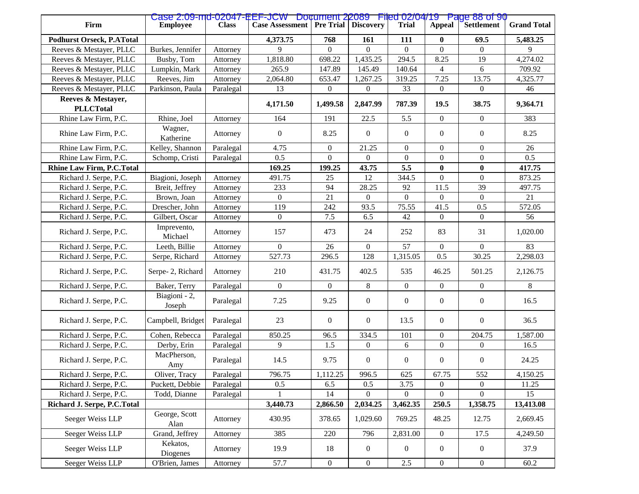| Firm                                   | <b>Employee</b>         | <b>Class</b> | Case 2:09-md-02047-EEF-JCW Document 22089 Filed 02/04/19 Page 88 of 90<br><b>Case Assessment   Pre Trial   Discovery</b> |                  |                  | <b>Trial</b>     | Appeal               | <b>Settlement</b> | <b>Grand Total</b> |
|----------------------------------------|-------------------------|--------------|--------------------------------------------------------------------------------------------------------------------------|------------------|------------------|------------------|----------------------|-------------------|--------------------|
|                                        |                         |              |                                                                                                                          |                  |                  |                  |                      |                   |                    |
| <b>Podhurst Orseck, P.ATotal</b>       |                         |              | 4,373.75<br>Q                                                                                                            | 768<br>$\Omega$  | 161<br>$\Omega$  | 111<br>$\Omega$  | $\bf{0}$<br>$\Omega$ | 69.5              | 5,483.25<br>9      |
| Reeves & Mestayer, PLLC                | Burkes, Jennifer        | Attorney     |                                                                                                                          |                  |                  |                  |                      | $\Omega$          |                    |
| Reeves & Mestayer, PLLC                | Busby, Tom              | Attorney     | 1,818.80                                                                                                                 | 698.22           | 1,435.25         | 294.5            | 8.25                 | 19                | 4,274.02           |
| Reeves & Mestayer, PLLC                | Lumpkin, Mark           | Attorney     | 265.9                                                                                                                    | 147.89           | 145.49           | 140.64           | $\overline{4}$       | 6                 | 709.92             |
| Reeves & Mestayer, PLLC                | Reeves, Jim             | Attorney     | 2,064.80                                                                                                                 | 653.47           | 1,267.25         | 319.25           | 7.25                 | 13.75             | 4,325.77           |
| Reeves & Mestayer, PLLC                | Parkinson, Paula        | Paralegal    | 13                                                                                                                       | $\boldsymbol{0}$ | $\theta$         | 33               | $\overline{0}$       | $\overline{0}$    | 46                 |
| Reeves & Mestayer,<br><b>PLLCTotal</b> |                         |              | 4,171.50                                                                                                                 | 1,499.58         | 2,847.99         | 787.39           | 19.5                 | 38.75             | 9,364.71           |
| Rhine Law Firm, P.C.                   | Rhine, Joel             | Attorney     | 164                                                                                                                      | 191              | 22.5             | 5.5              | $\boldsymbol{0}$     | $\mathbf{0}$      | 383                |
| Rhine Law Firm, P.C.                   | Wagner,<br>Katherine    | Attorney     | $\overline{0}$                                                                                                           | 8.25             | $\overline{0}$   | $\overline{0}$   | $\overline{0}$       | $\mathbf{0}$      | 8.25               |
| Rhine Law Firm, P.C.                   | Kelley, Shannon         | Paralegal    | 4.75                                                                                                                     | $\overline{0}$   | 21.25            | $\mathbf{0}$     | $\overline{0}$       | $\overline{0}$    | 26                 |
| Rhine Law Firm, P.C.                   | Schomp, Cristi          | Paralegal    | 0.5                                                                                                                      | $\Omega$         | $\Omega$         | $\mathbf{0}$     | $\overline{0}$       | $\overline{0}$    | 0.5                |
| <b>Rhine Law Firm, P.C.Total</b>       |                         |              | 169.25                                                                                                                   | 199.25           | 43.75            | 5.5              | $\bf{0}$             | $\bf{0}$          | 417.75             |
| Richard J. Serpe, P.C.                 | Biagioni, Joseph        | Attorney     | 491.75                                                                                                                   | 25               | 12               | 344.5            | $\boldsymbol{0}$     | $\overline{0}$    | 873.25             |
| Richard J. Serpe, P.C.                 | Breit, Jeffrey          | Attorney     | 233                                                                                                                      | 94               | 28.25            | 92               | 11.5                 | 39                | 497.75             |
| Richard J. Serpe, P.C.                 | Brown, Joan             | Attorney     | $\overline{0}$                                                                                                           | 21               | $\boldsymbol{0}$ | $\boldsymbol{0}$ | $\boldsymbol{0}$     | $\boldsymbol{0}$  | 21                 |
| Richard J. Serpe, P.C.                 | Drescher, John          | Attorney     | 119                                                                                                                      | 242              | 93.5             | 75.55            | 41.5                 | 0.5               | 572.05             |
| Richard J. Serpe, P.C.                 | Gilbert, Oscar          | Attorney     | $\overline{0}$                                                                                                           | 7.5              | 6.5              | 42               | $\overline{0}$       | $\overline{0}$    | 56                 |
| Richard J. Serpe, P.C.                 | Imprevento,<br>Michael  | Attorney     | 157                                                                                                                      | 473              | 24               | 252              | 83                   | 31                | 1,020.00           |
| Richard J. Serpe, P.C.                 | Leeth, Billie           | Attorney     | $\theta$                                                                                                                 | 26               | $\overline{0}$   | 57               | $\boldsymbol{0}$     | $\overline{0}$    | 83                 |
| Richard J. Serpe, P.C.                 | Serpe, Richard          | Attorney     | 527.73                                                                                                                   | 296.5            | 128              | 1,315.05         | 0.5                  | 30.25             | 2,298.03           |
| Richard J. Serpe, P.C.                 | Serpe-2, Richard        | Attorney     | 210                                                                                                                      | 431.75           | 402.5            | 535              | 46.25                | 501.25            | 2,126.75           |
| Richard J. Serpe, P.C.                 | Baker, Terry            | Paralegal    | $\overline{0}$                                                                                                           | $\overline{0}$   | 8                | $\boldsymbol{0}$ | $\boldsymbol{0}$     | $\overline{0}$    | 8                  |
| Richard J. Serpe, P.C.                 | Biagioni - 2,<br>Joseph | Paralegal    | 7.25                                                                                                                     | 9.25             | $\boldsymbol{0}$ | $\boldsymbol{0}$ | $\boldsymbol{0}$     | $\mathbf{0}$      | 16.5               |
| Richard J. Serpe, P.C.                 | Campbell, Bridget       | Paralegal    | 23                                                                                                                       | $\mathbf{0}$     | $\overline{0}$   | 13.5             | $\boldsymbol{0}$     | $\boldsymbol{0}$  | 36.5               |
| Richard J. Serpe, P.C.                 | Cohen, Rebecca          | Paralegal    | 850.25                                                                                                                   | 96.5             | 334.5            | 101              | $\boldsymbol{0}$     | 204.75            | 1,587.00           |
| Richard J. Serpe, P.C.                 | Derby, Erin             | Paralegal    | 9                                                                                                                        | 1.5              | $\overline{0}$   | 6                | $\overline{0}$       | $\overline{0}$    | 16.5               |
| Richard J. Serpe, P.C.                 | MacPherson,<br>Amy      | Paralegal    | 14.5                                                                                                                     | 9.75             | $\overline{0}$   | $\overline{0}$   | $\boldsymbol{0}$     | $\mathbf{0}$      | 24.25              |
| Richard J. Serpe, P.C.                 | Oliver, Tracy           | Paralegal    | 796.75                                                                                                                   | 1,112.25         | 996.5            | 625              | 67.75                | 552               | 4,150.25           |
| Richard J. Serpe, P.C.                 | Puckett, Debbie         | Paralegal    | 0.5                                                                                                                      | 6.5              | 0.5              | 3.75             | $\overline{0}$       | $\overline{0}$    | 11.25              |
| Richard J. Serpe, P.C.                 | Todd, Dianne            | Paralegal    |                                                                                                                          | 14               | $\Omega$         | $\overline{0}$   | $\Omega$             | $\Omega$          | 15                 |
| Richard J. Serpe, P.C.Total            |                         |              | 3,440.73                                                                                                                 | 2,866.50         | 2,034.25         | 3,462.35         | 250.5                | 1,358.75          | 13,413.08          |
| Seeger Weiss LLP                       | George, Scott<br>Alan   | Attorney     | 430.95                                                                                                                   | 378.65           | 1,029.60         | 769.25           | 48.25                | 12.75             | 2,669.45           |
| Seeger Weiss LLP                       | Grand, Jeffrey          | Attorney     | 385                                                                                                                      | 220              | 796              | 2,831.00         | $\boldsymbol{0}$     | 17.5              | 4,249.50           |
| Seeger Weiss LLP                       | Kekatos,<br>Diogenes    | Attorney     | 19.9                                                                                                                     | 18               | $\mathbf{0}$     | $\boldsymbol{0}$ | $\boldsymbol{0}$     | $\boldsymbol{0}$  | 37.9               |
| Seeger Weiss LLP                       | O'Brien, James          | Attorney     | 57.7                                                                                                                     | $\boldsymbol{0}$ | $\boldsymbol{0}$ | 2.5              | $\boldsymbol{0}$     | $\boldsymbol{0}$  | 60.2               |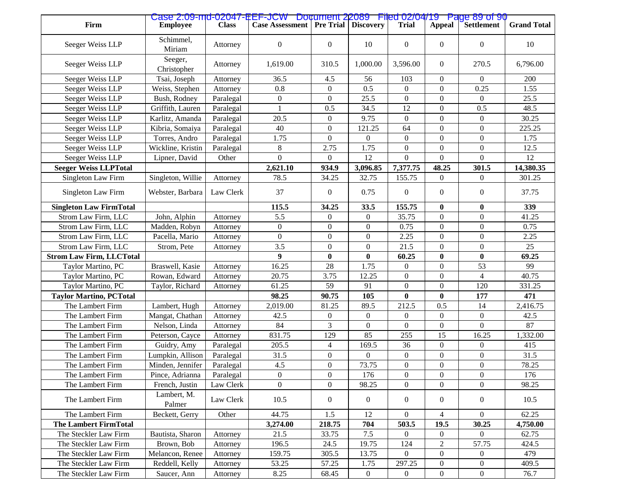| Firm                            | <b>Employee</b>        | <b>Class</b> | Case 2:09-md-02047-EEF-JCW Document 22089 Filed 02/04/19 Page 89 of 90<br><b>Case Assessment   Pre Trial   Discovery</b> |                  |                | <b>Trial</b>     | Appeal           | Settlement       | <b>Grand Total</b> |
|---------------------------------|------------------------|--------------|--------------------------------------------------------------------------------------------------------------------------|------------------|----------------|------------------|------------------|------------------|--------------------|
|                                 |                        |              |                                                                                                                          |                  |                |                  |                  |                  |                    |
| Seeger Weiss LLP                | Schimmel,<br>Miriam    | Attorney     | $\boldsymbol{0}$                                                                                                         | $\boldsymbol{0}$ | 10             | $\boldsymbol{0}$ | $\overline{0}$   | $\overline{0}$   | 10                 |
| Seeger Weiss LLP                | Seeger,<br>Christopher | Attorney     | 1,619.00                                                                                                                 | 310.5            | 1,000.00       | 3,596.00         | $\overline{0}$   | 270.5            | 6,796.00           |
| Seeger Weiss LLP                | Tsai, Joseph           | Attorney     | 36.5                                                                                                                     | 4.5              | 56             | 103              | $\overline{0}$   | $\Omega$         | 200                |
| Seeger Weiss LLP                | Weiss, Stephen         | Attorney     | $0.8\,$                                                                                                                  | $\overline{0}$   | 0.5            | $\boldsymbol{0}$ | $\overline{0}$   | 0.25             | 1.55               |
| Seeger Weiss LLP                | Bush, Rodney           | Paralegal    | $\mathbf{0}$                                                                                                             | $\overline{0}$   | 25.5           | $\boldsymbol{0}$ | $\overline{0}$   | $\overline{0}$   | 25.5               |
| Seeger Weiss LLP                | Griffith, Lauren       | Paralegal    | 1                                                                                                                        | 0.5              | 34.5           | 12               | $\overline{0}$   | 0.5              | 48.5               |
| Seeger Weiss LLP                | Karlitz, Amanda        | Paralegal    | 20.5                                                                                                                     | $\boldsymbol{0}$ | 9.75           | $\boldsymbol{0}$ | $\boldsymbol{0}$ | $\boldsymbol{0}$ | 30.25              |
| Seeger Weiss LLP                | Kibria, Somaiya        | Paralegal    | 40                                                                                                                       | $\boldsymbol{0}$ | 121.25         | 64               | $\boldsymbol{0}$ | $\boldsymbol{0}$ | 225.25             |
| Seeger Weiss LLP                | Torres, Andro          | Paralegal    | 1.75                                                                                                                     | $\boldsymbol{0}$ | $\overline{0}$ | $\overline{0}$   | $\boldsymbol{0}$ | $\overline{0}$   | 1.75               |
| Seeger Weiss LLP                | Wickline, Kristin      | Paralegal    | 8                                                                                                                        | 2.75             | 1.75           | $\boldsymbol{0}$ | $\boldsymbol{0}$ | $\overline{0}$   | 12.5               |
| Seeger Weiss LLP                | Lipner, David          | Other        | $\Omega$                                                                                                                 | $\Omega$         | 12             | $\Omega$         | $\Omega$         | $\Omega$         | 12                 |
| <b>Seeger Weiss LLPTotal</b>    |                        |              | 2,621.10                                                                                                                 | 934.9            | 3,096.85       | 7,377.75         | 48.25            | 301.5            | 14,380.35          |
| Singleton Law Firm              | Singleton, Willie      | Attorney     | 78.5                                                                                                                     | 34.25            | 32.75          | 155.75           | $\overline{0}$   | $\boldsymbol{0}$ | 301.25             |
| Singleton Law Firm              | Webster, Barbara       | Law Clerk    | 37                                                                                                                       | $\boldsymbol{0}$ | 0.75           | $\boldsymbol{0}$ | $\overline{0}$   | $\overline{0}$   | 37.75              |
| <b>Singleton Law FirmTotal</b>  |                        |              | 115.5                                                                                                                    | 34.25            | 33.5           | 155.75           | $\bf{0}$         | $\boldsymbol{0}$ | 339                |
| Strom Law Firm, LLC             | John, Alphin           | Attorney     | 5.5                                                                                                                      | $\mathbf{0}$     | $\mathbf{0}$   | 35.75            | $\overline{0}$   | $\boldsymbol{0}$ | 41.25              |
| Strom Law Firm, LLC             | Madden, Robyn          | Attorney     | $\boldsymbol{0}$                                                                                                         | $\boldsymbol{0}$ | $\overline{0}$ | 0.75             | $\boldsymbol{0}$ | $\boldsymbol{0}$ | 0.75               |
| Strom Law Firm, LLC             | Pacella, Mario         | Attorney     | $\overline{0}$                                                                                                           | $\boldsymbol{0}$ | $\mathbf{0}$   | 2.25             | $\boldsymbol{0}$ | $\boldsymbol{0}$ | 2.25               |
| Strom Law Firm, LLC             | Strom, Pete            | Attorney     | 3.5                                                                                                                      | $\boldsymbol{0}$ | $\mathbf{0}$   | 21.5             | $\boldsymbol{0}$ | $\boldsymbol{0}$ | 25                 |
| <b>Strom Law Firm, LLCTotal</b> |                        |              | 9                                                                                                                        | $\bf{0}$         | $\bf{0}$       | 60.25            | $\bf{0}$         | $\bf{0}$         | 69.25              |
| Taylor Martino, PC              | Braswell, Kasie        | Attorney     | 16.25                                                                                                                    | 28               | 1.75           | $\boldsymbol{0}$ | $\overline{0}$   | 53               | 99                 |
| Taylor Martino, PC              | Rowan, Edward          | Attorney     | 20.75                                                                                                                    | 3.75             | 12.25          | $\boldsymbol{0}$ | $\boldsymbol{0}$ | $\overline{4}$   | 40.75              |
| Taylor Martino, PC              | Taylor, Richard        | Attorney     | 61.25                                                                                                                    | 59               | 91             | $\boldsymbol{0}$ | $\boldsymbol{0}$ | 120              | 331.25             |
| <b>Taylor Martino, PCTotal</b>  |                        |              | 98.25                                                                                                                    | 90.75            | 105            | $\bf{0}$         | $\bf{0}$         | 177              | 471                |
| The Lambert Firm                | Lambert, Hugh          | Attorney     | 2,019.00                                                                                                                 | 81.25            | 89.5           | 212.5            | 0.5              | 14               | 2,416.75           |
| The Lambert Firm                | Mangat, Chathan        | Attorney     | 42.5                                                                                                                     | $\boldsymbol{0}$ | $\overline{0}$ | $\overline{0}$   | $\overline{0}$   | $\boldsymbol{0}$ | 42.5               |
| The Lambert Firm                | Nelson, Linda          | Attorney     | 84                                                                                                                       | 3                | $\Omega$       | $\boldsymbol{0}$ | $\boldsymbol{0}$ | $\theta$         | 87                 |
| The Lambert Firm                | Peterson, Cayce        | Attorney     | 831.75                                                                                                                   | 129              | 85             | 255              | 15               | 16.25            | 1,332.00           |
| The Lambert Firm                | Guidry, Amy            | Paralegal    | 205.5                                                                                                                    | $\overline{4}$   | 169.5          | 36               | $\overline{0}$   | $\overline{0}$   | 415                |
| The Lambert Firm                | Lumpkin, Allison       | Paralegal    | 31.5                                                                                                                     | $\overline{0}$   | $\Omega$       | $\overline{0}$   | $\overline{0}$   | $\boldsymbol{0}$ | 31.5               |
| The Lambert Firm                | Minden, Jennifer       | Paralegal    | $4.5\,$                                                                                                                  | $\boldsymbol{0}$ | 73.75          | $\boldsymbol{0}$ | $\boldsymbol{0}$ | $\boldsymbol{0}$ | 78.25              |
| The Lambert Firm                | Pince, Adrianna        | Paralegal    | $\boldsymbol{0}$                                                                                                         | $\boldsymbol{0}$ | 176            | $\boldsymbol{0}$ | $\boldsymbol{0}$ | $\boldsymbol{0}$ | 176                |
| The Lambert Firm                | French, Justin         | Law Clerk    | $\Omega$                                                                                                                 | $\boldsymbol{0}$ | 98.25          | $\Omega$         | $\Omega$         | $\Omega$         | 98.25              |
| The Lambert Firm                | Lambert, M.<br>Palmer  | Law Clerk    | 10.5                                                                                                                     | $\overline{0}$   | $\mathbf{0}$   | $\boldsymbol{0}$ | $\boldsymbol{0}$ | $\boldsymbol{0}$ | 10.5               |
| The Lambert Firm                | Beckett, Gerry         | Other        | 44.75                                                                                                                    | 1.5              | 12             | $\boldsymbol{0}$ | $\overline{4}$   | $\Omega$         | 62.25              |
| <b>The Lambert FirmTotal</b>    |                        |              | 3,274.00                                                                                                                 | 218.75           | 704            | 503.5            | 19.5             | 30.25            | 4,750.00           |
| The Steckler Law Firm           | Bautista, Sharon       | Attorney     | 21.5                                                                                                                     | 33.75            | 7.5            | $\mathbf{0}$     | $\overline{0}$   | $\overline{0}$   | 62.75              |
| The Steckler Law Firm           | Brown, Bob             | Attorney     | 196.5                                                                                                                    | 24.5             | 19.75          | 124              | $\overline{c}$   | 57.75            | 424.5              |
| The Steckler Law Firm           | Melancon, Renee        | Attorney     | 159.75                                                                                                                   | 305.5            | 13.75          | $\boldsymbol{0}$ | $\overline{0}$   | 0                | 479                |
| The Steckler Law Firm           | Reddell, Kelly         | Attorney     | 53.25                                                                                                                    | 57.25            | 1.75           | 297.25           | $\mathbf{0}$     | $\boldsymbol{0}$ | 409.5              |
| The Steckler Law Firm           | Saucer, Ann            | Attorney     | 8.25                                                                                                                     | 68.45            | $\overline{0}$ | $\overline{0}$   | $\mathbf{0}$     | $\boldsymbol{0}$ | 76.7               |